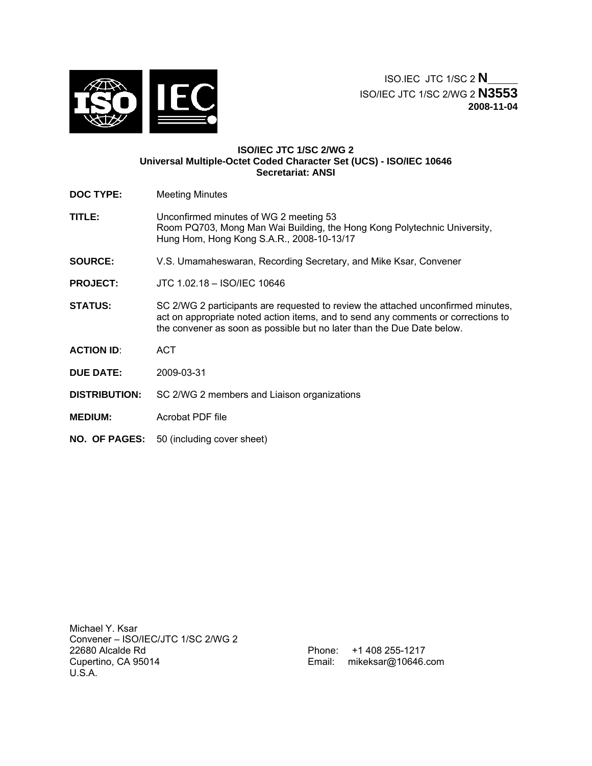

ISO.IEC JTC 1/SC 2 **N\_\_\_\_** ISO/IEC JTC 1/SC 2/WG 2 **N3553 2008-11-04**

## **ISO/IEC JTC 1/SC 2/WG 2 Universal Multiple-Octet Coded Character Set (UCS) - ISO/IEC 10646 Secretariat: ANSI**

- **DOC TYPE:** Meeting Minutes
- **TITLE:** Unconfirmed minutes of WG 2 meeting 53 Room PQ703, Mong Man Wai Building, the Hong Kong Polytechnic University, Hung Hom, Hong Kong S.A.R., 2008-10-13/17
- **SOURCE:** V.S. Umamaheswaran, Recording Secretary, and Mike Ksar, Convener
- **PROJECT:** JTC 1.02.18 ISO/IEC 10646
- **STATUS:** SC 2/WG 2 participants are requested to review the attached unconfirmed minutes, act on appropriate noted action items, and to send any comments or corrections to the convener as soon as possible but no later than the Due Date below.
- **ACTION ID**: ACT
- **DUE DATE:** 2009-03-31
- **DISTRIBUTION:** SC 2/WG 2 members and Liaison organizations
- **MEDIUM:** Acrobat PDF file
- **NO. OF PAGES:** 50 (including cover sheet)

Michael Y. Ksar Convener – ISO/IEC/JTC 1/SC 2/WG 2 22680 Alcalde Rd Cupertino, CA 95014 U.S.A.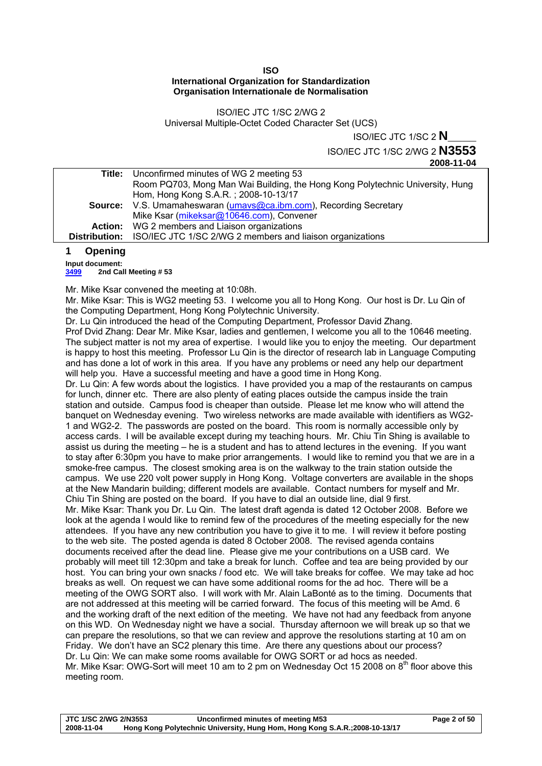## **ISO International Organization for Standardization Organisation Internationale de Normalisation**

ISO/IEC JTC 1/SC 2/WG 2 Universal Multiple-Octet Coded Character Set (UCS)

> ISO/IEC JTC 1/SC 2 **N\_\_\_\_** ISO/IEC JTC 1/SC 2/WG 2 **N3553**

**2008-11-04** 

|               | <b>Title:</b> Unconfirmed minutes of WG 2 meeting 53                          |  |  |  |
|---------------|-------------------------------------------------------------------------------|--|--|--|
|               | Room PQ703, Mong Man Wai Building, the Hong Kong Polytechnic University, Hung |  |  |  |
|               | Hom, Hong Kong S.A.R.; 2008-10-13/17                                          |  |  |  |
|               | Source: V.S. Umamaheswaran (umavs@ca.ibm.com), Recording Secretary            |  |  |  |
|               | Mike Ksar (mikeksar@10646.com), Convener                                      |  |  |  |
| Action:       | WG 2 members and Liaison organizations                                        |  |  |  |
| Distribution: | ISO/IEC JTC 1/SC 2/WG 2 members and liaison organizations                     |  |  |  |
|               |                                                                               |  |  |  |

## **1 Opening**

**Input document:** 

## **[3499](http://www.dkuug.dk/jtc1/sc2/wg2/docs/n3499.doc) 2nd Call Meeting # 53**

Mr. Mike Ksar convened the meeting at 10:08h.

Mr. Mike Ksar: This is WG2 meeting 53. I welcome you all to Hong Kong. Our host is Dr. Lu Qin of the Computing Department, Hong Kong Polytechnic University.

Dr. Lu Qin introduced the head of the Computing Department, Professor David Zhang.

Prof Dvid Zhang: Dear Mr. Mike Ksar, ladies and gentlemen, I welcome you all to the 10646 meeting. The subject matter is not my area of expertise. I would like you to enjoy the meeting. Our department is happy to host this meeting. Professor Lu Qin is the director of research lab in Language Computing and has done a lot of work in this area. If you have any problems or need any help our department will help you. Have a successful meeting and have a good time in Hong Kong.

Dr. Lu Qin: A few words about the logistics. I have provided you a map of the restaurants on campus for lunch, dinner etc. There are also plenty of eating places outside the campus inside the train station and outside. Campus food is cheaper than outside. Please let me know who will attend the banquet on Wednesday evening. Two wireless networks are made available with identifiers as WG2- 1 and WG2-2. The passwords are posted on the board. This room is normally accessible only by access cards. I will be available except during my teaching hours. Mr. Chiu Tin Shing is available to assist us during the meeting – he is a student and has to attend lectures in the evening. If you want to stay after 6:30pm you have to make prior arrangements. I would like to remind you that we are in a smoke-free campus. The closest smoking area is on the walkway to the train station outside the campus. We use 220 volt power supply in Hong Kong. Voltage converters are available in the shops at the New Mandarin building; different models are available. Contact numbers for myself and Mr. Chiu Tin Shing are posted on the board. If you have to dial an outside line, dial 9 first. Mr. Mike Ksar: Thank you Dr. Lu Qin. The latest draft agenda is dated 12 October 2008. Before we look at the agenda I would like to remind few of the procedures of the meeting especially for the new attendees. If you have any new contribution you have to give it to me. I will review it before posting to the web site. The posted agenda is dated 8 October 2008. The revised agenda contains documents received after the dead line. Please give me your contributions on a USB card. We probably will meet till 12:30pm and take a break for lunch. Coffee and tea are being provided by our host. You can bring your own snacks / food etc. We will take breaks for coffee. We may take ad hoc breaks as well. On request we can have some additional rooms for the ad hoc. There will be a meeting of the OWG SORT also. I will work with Mr. Alain LaBonté as to the timing. Documents that are not addressed at this meeting will be carried forward. The focus of this meeting will be Amd. 6 and the working draft of the next edition of the meeting. We have not had any feedback from anyone on this WD. On Wednesday night we have a social. Thursday afternoon we will break up so that we can prepare the resolutions, so that we can review and approve the resolutions starting at 10 am on Friday. We don't have an SC2 plenary this time. Are there any questions about our process? Dr. Lu Qin: We can make some rooms available for OWG SORT or ad hocs as needed. Mr. Mike Ksar: OWG-Sort will meet 10 am to 2 pm on Wednesday Oct 15 2008 on  $8<sup>th</sup>$  floor above this meeting room.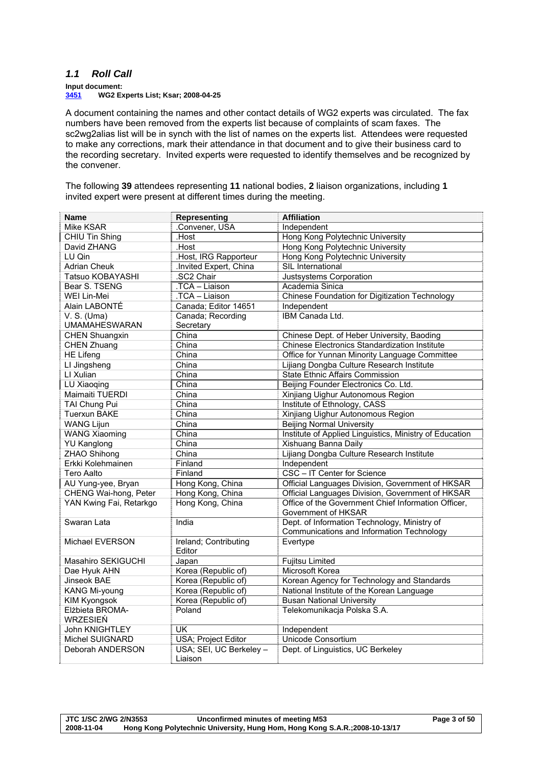## <span id="page-2-0"></span>*1.1 Roll Call*

**Input document:**<br>**3451** WG2 Ex

**[3451](http://www.dkuug.dk/jtc1/sc2/wg2/docs/N3451.xls) WG2 Experts List; Ksar; 2008-04-25** 

A document containing the names and other contact details of WG2 experts was circulated. The fax numbers have been removed from the experts list because of complaints of scam faxes. The sc2wg2alias list will be in synch with the list of names on the experts list. Attendees were requested to make any corrections, mark their attendance in that document and to give their business card to the recording secretary. Invited experts were requested to identify themselves and be recognized by the convener.

The following **39** attendees representing **11** national bodies, **2** liaison organizations, including **1**  invited expert were present at different times during the meeting.

| <b>Name</b>                 | <b>Representing</b>             | <b>Affiliation</b>                                                         |
|-----------------------------|---------------------------------|----------------------------------------------------------------------------|
| <b>Mike KSAR</b>            | Convener, USA                   | Independent                                                                |
| CHIU Tin Shing              | Host.                           | Hong Kong Polytechnic University                                           |
| David ZHANG                 | .Host                           | Hong Kong Polytechnic University                                           |
| LU Qin                      | Host, IRG Rapporteur            | Hong Kong Polytechnic University                                           |
| <b>Adrian Cheuk</b>         | Invited Expert, China           | SIL International                                                          |
| Tatsuo KOBAYASHI            | SC2 Chair                       | Justsystems Corporation                                                    |
| Bear S. TSENG               | .TCA - Liaison                  | Academia Sinica                                                            |
| WEI Lin-Mei                 | .TCA - Liaison                  | Chinese Foundation for Digitization Technology                             |
| Alain LABONTÉ               | Canada; Editor 14651            | Independent                                                                |
| V. S. (Uma)                 | Canada; Recording               | IBM Canada Ltd.                                                            |
| <b>UMAMAHESWARAN</b>        | Secretary                       |                                                                            |
| <b>CHEN Shuangxin</b>       | China                           | Chinese Dept. of Heber University, Baoding                                 |
| CHEN Zhuang                 | China                           | <b>Chinese Electronics Standardization Institute</b>                       |
| <b>HE Lifeng</b>            | China                           | Office for Yunnan Minority Language Committee                              |
| LI Jingsheng                | China                           | Lijiang Dongba Culture Research Institute                                  |
| LI Xulian                   | China                           | <b>State Ethnic Affairs Commission</b>                                     |
| LU Xiaoqing                 | China                           | Beijing Founder Electronics Co. Ltd.                                       |
| <b>Maimaiti TUERDI</b>      | China                           | Xinjiang Uighur Autonomous Region                                          |
| TAI Chung Pui               | China                           | Institute of Ethnology, CASS                                               |
| <b>Tuerxun BAKE</b>         | China                           | Xinjiang Uighur Autonomous Region                                          |
| <b>WANG Lijun</b>           | China                           | <b>Beijing Normal University</b>                                           |
| <b>WANG Xiaoming</b>        | China                           | Institute of Applied Linguistics, Ministry of Education                    |
| <b>YU Kanglong</b>          | China                           | Xishuang Banna Daily                                                       |
| <b>ZHAO Shihong</b>         | China                           | Lijiang Dongba Culture Research Institute                                  |
| Erkki Kolehmainen           | Finland                         | Independent                                                                |
| <b>Tero Aalto</b>           | Finland                         | CSC - IT Center for Science                                                |
| AU Yung-yee, Bryan          | Hong Kong, China                | Official Languages Division, Government of HKSAR                           |
| CHENG Wai-hong, Peter       | Hong Kong, China                | Official Languages Division, Government of HKSAR                           |
| YAN Kwing Fai, Retarkgo     | Hong Kong, China                | Office of the Government Chief Information Officer,<br>Government of HKSAR |
| Swaran Lata                 | India                           | Dept. of Information Technology, Ministry of                               |
|                             |                                 | Communications and Information Technology                                  |
| <b>Michael EVERSON</b>      | Ireland; Contributing<br>Editor | Evertype                                                                   |
| <b>Masahiro SEKIGUCHI</b>   | Japan                           | <b>Fujitsu Limited</b>                                                     |
| Dae Hyuk AHN                | Korea (Republic of)             | Microsoft Korea                                                            |
| <b>Jinseok BAE</b>          | Korea (Republic of)             | Korean Agency for Technology and Standards                                 |
| KANG Mi-young               | Korea (Republic of)             | National Institute of the Korean Language                                  |
| <b>KIM Kyongsok</b>         | Korea (Republic of)             | <b>Busan National University</b>                                           |
| Elżbieta BROMA-<br>WRZESIEŃ | Poland                          | Telekomunikacja Polska S.A.                                                |
| John KNIGHTLEY              | <b>UK</b>                       | Independent                                                                |
| Michel SUIGNARD             | USA; Project Editor             | Unicode Consortium                                                         |
| Deborah ANDERSON            | USA; SEI, UC Berkeley -         | Dept. of Linguistics, UC Berkeley                                          |
|                             | Liaison                         |                                                                            |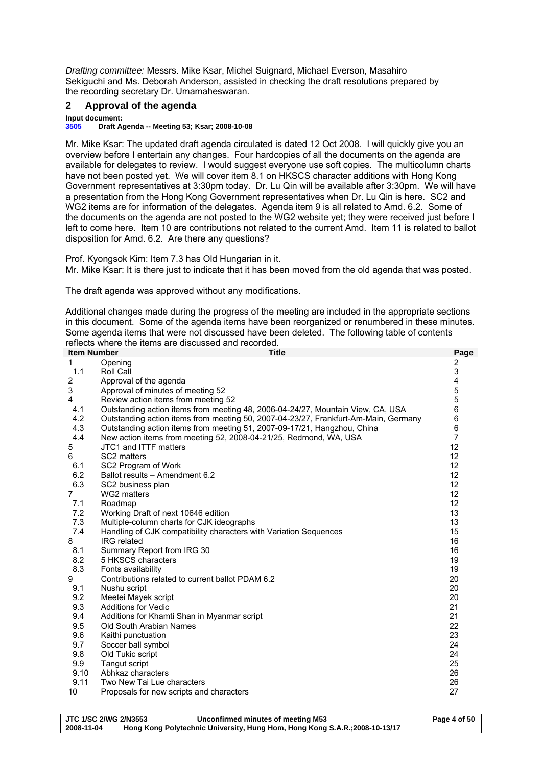*Drafting committee:* Messrs. Mike Ksar, Michel Suignard, Michael Everson, Masahiro Sekiguchi and Ms. Deborah Anderson, assisted in checking the draft resolutions prepared by the recording secretary Dr. Umamaheswaran.

## **2 Approval of the agenda**

**Input document:** 

**[3505](http://www.dkuug.dk/jtc1/sc2/wg2/docs/n3505.doc) Draft Agenda -- Meeting 53; Ksar; 2008-10-08** 

Mr. Mike Ksar: The updated draft agenda circulated is dated 12 Oct 2008. I will quickly give you an overview before I entertain any changes. Four hardcopies of all the documents on the agenda are available for delegates to review. I would suggest everyone use soft copies. The multicolumn charts have not been posted yet. We will cover item 8.1 on HKSCS character additions with Hong Kong Government representatives at 3:30pm today. Dr. Lu Qin will be available after 3:30pm. We will have a presentation from the Hong Kong Government representatives when Dr. Lu Qin is here. SC2 and WG2 items are for information of the delegates. Agenda item 9 is all related to Amd. 6.2. Some of the documents on the agenda are not posted to the WG2 website yet; they were received just before I left to come here. Item 10 are contributions not related to the current Amd. Item 11 is related to ballot disposition for Amd. 6.2. Are there any questions?

Prof. Kyongsok Kim: Item 7.3 has Old Hungarian in it. Mr. Mike Ksar: It is there just to indicate that it has been moved from the old agenda that was posted.

The draft agenda was approved without any modifications.

Additional changes made during the progress of the meeting are included in the appropriate sections in this document. Some of the agenda items have been reorganized or renumbered in these minutes. Some agenda items that were not discussed have been deleted. The following table of contents reflects where the items are discussed and recorded.

| <b>Item Number</b> | <b>Title</b>                                                                        | Page |
|--------------------|-------------------------------------------------------------------------------------|------|
| 1                  | Opening                                                                             | 2    |
| 1.1                | Roll Call                                                                           | 3    |
| 2                  | Approval of the agenda                                                              | 4    |
| 3                  | Approval of minutes of meeting 52                                                   | 5    |
| 4                  | Review action items from meeting 52                                                 | 5    |
| 4.1                | Outstanding action items from meeting 48, 2006-04-24/27, Mountain View, CA, USA     | 6    |
| 4.2                | Outstanding action items from meeting 50, 2007-04-23/27, Frankfurt-Am-Main, Germany | 6    |
| 4.3                | Outstanding action items from meeting 51, 2007-09-17/21, Hangzhou, China            | 6    |
| 4.4                | New action items from meeting 52, 2008-04-21/25, Redmond, WA, USA                   | 7    |
| 5                  | JTC1 and ITTF matters                                                               | 12   |
| 6                  | SC2 matters                                                                         | 12   |
| 6.1                | SC2 Program of Work                                                                 | 12   |
| 6.2                | Ballot results - Amendment 6.2                                                      | 12   |
| 6.3                | SC2 business plan                                                                   | 12   |
| $\overline{7}$     | WG2 matters                                                                         | 12   |
| 7.1                | Roadmap                                                                             | 12   |
| 7.2                | Working Draft of next 10646 edition                                                 | 13   |
| 7.3                | Multiple-column charts for CJK ideographs                                           | 13   |
| 7.4                | Handling of CJK compatibility characters with Variation Sequences                   | 15   |
| 8                  | <b>IRG</b> related                                                                  | 16   |
| 8.1                | Summary Report from IRG 30                                                          | 16   |
| 8.2                | 5 HKSCS characters                                                                  | 19   |
| 8.3                | Fonts availability                                                                  | 19   |
| 9                  | Contributions related to current ballot PDAM 6.2                                    | 20   |
| 9.1                | Nushu script                                                                        | 20   |
| 9.2                | Meetei Mayek script                                                                 | 20   |
| 9.3                | <b>Additions for Vedic</b>                                                          | 21   |
| 9.4                | Additions for Khamti Shan in Myanmar script                                         | 21   |
| 9.5                | Old South Arabian Names                                                             | 22   |
| 9.6                | Kaithi punctuation                                                                  | 23   |
| 9.7                | Soccer ball symbol                                                                  | 24   |
| 9.8                | Old Tukic script                                                                    | 24   |
| 9.9                | <b>Tangut script</b>                                                                | 25   |
| 9.10               | Abhkaz characters                                                                   | 26   |
| 9.11               | Two New Tai Lue characters                                                          | 26   |
| 10                 | Proposals for new scripts and characters                                            | 27   |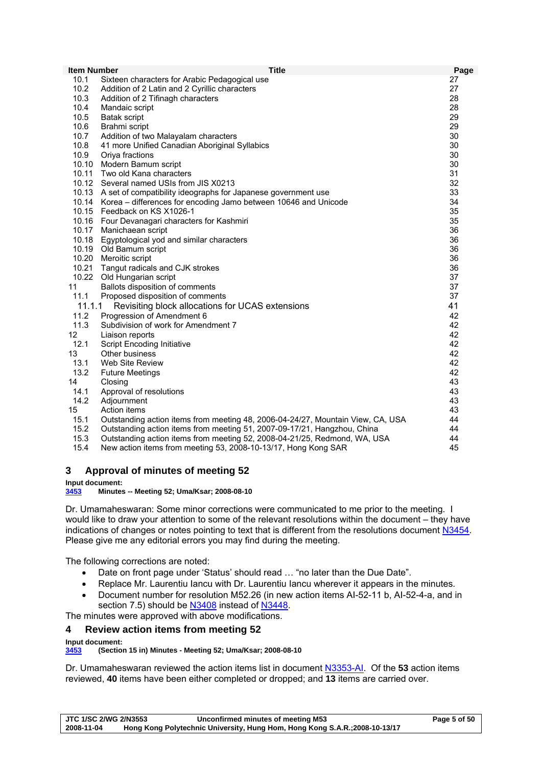<span id="page-4-0"></span>

| <b>Item Number</b> | <b>Title</b>                                                                    | Page |
|--------------------|---------------------------------------------------------------------------------|------|
| 10.1               | Sixteen characters for Arabic Pedagogical use                                   | 27   |
| 10.2               | Addition of 2 Latin and 2 Cyrillic characters                                   | 27   |
| 10.3               | Addition of 2 Tifinagh characters                                               | 28   |
| 10.4               | Mandaic script                                                                  | 28   |
| 10.5               | <b>Batak script</b>                                                             | 29   |
| 10.6               | Brahmi script                                                                   | 29   |
| 10.7               | Addition of two Malayalam characters                                            | 30   |
| 10.8               | 41 more Unified Canadian Aboriginal Syllabics                                   | 30   |
| 10.9               | Oriya fractions                                                                 | 30   |
| 10.10              | Modern Bamum script                                                             | 30   |
| 10.11              | Two old Kana characters                                                         | 31   |
|                    | 10.12 Several named USIs from JIS X0213                                         | 32   |
|                    | 10.13 A set of compatibility ideographs for Japanese government use             | 33   |
| 10.14              | Korea – differences for encoding Jamo between 10646 and Unicode                 | 34   |
| 10.15              | Feedback on KS X1026-1                                                          | 35   |
|                    | 10.16 Four Devanagari characters for Kashmiri                                   | 35   |
| 10.17              | Manichaean script                                                               | 36   |
| 10.18              | Egyptological yod and similar characters                                        | 36   |
| 10.19              | Old Bamum script                                                                | 36   |
| 10.20              | Meroitic script                                                                 | 36   |
| 10.21              | Tangut radicals and CJK strokes                                                 | 36   |
|                    | 10.22 Old Hungarian script                                                      | 37   |
| 11                 | Ballots disposition of comments                                                 | 37   |
| 11.1               | Proposed disposition of comments                                                | 37   |
| 11.1.1             | Revisiting block allocations for UCAS extensions                                | 41   |
| 11.2               | Progression of Amendment 6                                                      | 42   |
| 11.3               | Subdivision of work for Amendment 7                                             | 42   |
| 12                 | Liaison reports                                                                 | 42   |
| 12.1               | <b>Script Encoding Initiative</b>                                               | 42   |
| 13                 | Other business                                                                  | 42   |
| 13.1               | Web Site Review                                                                 | 42   |
| 13.2               | <b>Future Meetings</b>                                                          | 42   |
| 14                 | Closing                                                                         | 43   |
| 14.1               | Approval of resolutions                                                         | 43   |
| 14.2               | Adjournment                                                                     | 43   |
| 15                 | Action items                                                                    | 43   |
| 15.1               | Outstanding action items from meeting 48, 2006-04-24/27, Mountain View, CA, USA | 44   |
| 15.2               | Outstanding action items from meeting 51, 2007-09-17/21, Hangzhou, China        | 44   |
| 15.3               | Outstanding action items from meeting 52, 2008-04-21/25, Redmond, WA, USA       | 44   |
| 15.4               | New action items from meeting 53, 2008-10-13/17, Hong Kong SAR                  | 45   |

## **3 Approval of minutes of meeting 52**

**Input document:**<br>**3453** Minutes

**3453 Minutes -- Meeting 52; Uma/Ksar; 2008-08-10** 

Dr. Umamaheswaran: Some minor corrections were communicated to me prior to the meeting. I would like to draw your attention to some of the relevant resolutions within the document – they have indications of changes or notes pointing to text that is different from the resolutions document N3454. Please give me any editorial errors you may find during the meeting.

The following corrections are noted:

- Date on front page under 'Status' should read … "no later than the Due Date".
- Replace Mr. Laurentiu Iancu with Dr. Laurentiu Iancu wherever it appears in the minutes.
- Document number for resolution M52.26 (in new action items AI-52-11 b, AI-52-4-a, and in section 7.5) should be N3408 instead of N3448.

The minutes were approved with above modifications.

## **4 Review action items from meeting 52**

**Input document: 3453 (Section 15 in) Minutes - Meeting 52; Uma/Ksar; 2008-08-10** 

Dr. Umamaheswaran reviewed the action items list in document N3353-AI. Of the **53** action items reviewed, **40** items have been either completed or dropped; and **13** items are carried over.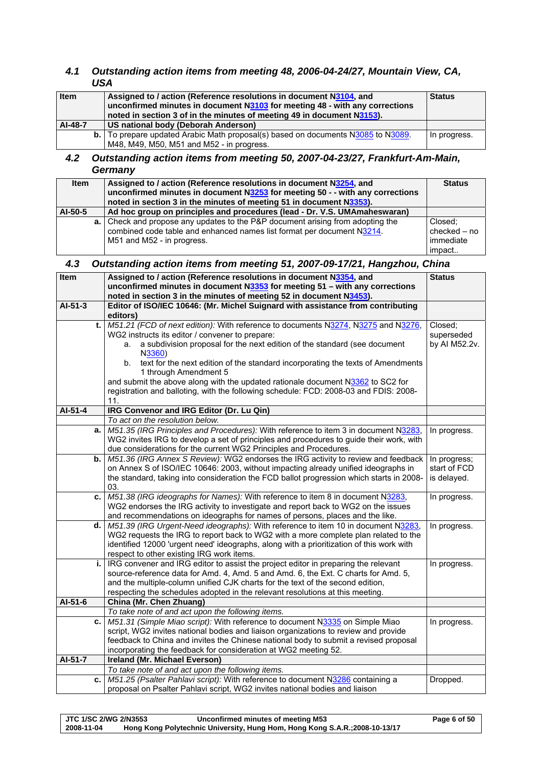## <span id="page-5-0"></span>*4.1 Outstanding action items from meeting 48, 2006-04-24/27, Mountain View, CA, USA*

| <b>Item</b> | Assigned to / action (Reference resolutions in document N3104, and<br>unconfirmed minutes in document N3103 for meeting 48 - with any corrections<br>noted in section 3 of in the minutes of meeting 49 in document N3153). | <b>Status</b> |
|-------------|-----------------------------------------------------------------------------------------------------------------------------------------------------------------------------------------------------------------------------|---------------|
| AI-48-7     | US national body (Deborah Anderson)                                                                                                                                                                                         |               |
|             | b.   To prepare updated Arabic Math proposal(s) based on documents N3085 to N3089.                                                                                                                                          | In progress.  |
|             | M48, M49, M50, M51 and M52 - in progress.                                                                                                                                                                                   |               |

## *4.2 Outstanding action items from meeting 50, 2007-04-23/27, Frankfurt-Am-Main, Germany*

| <b>Item</b> | Assigned to / action (Reference resolutions in document N3254, and<br>unconfirmed minutes in document N3253 for meeting 50 - - with any corrections<br>noted in section 3 in the minutes of meeting 51 in document N3353). | <b>Status</b>                                  |
|-------------|----------------------------------------------------------------------------------------------------------------------------------------------------------------------------------------------------------------------------|------------------------------------------------|
| AI-50-5     | Ad hoc group on principles and procedures (lead - Dr. V.S. UMAmaheswaran)                                                                                                                                                  |                                                |
|             | a. Check and propose any updates to the P&P document arising from adopting the<br>combined code table and enhanced names list format per document N3214.<br>M51 and M52 - in progress.                                     | Closed:<br>checked - no<br>immediate<br>impact |

## *4.3 Outstanding action items from meeting 51, 2007-09-17/21, Hangzhou, China*

| Item      | Assigned to / action (Reference resolutions in document N3354, and                        | <b>Status</b> |  |
|-----------|-------------------------------------------------------------------------------------------|---------------|--|
|           | unconfirmed minutes in document N3353 for meeting 51 - with any corrections               |               |  |
|           | noted in section 3 in the minutes of meeting 52 in document N3453).                       |               |  |
| $AI-51-3$ | Editor of ISO/IEC 10646: (Mr. Michel Suignard with assistance from contributing           |               |  |
|           | editors)                                                                                  |               |  |
|           | M51.21 (FCD of next edition): With reference to documents N3274, N3275 and N3276,<br>t.   | Closed;       |  |
|           | WG2 instructs its editor / convener to prepare:                                           | superseded    |  |
|           | a subdivision proposal for the next edition of the standard (see document<br>a.           | by AI M52.2v. |  |
|           | N3360)                                                                                    |               |  |
|           | text for the next edition of the standard incorporating the texts of Amendments<br>b.     |               |  |
|           | 1 through Amendment 5                                                                     |               |  |
|           | and submit the above along with the updated rationale document N3362 to SC2 for           |               |  |
|           | registration and balloting, with the following schedule: FCD: 2008-03 and FDIS: 2008-     |               |  |
|           | 11.                                                                                       |               |  |
| $AI-51-4$ | IRG Convenor and IRG Editor (Dr. Lu Qin)                                                  |               |  |
|           | To act on the resolution below.                                                           |               |  |
| a.        | M51.35 (IRG Principles and Procedures): With reference to item 3 in document N3283,       | In progress.  |  |
|           | WG2 invites IRG to develop a set of principles and procedures to guide their work, with   |               |  |
|           | due considerations for the current WG2 Principles and Procedures.                         |               |  |
| b.        | M51.36 (IRG Annex S Review): WG2 endorses the IRG activity to review and feedback         | In progress;  |  |
|           | on Annex S of ISO/IEC 10646: 2003, without impacting already unified ideographs in        | start of FCD  |  |
|           | the standard, taking into consideration the FCD ballot progression which starts in 2008-  | is delayed.   |  |
|           | 03.                                                                                       |               |  |
|           | M51.38 (IRG ideographs for Names): With reference to item 8 in document N3283,<br>c.      | In progress.  |  |
|           | WG2 endorses the IRG activity to investigate and report back to WG2 on the issues         |               |  |
|           | and recommendations on ideographs for names of persons, places and the like.              |               |  |
| d.        | M51.39 (IRG Urgent-Need ideographs): With reference to item 10 in document N3283,         | In progress.  |  |
|           | WG2 requests the IRG to report back to WG2 with a more complete plan related to the       |               |  |
|           | identified 12000 'urgent need' ideographs, along with a prioritization of this work with  |               |  |
|           | respect to other existing IRG work items.                                                 |               |  |
|           | IRG convener and IRG editor to assist the project editor in preparing the relevant<br>i., | In progress.  |  |
|           | source-reference data for Amd. 4, Amd. 5 and Amd. 6, the Ext. C charts for Amd. 5,        |               |  |
|           | and the multiple-column unified CJK charts for the text of the second edition,            |               |  |
|           | respecting the schedules adopted in the relevant resolutions at this meeting.             |               |  |
| AI-51-6   | China (Mr. Chen Zhuang)                                                                   |               |  |
|           | To take note of and act upon the following items.                                         |               |  |
|           | M51.31 (Simple Miao script): With reference to document N3335 on Simple Miao<br>c.        | In progress.  |  |
|           | script, WG2 invites national bodies and liaison organizations to review and provide       |               |  |
|           | feedback to China and invites the Chinese national body to submit a revised proposal      |               |  |
|           | incorporating the feedback for consideration at WG2 meeting 52.                           |               |  |
| AI-51-7   | Ireland (Mr. Michael Everson)                                                             |               |  |
|           | To take note of and act upon the following items.                                         |               |  |
| c.        | M51.25 (Psalter Pahlavi script): With reference to document N3286 containing a            | Dropped.      |  |
|           | proposal on Psalter Pahlavi script, WG2 invites national bodies and liaison               |               |  |

| <b>JTC 1/SC 2/WG 2/N3553</b> | Unconfirmed minutes of meeting M53                                          | Page 6 of 50 |
|------------------------------|-----------------------------------------------------------------------------|--------------|
| 2008-11-04                   | Hong Kong Polytechnic University, Hung Hom, Hong Kong S.A.R.; 2008-10-13/17 |              |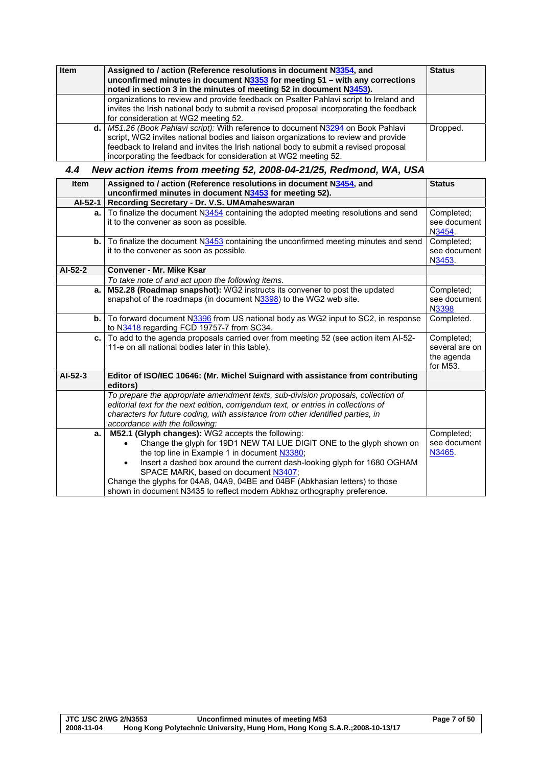| Item | Assigned to / action (Reference resolutions in document N3354, and<br>unconfirmed minutes in document $N3353$ for meeting 51 – with any corrections<br>noted in section 3 in the minutes of meeting 52 in document N3453).                                                                                                          | <b>Status</b> |
|------|-------------------------------------------------------------------------------------------------------------------------------------------------------------------------------------------------------------------------------------------------------------------------------------------------------------------------------------|---------------|
|      | organizations to review and provide feedback on Psalter Pahlavi script to Ireland and<br>invites the Irish national body to submit a revised proposal incorporating the feedback<br>for consideration at WG2 meeting 52.                                                                                                            |               |
|      | d. M51.26 (Book Pahlavi script): With reference to document N3294 on Book Pahlavi<br>script, WG2 invites national bodies and liaison organizations to review and provide<br>feedback to Ireland and invites the Irish national body to submit a revised proposal<br>incorporating the feedback for consideration at WG2 meeting 52. | Dropped.      |

## *4.4 New action items from meeting 52, 2008-04-21/25, Redmond, WA, USA*

| <b>Item</b> | Assigned to / action (Reference resolutions in document N3454, and<br>unconfirmed minutes in document N3453 for meeting 52). | <b>Status</b>          |
|-------------|------------------------------------------------------------------------------------------------------------------------------|------------------------|
| AI-52-1     | Recording Secretary - Dr. V.S. UMAmaheswaran                                                                                 |                        |
| a.          | To finalize the document N3454 containing the adopted meeting resolutions and send                                           | Completed;             |
|             | it to the convener as soon as possible.                                                                                      | see document<br>N3454. |
| b.          | To finalize the document N3453 containing the unconfirmed meeting minutes and send                                           | Completed;             |
|             | it to the convener as soon as possible.                                                                                      | see document           |
|             |                                                                                                                              | N3453.                 |
| AI-52-2     | <b>Convener - Mr. Mike Ksar</b>                                                                                              |                        |
|             | To take note of and act upon the following items.                                                                            |                        |
| a.          | M52.28 (Roadmap snapshot): WG2 instructs its convener to post the updated                                                    | Completed;             |
|             | snapshot of the roadmaps (in document N3398) to the WG2 web site.                                                            | see document           |
|             |                                                                                                                              | N3398                  |
| b.          | To forward document N3396 from US national body as WG2 input to SC2, in response                                             | Completed.             |
|             | to N3418 regarding FCD 19757-7 from SC34.                                                                                    |                        |
| c. I        | To add to the agenda proposals carried over from meeting 52 (see action item Al-52-                                          | Completed;             |
|             | 11-e on all national bodies later in this table).                                                                            | several are on         |
|             |                                                                                                                              | the agenda             |
| $AI-52-3$   |                                                                                                                              | for M53.               |
|             | Editor of ISO/IEC 10646: (Mr. Michel Suignard with assistance from contributing<br>editors)                                  |                        |
|             | To prepare the appropriate amendment texts, sub-division proposals, collection of                                            |                        |
|             | editorial text for the next edition, corrigendum text, or entries in collections of                                          |                        |
|             | characters for future coding, with assistance from other identified parties, in                                              |                        |
|             | accordance with the following:                                                                                               |                        |
| a.          | M52.1 (Glyph changes): WG2 accepts the following:                                                                            | Completed;             |
|             | Change the glyph for 19D1 NEW TAI LUE DIGIT ONE to the glyph shown on                                                        | see document<br>N3465. |
|             | the top line in Example 1 in document N3380;                                                                                 |                        |
|             | Insert a dashed box around the current dash-looking glyph for 1680 OGHAM<br>$\bullet$                                        |                        |
|             | SPACE MARK, based on document N3407;<br>Change the glyphs for 04A8, 04A9, 04BE and 04BF (Abkhasian letters) to those         |                        |
|             | shown in document N3435 to reflect modern Abkhaz orthography preference.                                                     |                        |
|             |                                                                                                                              |                        |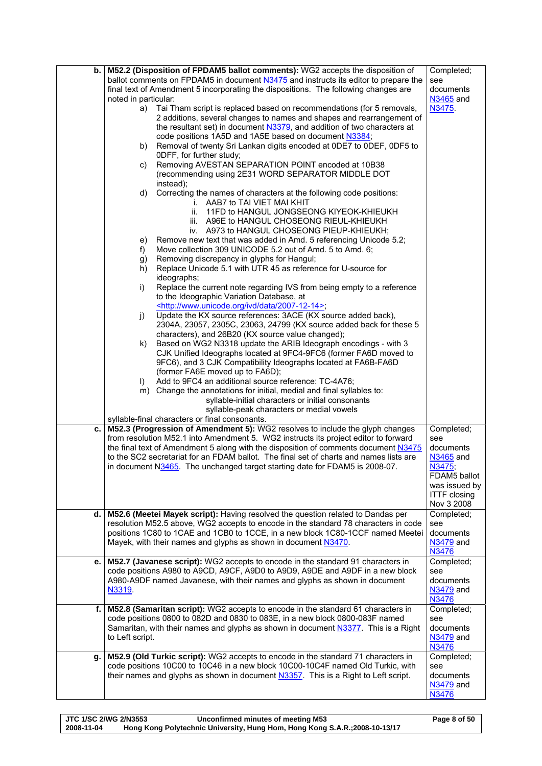| b. | M52.2 (Disposition of FPDAM5 ballot comments): WG2 accepts the disposition of          | Completed;          |
|----|----------------------------------------------------------------------------------------|---------------------|
|    | ballot comments on FPDAM5 in document N3475 and instructs its editor to prepare the    | see                 |
|    | final text of Amendment 5 incorporating the dispositions. The following changes are    | documents           |
|    | noted in particular:                                                                   | N3465 and           |
|    | a) Tai Tham script is replaced based on recommendations (for 5 removals,               | N3475.              |
|    | 2 additions, several changes to names and shapes and rearrangement of                  |                     |
|    | the resultant set) in document N3379, and addition of two characters at                |                     |
|    | code positions 1A5D and 1A5E based on document N3384;                                  |                     |
|    | Removal of twenty Sri Lankan digits encoded at 0DE7 to 0DEF, 0DF5 to<br>b)             |                     |
|    | ODFF, for further study;                                                               |                     |
|    | Removing AVESTAN SEPARATION POINT encoded at 10B38<br>C)                               |                     |
|    | (recommending using 2E31 WORD SEPARATOR MIDDLE DOT                                     |                     |
|    | instead);                                                                              |                     |
|    | d)<br>Correcting the names of characters at the following code positions:              |                     |
|    | i. AAB7 to TAI VIET MAI KHIT                                                           |                     |
|    | 11FD to HANGUL JONGSEONG KIYEOK-KHIEUKH<br>ii.                                         |                     |
|    | iii. A96E to HANGUL CHOSEONG RIEUL-KHIEUKH                                             |                     |
|    | iv. A973 to HANGUL CHOSEONG PIEUP-KHIEUKH;                                             |                     |
|    | Remove new text that was added in Amd. 5 referencing Unicode 5.2;<br>e)                |                     |
|    | Move collection 309 UNICODE 5.2 out of Amd. 5 to Amd. 6;<br>f)                         |                     |
|    | Removing discrepancy in glyphs for Hangul;<br>g)                                       |                     |
|    | Replace Unicode 5.1 with UTR 45 as reference for U-source for<br>h)                    |                     |
|    | ideographs;                                                                            |                     |
|    | Replace the current note regarding IVS from being empty to a reference<br>i)           |                     |
|    | to the Ideographic Variation Database, at                                              |                     |
|    | <http: 2007-12-14="" data="" ivd="" www.unicode.org="">;</http:>                       |                     |
|    | Update the KX source references: 3ACE (KX source added back),<br>j)                    |                     |
|    | 2304A, 23057, 2305C, 23063, 24799 (KX source added back for these 5                    |                     |
|    | characters), and 26B20 (KX source value changed);                                      |                     |
|    | Based on WG2 N3318 update the ARIB Ideograph encodings - with 3<br>k)                  |                     |
|    | CJK Unified Ideographs located at 9FC4-9FC6 (former FA6D moved to                      |                     |
|    | 9FC6), and 3 CJK Compatibility Ideographs located at FA6B-FA6D                         |                     |
|    | (former FA6E moved up to FA6D);                                                        |                     |
|    | Add to 9FC4 an additional source reference: TC-4A76;<br>$\mathsf{D}$                   |                     |
|    | m) Change the annotations for initial, medial and final syllables to:                  |                     |
|    | syllable-initial characters or initial consonants                                      |                     |
|    | syllable-peak characters or medial vowels                                              |                     |
|    | syllable-final characters or final consonants.                                         |                     |
| c. | M52.3 (Progression of Amendment 5): WG2 resolves to include the glyph changes          | Completed;          |
|    | from resolution M52.1 into Amendment 5. WG2 instructs its project editor to forward    | see                 |
|    | the final text of Amendment 5 along with the disposition of comments document N3475    | documents           |
|    | to the SC2 secretariat for an FDAM ballot. The final set of charts and names lists are | N3465 and           |
|    | in document N3465. The unchanged target starting date for FDAM5 is 2008-07.            | N3475               |
|    |                                                                                        | FDAM5 ballot        |
|    |                                                                                        | was issued by       |
|    |                                                                                        | <b>ITTF</b> closing |
|    |                                                                                        | Nov 3 2008          |
| d. | M52.6 (Meetei Mayek script): Having resolved the question related to Dandas per        | Completed;          |
|    | resolution M52.5 above, WG2 accepts to encode in the standard 78 characters in code    | see                 |
|    | positions 1C80 to 1CAE and 1CB0 to 1CCE, in a new block 1C80-1CCF named Meetei         | documents           |
|    | Mayek, with their names and glyphs as shown in document N3470.                         | N3479 and           |
|    |                                                                                        | <b>N3476</b>        |
| е. | M52.7 (Javanese script): WG2 accepts to encode in the standard 91 characters in        | Completed;          |
|    | code positions A980 to A9CD, A9CF, A9D0 to A9D9, A9DE and A9DF in a new block          | see                 |
|    | A980-A9DF named Javanese, with their names and glyphs as shown in document             | documents           |
|    | N3319.                                                                                 | N3479 and           |
|    |                                                                                        | <b>N3476</b>        |
| f. | M52.8 (Samaritan script): WG2 accepts to encode in the standard 61 characters in       | Completed;          |
|    | code positions 0800 to 082D and 0830 to 083E, in a new block 0800-083F named           | see                 |
|    | Samaritan, with their names and glyphs as shown in document N3377. This is a Right     | documents           |
|    | to Left script.                                                                        | N3479 and           |
|    |                                                                                        | N3476               |
| g. | M52.9 (Old Turkic script): WG2 accepts to encode in the standard 71 characters in      | Completed;          |
|    | code positions 10C00 to 10C46 in a new block 10C00-10C4F named Old Turkic, with        | see                 |
|    | their names and glyphs as shown in document N3357. This is a Right to Left script.     | documents           |
|    |                                                                                        | N3479 and           |
|    |                                                                                        | <b>N3476</b>        |

| JTC 1/SC 2/WG 2/N3553 | Unconfirmed minutes of meeting M53                                          | Page 8 of 50 |
|-----------------------|-----------------------------------------------------------------------------|--------------|
| 2008-11-04            | Hong Kong Polytechnic University, Hung Hom, Hong Kong S.A.R.; 2008-10-13/17 |              |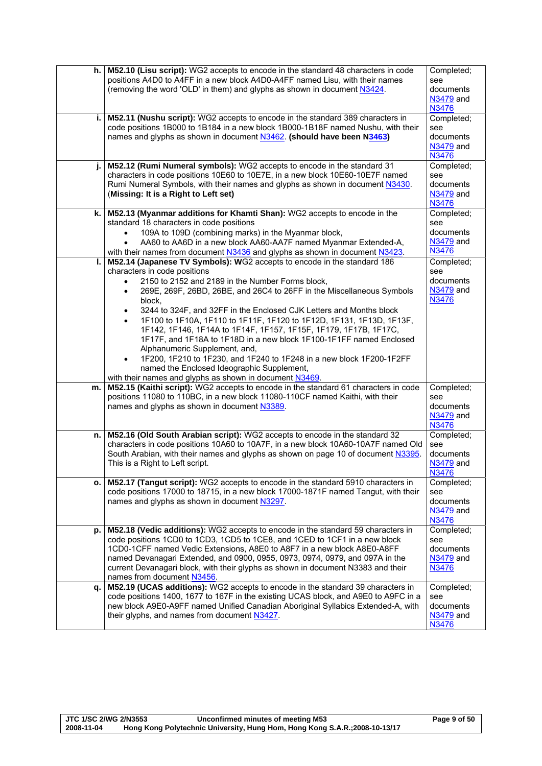|      | h.   M52.10 (Lisu script): WG2 accepts to encode in the standard 48 characters in code<br>positions A4D0 to A4FF in a new block A4D0-A4FF named Lisu, with their names<br>(removing the word 'OLD' in them) and glyphs as shown in document N3424.                                | Completed;<br>see<br>documents<br>N3479 and                 |
|------|-----------------------------------------------------------------------------------------------------------------------------------------------------------------------------------------------------------------------------------------------------------------------------------|-------------------------------------------------------------|
|      |                                                                                                                                                                                                                                                                                   | N3476                                                       |
| i.   | M52.11 (Nushu script): WG2 accepts to encode in the standard 389 characters in<br>code positions 1B000 to 1B184 in a new block 1B000-1B18F named Nushu, with their<br>names and glyphs as shown in document N3462. (should have been N3463)                                       | Completed;<br>see<br>documents<br>N3479 and<br><b>N3476</b> |
|      | M52.12 (Rumi Numeral symbols): WG2 accepts to encode in the standard 31<br>characters in code positions 10E60 to 10E7E, in a new block 10E60-10E7F named<br>Rumi Numeral Symbols, with their names and glyphs as shown in document N3430.<br>(Missing: It is a Right to Left set) | Completed;<br>see<br>documents<br>N3479 and<br>N3476        |
| k. I | M52.13 (Myanmar additions for Khamti Shan): WG2 accepts to encode in the                                                                                                                                                                                                          | Completed;                                                  |
|      | standard 18 characters in code positions                                                                                                                                                                                                                                          | see                                                         |
|      | 109A to 109D (combining marks) in the Myanmar block,                                                                                                                                                                                                                              | documents                                                   |
|      |                                                                                                                                                                                                                                                                                   |                                                             |
|      | AA60 to AA6D in a new block AA60-AA7F named Myanmar Extended-A,                                                                                                                                                                                                                   | N3479 and                                                   |
|      | with their names from document N3436 and glyphs as shown in document N3423.                                                                                                                                                                                                       | N3476                                                       |
| ı.   | M52.14 (Japanese TV Symbols): WG2 accepts to encode in the standard 186                                                                                                                                                                                                           | Completed;                                                  |
|      | characters in code positions                                                                                                                                                                                                                                                      | see                                                         |
|      | 2150 to 2152 and 2189 in the Number Forms block,                                                                                                                                                                                                                                  | documents                                                   |
|      | 269E, 269F, 26BD, 26BE, and 26C4 to 26FF in the Miscellaneous Symbols<br>$\bullet$                                                                                                                                                                                                | N3479 and                                                   |
|      | block,                                                                                                                                                                                                                                                                            | N3476                                                       |
|      |                                                                                                                                                                                                                                                                                   |                                                             |
|      | 3244 to 324F, and 32FF in the Enclosed CJK Letters and Months block                                                                                                                                                                                                               |                                                             |
|      | 1F100 to 1F10A, 1F110 to 1F11F, 1F120 to 1F12D, 1F131, 1F13D, 1F13F,                                                                                                                                                                                                              |                                                             |
|      | 1F142, 1F146, 1F14A to 1F14F, 1F157, 1F15F, 1F179, 1F17B, 1F17C,                                                                                                                                                                                                                  |                                                             |
|      | 1F17F, and 1F18A to 1F18D in a new block 1F100-1F1FF named Enclosed                                                                                                                                                                                                               |                                                             |
|      | Alphanumeric Supplement, and,                                                                                                                                                                                                                                                     |                                                             |
|      | 1F200, 1F210 to 1F230, and 1F240 to 1F248 in a new block 1F200-1F2FF                                                                                                                                                                                                              |                                                             |
|      | named the Enclosed Ideographic Supplement,                                                                                                                                                                                                                                        |                                                             |
|      | with their names and glyphs as shown in document N3469.                                                                                                                                                                                                                           |                                                             |
| m.   | M52.15 (Kaithi script): WG2 accepts to encode in the standard 61 characters in code                                                                                                                                                                                               | Completed;                                                  |
|      | positions 11080 to 110BC, in a new block 11080-110CF named Kaithi, with their                                                                                                                                                                                                     | see                                                         |
|      | names and glyphs as shown in document N3389.                                                                                                                                                                                                                                      | documents                                                   |
|      |                                                                                                                                                                                                                                                                                   | N3479 and                                                   |
|      |                                                                                                                                                                                                                                                                                   | N3476                                                       |
| n.   | M52.16 (Old South Arabian script): WG2 accepts to encode in the standard 32                                                                                                                                                                                                       | Completed;                                                  |
|      | characters in code positions 10A60 to 10A7F, in a new block 10A60-10A7F named Old                                                                                                                                                                                                 | see                                                         |
|      | South Arabian, with their names and glyphs as shown on page 10 of document N3395.                                                                                                                                                                                                 | documents                                                   |
|      |                                                                                                                                                                                                                                                                                   |                                                             |
|      | This is a Right to Left script.                                                                                                                                                                                                                                                   | N3479 and                                                   |
|      |                                                                                                                                                                                                                                                                                   | N3476                                                       |
| о.   | M52.17 (Tangut script): WG2 accepts to encode in the standard 5910 characters in                                                                                                                                                                                                  | Completed;                                                  |
|      | code positions 17000 to 18715, in a new block 17000-1871F named Tangut, with their                                                                                                                                                                                                | see                                                         |
|      | names and glyphs as shown in document N3297.                                                                                                                                                                                                                                      | documents                                                   |
|      |                                                                                                                                                                                                                                                                                   | N3479 and                                                   |
|      |                                                                                                                                                                                                                                                                                   | N3476                                                       |
| p.   | M52.18 (Vedic additions): WG2 accepts to encode in the standard 59 characters in                                                                                                                                                                                                  | Completed;                                                  |
|      | code positions 1CD0 to 1CD3, 1CD5 to 1CE8, and 1CED to 1CF1 in a new block                                                                                                                                                                                                        | see                                                         |
|      | 1CD0-1CFF named Vedic Extensions, A8E0 to A8F7 in a new block A8E0-A8FF                                                                                                                                                                                                           | documents                                                   |
|      | named Devanagari Extended, and 0900, 0955, 0973, 0974, 0979, and 097A in the                                                                                                                                                                                                      | N3479 and                                                   |
|      | current Devanagari block, with their glyphs as shown in document N3383 and their                                                                                                                                                                                                  | N3476                                                       |
|      |                                                                                                                                                                                                                                                                                   |                                                             |
|      | names from document N3456.                                                                                                                                                                                                                                                        |                                                             |
| q.   | M52.19 (UCAS additions): WG2 accepts to encode in the standard 39 characters in                                                                                                                                                                                                   | Completed;                                                  |
|      | code positions 1400, 1677 to 167F in the existing UCAS block, and A9E0 to A9FC in a                                                                                                                                                                                               | see                                                         |
|      | new block A9E0-A9FF named Unified Canadian Aboriginal Syllabics Extended-A, with                                                                                                                                                                                                  | documents                                                   |
|      | their glyphs, and names from document N3427.                                                                                                                                                                                                                                      | N3479 and                                                   |
|      |                                                                                                                                                                                                                                                                                   | N3476                                                       |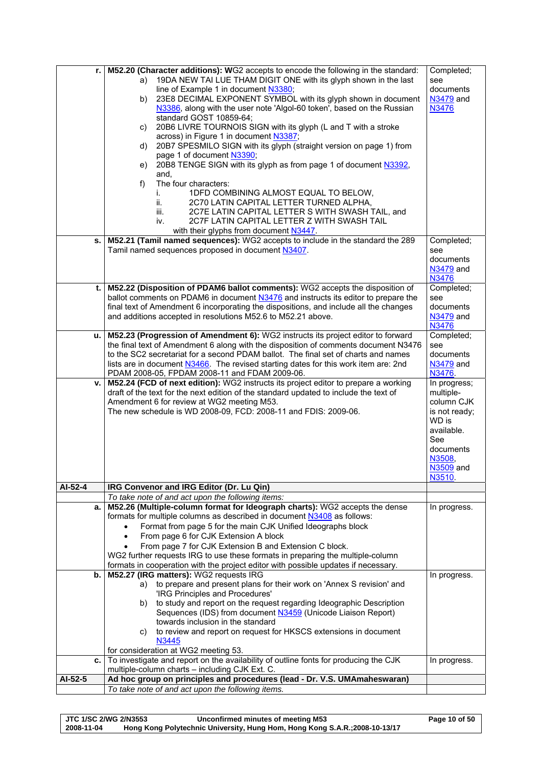|           | r.   M52.20 (Character additions): WG2 accepts to encode the following in the standard:                                        | Completed;    |
|-----------|--------------------------------------------------------------------------------------------------------------------------------|---------------|
|           | 19DA NEW TAI LUE THAM DIGIT ONE with its glyph shown in the last<br>a)                                                         | see           |
|           | line of Example 1 in document N3380;                                                                                           | documents     |
|           | 23E8 DECIMAL EXPONENT SYMBOL with its glyph shown in document<br>b)                                                            | N3479 and     |
|           | N3386, along with the user note 'Algol-60 token', based on the Russian                                                         | N3476         |
|           | standard GOST 10859-64;                                                                                                        |               |
|           | 20B6 LIVRE TOURNOIS SIGN with its glyph (L and T with a stroke<br>C)                                                           |               |
|           |                                                                                                                                |               |
|           | across) in Figure 1 in document N3387;                                                                                         |               |
|           | 20B7 SPESMILO SIGN with its glyph (straight version on page 1) from<br>d)                                                      |               |
|           | page 1 of document N3390;                                                                                                      |               |
|           | 20B8 TENGE SIGN with its glyph as from page 1 of document N3392,<br>e)                                                         |               |
|           | and,                                                                                                                           |               |
|           | The four characters:<br>f)                                                                                                     |               |
|           | 1DFD COMBINING ALMOST EQUAL TO BELOW,<br>i.                                                                                    |               |
|           | 2C70 LATIN CAPITAL LETTER TURNED ALPHA,<br>ii.                                                                                 |               |
|           | iii.<br>2C7E LATIN CAPITAL LETTER S WITH SWASH TAIL, and                                                                       |               |
|           | 2C7F LATIN CAPITAL LETTER Z WITH SWASH TAIL<br>iv.                                                                             |               |
|           | with their glyphs from document N3447.                                                                                         |               |
| s.        | M52.21 (Tamil named sequences): WG2 accepts to include in the standard the 289                                                 | Completed;    |
|           | Tamil named sequences proposed in document N3407.                                                                              | see           |
|           |                                                                                                                                | documents     |
|           |                                                                                                                                | N3479 and     |
|           |                                                                                                                                | N3476         |
|           | M52.22 (Disposition of PDAM6 ballot comments): WG2 accepts the disposition of                                                  | Completed;    |
| t.        |                                                                                                                                |               |
|           | ballot comments on PDAM6 in document N3476 and instructs its editor to prepare the                                             | see           |
|           | final text of Amendment 6 incorporating the dispositions, and include all the changes                                          | documents     |
|           | and additions accepted in resolutions M52.6 to M52.21 above.                                                                   | N3479 and     |
|           |                                                                                                                                | N3476         |
| u.        | M52.23 (Progression of Amendment 6): WG2 instructs its project editor to forward                                               | Completed;    |
|           | the final text of Amendment 6 along with the disposition of comments document N3476                                            | see           |
|           | to the SC2 secretariat for a second PDAM ballot. The final set of charts and names                                             | documents     |
|           | lists are in document N3466. The revised starting dates for this work item are: 2nd                                            | N3479 and     |
|           | PDAM 2008-05, FPDAM 2008-11 and FDAM 2009-06.                                                                                  | N3476.        |
| v.        | M52.24 (FCD of next edition): WG2 instructs its project editor to prepare a working                                            | In progress;  |
|           | draft of the text for the next edition of the standard updated to include the text of                                          | multiple-     |
|           | Amendment 6 for review at WG2 meeting M53.                                                                                     | column CJK    |
|           | The new schedule is WD 2008-09, FCD: 2008-11 and FDIS: 2009-06.                                                                |               |
|           |                                                                                                                                |               |
|           |                                                                                                                                | is not ready; |
|           |                                                                                                                                | WD is         |
|           |                                                                                                                                | available.    |
|           |                                                                                                                                | See           |
|           |                                                                                                                                | documents     |
|           |                                                                                                                                | N3508.        |
|           |                                                                                                                                | N3509 and     |
|           |                                                                                                                                | N3510         |
| AI-52-4   | IRG Convenor and IRG Editor (Dr. Lu Qin)                                                                                       |               |
|           | To take note of and act upon the following items:                                                                              |               |
| a.        | M52.26 (Multiple-column format for Ideograph charts): WG2 accepts the dense                                                    | In progress.  |
|           | formats for multiple columns as described in document N3408 as follows:                                                        |               |
|           | Format from page 5 for the main CJK Unified Ideographs block                                                                   |               |
|           | From page 6 for CJK Extension A block<br>$\bullet$                                                                             |               |
|           | From page 7 for CJK Extension B and Extension C block.<br>$\bullet$                                                            |               |
|           | WG2 further requests IRG to use these formats in preparing the multiple-column                                                 |               |
|           | formats in cooperation with the project editor with possible updates if necessary.                                             |               |
| b.        | M52.27 (IRG matters): WG2 requests IRG                                                                                         | In progress.  |
|           | to prepare and present plans for their work on 'Annex S revision' and<br>a)                                                    |               |
|           | 'IRG Principles and Procedures'                                                                                                |               |
|           |                                                                                                                                |               |
|           | b) to study and report on the request regarding Ideographic Description                                                        |               |
|           | Sequences (IDS) from document N3459 (Unicode Liaison Report)<br>towards inclusion in the standard                              |               |
|           | C)                                                                                                                             |               |
|           | to review and report on request for HKSCS extensions in document                                                               |               |
|           | N3445                                                                                                                          |               |
|           | for consideration at WG2 meeting 53.                                                                                           |               |
| c.        | To investigate and report on the availability of outline fonts for producing the CJK                                           | In progress.  |
|           | multiple-column charts - including CJK Ext. C.                                                                                 |               |
| $AI-52-5$ | Ad hoc group on principles and procedures (lead - Dr. V.S. UMAmaheswaran)<br>To take note of and act upon the following items. |               |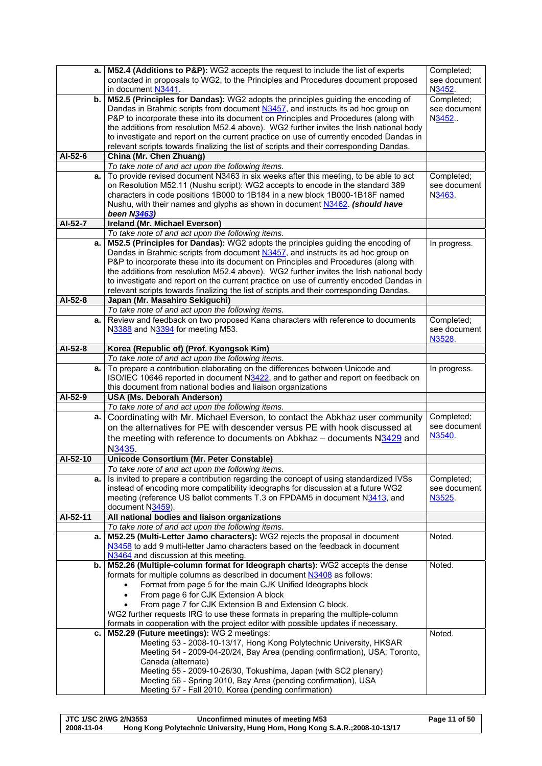| a.       | M52.4 (Additions to P&P): WG2 accepts the request to include the list of experts<br>contacted in proposals to WG2, to the Principles and Procedures document proposed<br>in document N3441.                                                                                                                                                                                                                                                                                                                                                  | Completed;<br>see document<br>N3452. |
|----------|----------------------------------------------------------------------------------------------------------------------------------------------------------------------------------------------------------------------------------------------------------------------------------------------------------------------------------------------------------------------------------------------------------------------------------------------------------------------------------------------------------------------------------------------|--------------------------------------|
| b.       | M52.5 (Principles for Dandas): WG2 adopts the principles guiding the encoding of<br>Dandas in Brahmic scripts from document N3457, and instructs its ad hoc group on<br>P&P to incorporate these into its document on Principles and Procedures (along with<br>the additions from resolution M52.4 above). WG2 further invites the Irish national body<br>to investigate and report on the current practice on use of currently encoded Dandas in<br>relevant scripts towards finalizing the list of scripts and their corresponding Dandas. | Completed;<br>see document<br>N3452. |
| AI-52-6  | China (Mr. Chen Zhuang)                                                                                                                                                                                                                                                                                                                                                                                                                                                                                                                      |                                      |
|          | To take note of and act upon the following items.                                                                                                                                                                                                                                                                                                                                                                                                                                                                                            |                                      |
| a.       | To provide revised document N3463 in six weeks after this meeting, to be able to act<br>on Resolution M52.11 (Nushu script): WG2 accepts to encode in the standard 389<br>characters in code positions 1B000 to 1B184 in a new block 1B000-1B18F named<br>Nushu, with their names and glyphs as shown in document N3462. (should have<br>been N3463)                                                                                                                                                                                         | Completed;<br>see document<br>N3463. |
| AI-52-7  | Ireland (Mr. Michael Everson)                                                                                                                                                                                                                                                                                                                                                                                                                                                                                                                |                                      |
|          | To take note of and act upon the following items.                                                                                                                                                                                                                                                                                                                                                                                                                                                                                            |                                      |
| a.       | M52.5 (Principles for Dandas): WG2 adopts the principles guiding the encoding of<br>Dandas in Brahmic scripts from document N3457, and instructs its ad hoc group on<br>P&P to incorporate these into its document on Principles and Procedures (along with<br>the additions from resolution M52.4 above). WG2 further invites the Irish national body<br>to investigate and report on the current practice on use of currently encoded Dandas in<br>relevant scripts towards finalizing the list of scripts and their corresponding Dandas. | In progress.                         |
| AI-52-8  | Japan (Mr. Masahiro Sekiguchi)                                                                                                                                                                                                                                                                                                                                                                                                                                                                                                               |                                      |
| a.       | To take note of and act upon the following items.<br>Review and feedback on two proposed Kana characters with reference to documents<br>N3388 and N3394 for meeting M53.                                                                                                                                                                                                                                                                                                                                                                     | Completed;<br>see document<br>N3528. |
| AI-52-8  | Korea (Republic of) (Prof. Kyongsok Kim)                                                                                                                                                                                                                                                                                                                                                                                                                                                                                                     |                                      |
|          | To take note of and act upon the following items.                                                                                                                                                                                                                                                                                                                                                                                                                                                                                            |                                      |
| a.       | To prepare a contribution elaborating on the differences between Unicode and<br>ISO/IEC 10646 reported in document N3422, and to gather and report on feedback on<br>this document from national bodies and liaison organizations                                                                                                                                                                                                                                                                                                            | In progress.                         |
| AI-52-9  | <b>USA (Ms. Deborah Anderson)</b>                                                                                                                                                                                                                                                                                                                                                                                                                                                                                                            |                                      |
|          | To take note of and act upon the following items.                                                                                                                                                                                                                                                                                                                                                                                                                                                                                            |                                      |
| a.       | Coordinating with Mr. Michael Everson, to contact the Abkhaz user community<br>on the alternatives for PE with descender versus PE with hook discussed at<br>the meeting with reference to documents on Abkhaz $-$ documents $N3429$ and<br>N3435.                                                                                                                                                                                                                                                                                           | Completed;<br>see document<br>N3540. |
| Al-52-10 | Unicode Consortium (Mr. Peter Constable)                                                                                                                                                                                                                                                                                                                                                                                                                                                                                                     |                                      |
|          | To take note of and act upon the following items.                                                                                                                                                                                                                                                                                                                                                                                                                                                                                            |                                      |
| a.       | Is invited to prepare a contribution regarding the concept of using standardized IVSs<br>instead of encoding more compatibility ideographs for discussion at a future WG2<br>meeting (reference US ballot comments T.3 on FPDAM5 in document N3413, and<br>document N3459).                                                                                                                                                                                                                                                                  | Completed;<br>see document<br>N3525. |
| AI-52-11 | All national bodies and liaison organizations                                                                                                                                                                                                                                                                                                                                                                                                                                                                                                |                                      |
| a.       | To take note of and act upon the following items.<br>M52.25 (Multi-Letter Jamo characters): WG2 rejects the proposal in document                                                                                                                                                                                                                                                                                                                                                                                                             | Noted.                               |
|          | N3458 to add 9 multi-letter Jamo characters based on the feedback in document<br>N3464 and discussion at this meeting.                                                                                                                                                                                                                                                                                                                                                                                                                       |                                      |
| b.       | M52.26 (Multiple-column format for Ideograph charts): WG2 accepts the dense                                                                                                                                                                                                                                                                                                                                                                                                                                                                  | Noted.                               |
|          | formats for multiple columns as described in document N3408 as follows:<br>Format from page 5 for the main CJK Unified Ideographs block<br>From page 6 for CJK Extension A block<br>From page 7 for CJK Extension B and Extension C block.<br>WG2 further requests IRG to use these formats in preparing the multiple-column<br>formats in cooperation with the project editor with possible updates if necessary.                                                                                                                           |                                      |
| c.       | M52.29 (Future meetings): WG 2 meetings:                                                                                                                                                                                                                                                                                                                                                                                                                                                                                                     | Noted.                               |
|          | Meeting 53 - 2008-10-13/17, Hong Kong Polytechnic University, HKSAR<br>Meeting 54 - 2009-04-20/24, Bay Area (pending confirmation), USA; Toronto,<br>Canada (alternate)<br>Meeting 55 - 2009-10-26/30, Tokushima, Japan (with SC2 plenary)<br>Meeting 56 - Spring 2010, Bay Area (pending confirmation), USA<br>Meeting 57 - Fall 2010, Korea (pending confirmation)                                                                                                                                                                         |                                      |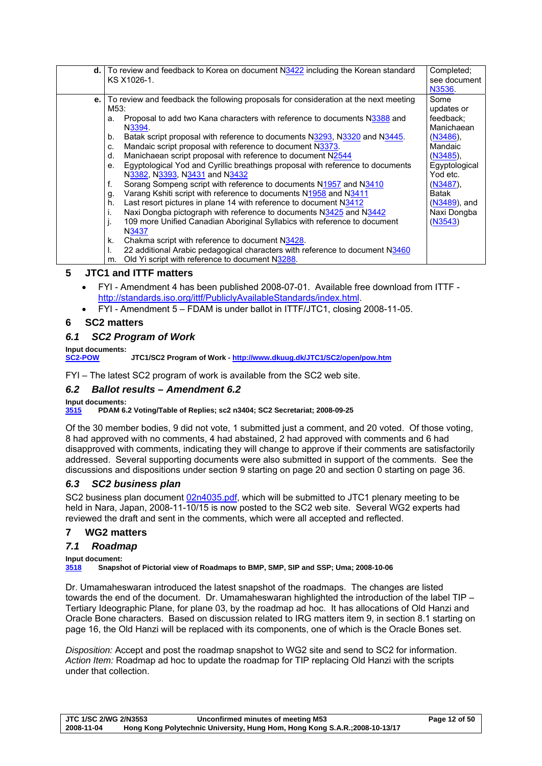| d. I | To review and feedback to Korea on document N3422 including the Korean standard<br>KS X1026-1. | Completed:<br>see document<br>N3536. |
|------|------------------------------------------------------------------------------------------------|--------------------------------------|
| e. I | To review and feedback the following proposals for consideration at the next meeting           | Some                                 |
|      | M53:                                                                                           | updates or                           |
|      | Proposal to add two Kana characters with reference to documents N3388 and<br>a.                | feedback;                            |
|      | N3394.                                                                                         | Manichaean                           |
|      | Batak script proposal with reference to documents N3293, N3320 and N3445.<br>b.                | $(N3486)$ ,                          |
|      | Mandaic script proposal with reference to document N3373.<br>C.                                | Mandaic                              |
|      | Manichaean script proposal with reference to document N2544<br>d.                              | (N3485),                             |
|      | Egyptological Yod and Cyrillic breathings proposal with reference to documents<br>е.           | Egyptological                        |
|      | N3382, N3393, N3431 and N3432                                                                  | Yod etc.                             |
|      | Sorang Sompeng script with reference to documents N1957 and N3410<br>f.                        | (N3487),                             |
|      | Varang Kshiti script with reference to documents N1958 and N3411<br>g.                         | Batak                                |
|      | Last resort pictures in plane 14 with reference to document N3412<br>h.                        | $(N3489)$ , and                      |
|      | Naxi Dongba pictograph with reference to documents N3425 and N3442<br>ı.                       | Naxi Dongba                          |
|      | 109 more Unified Canadian Aboriginal Syllabics with reference to document<br>ı.                | (N3543)                              |
|      | N3437                                                                                          |                                      |
|      | Chakma script with reference to document N3428.<br>k.                                          |                                      |
|      | 22 additional Arabic pedagogical characters with reference to document N3460                   |                                      |
|      | Old Yi script with reference to document N3288.<br>m.                                          |                                      |

## **5 JTC1 and ITTF matters**

- FYI Amendment 4 has been published 2008-07-01. Available free download from ITTF http://standards.iso.org/ittf/PubliclyAvailableStandards/index.html.
- FYI Amendment 5 FDAM is under ballot in ITTF/JTC1, closing 2008-11-05.

## **6 SC2 matters**

## *6.1 SC2 Program of Work*

**Input documents: SC2-POW JTC1/SC2 Program of Work - http://www.dkuug.dk/JTC1/SC2/open/pow.htm**

FYI – The latest SC2 program of work is available from the SC2 web site.

## *6.2 Ballot results – Amendment 6.2*

## **Input documents:**

**3515 PDAM 6.2 Voting/Table of Replies; sc2 n3404; SC2 Secretariat; 2008-09-25** 

Of the 30 member bodies, 9 did not vote, 1 submitted just a comment, and 20 voted. Of those voting, 8 had approved with no comments, 4 had abstained, 2 had approved with comments and 6 had disapproved with comments, indicating they will change to approve if their comments are satisfactorily addressed. Several supporting documents were also submitted in support of the comments. See the discussions and dispositions under section 9 starting on page 20 and section 0 starting on page 36.

## *6.3 SC2 business plan*

SC2 business plan document 02n4035.pdf, which will be submitted to JTC1 plenary meeting to be held in Nara, Japan, 2008-11-10/15 is now posted to the SC2 web site. Several WG2 experts had reviewed the draft and sent in the comments, which were all accepted and reflected.

## **7 WG2 matters**

## *7.1 Roadmap*

**Input document:** 

**3518 Snapshot of Pictorial view of Roadmaps to BMP, SMP, SIP and SSP; Uma; 2008-10-06** 

Dr. Umamaheswaran introduced the latest snapshot of the roadmaps. The changes are listed towards the end of the document. Dr. Umamaheswaran highlighted the introduction of the label TIP – Tertiary Ideographic Plane, for plane 03, by the roadmap ad hoc. It has allocations of Old Hanzi and Oracle Bone characters. Based on discussion related to IRG matters item 9, in section 8.1 starting on page 16, the Old Hanzi will be replaced with its components, one of which is the Oracle Bones set.

*Disposition:* Accept and post the roadmap snapshot to WG2 site and send to SC2 for information. *Action Item:* Roadmap ad hoc to update the roadmap for TIP replacing Old Hanzi with the scripts under that collection.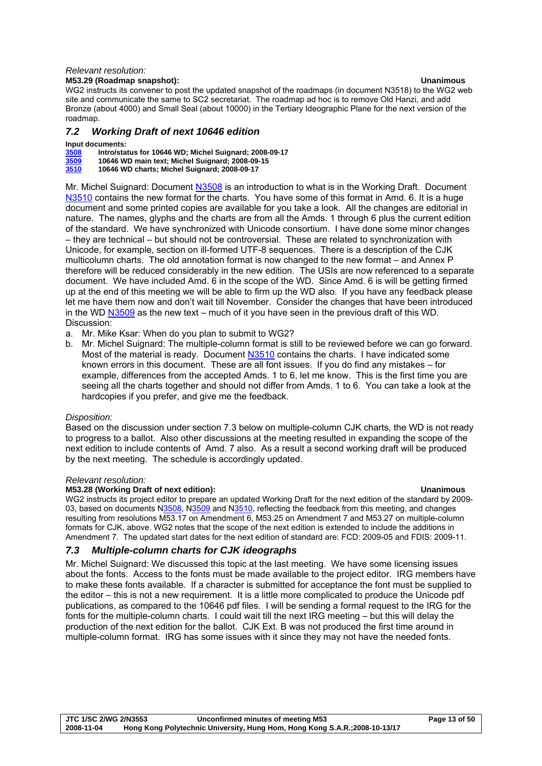## *Relevant resolution:*

## **M53.29 (Roadmap snapshot): Unanimous**

WG2 instructs its convener to post the updated snapshot of the roadmaps (in document N3518) to the WG2 web site and communicate the same to SC2 secretariat. The roadmap ad hoc is to remove Old Hanzi, and add Bronze (about 4000) and Small Seal (about 10000) in the Tertiary Ideographic Plane for the next version of the roadmap.

## *7.2 Working Draft of next 10646 edition*

## **Input documents:**

| 3508 | Intro/status for 10646 WD; Michel Suignard; 2008-09-17 |
|------|--------------------------------------------------------|
| 3509 | 10646 WD main text; Michel Suignard; 2008-09-15        |
| 3510 | 10646 WD charts; Michel Suignard; 2008-09-17           |

Mr. Michel Suignard: Document N3508 is an introduction to what is in the Working Draft. Document N3510 contains the new format for the charts. You have some of this format in Amd. 6. It is a huge document and some printed copies are available for you take a look. All the changes are editorial in nature. The names, glyphs and the charts are from all the Amds. 1 through 6 plus the current edition of the standard. We have synchronized with Unicode consortium. I have done some minor changes – they are technical – but should not be controversial. These are related to synchronization with Unicode, for example, section on ill-formed UTF-8 sequences. There is a description of the CJK multicolumn charts. The old annotation format is now changed to the new format – and Annex P therefore will be reduced considerably in the new edition. The USIs are now referenced to a separate document. We have included Amd. 6 in the scope of the WD. Since Amd. 6 is will be getting firmed up at the end of this meeting we will be able to firm up the WD also. If you have any feedback please let me have them now and don't wait till November. Consider the changes that have been introduced in the WD  $N3509$  as the new text – much of it you have seen in the previous draft of this WD. Discussion:

- a. Mr. Mike Ksar: When do you plan to submit to WG2?
- b. Mr. Michel Suignard: The multiple-column format is still to be reviewed before we can go forward. Most of the material is ready. Document N3510 contains the charts. I have indicated some known errors in this document. These are all font issues. If you do find any mistakes – for example, differences from the accepted Amds. 1 to 6, let me know. This is the first time you are seeing all the charts together and should not differ from Amds. 1 to 6. You can take a look at the hardcopies if you prefer, and give me the feedback.

## *Disposition:*

Based on the discussion under section 7.3 below on multiple-column CJK charts, the WD is not ready to progress to a ballot. Also other discussions at the meeting resulted in expanding the scope of the next edition to include contents of Amd. 7 also. As a result a second working draft will be produced by the next meeting. The schedule is accordingly updated.

## *Relevant resolution:*

## **M53.28 (Working Draft of next edition): Unanimous**

WG2 instructs its project editor to prepare an updated Working Draft for the next edition of the standard by 2009- 03, based on documents N3508, N3509 and N3510, reflecting the feedback from this meeting, and changes resulting from resolutions M53.17 on Amendment 6, M53.25 on Amendment 7 and M53.27 on multiple-column formats for CJK, above. WG2 notes that the scope of the next edition is extended to include the additions in Amendment 7. The updated start dates for the next edition of standard are: FCD: 2009-05 and FDIS: 2009-11.

## *7.3 Multiple-column charts for CJK ideographs*

Mr. Michel Suignard: We discussed this topic at the last meeting. We have some licensing issues about the fonts. Access to the fonts must be made available to the project editor. IRG members have to make these fonts available. If a character is submitted for acceptance the font must be supplied to the editor – this is not a new requirement. It is a little more complicated to produce the Unicode pdf publications, as compared to the 10646 pdf files. I will be sending a formal request to the IRG for the fonts for the multiple-column charts. I could wait till the next IRG meeting – but this will delay the production of the next edition for the ballot. CJK Ext. B was not produced the first time around in multiple-column format. IRG has some issues with it since they may not have the needed fonts.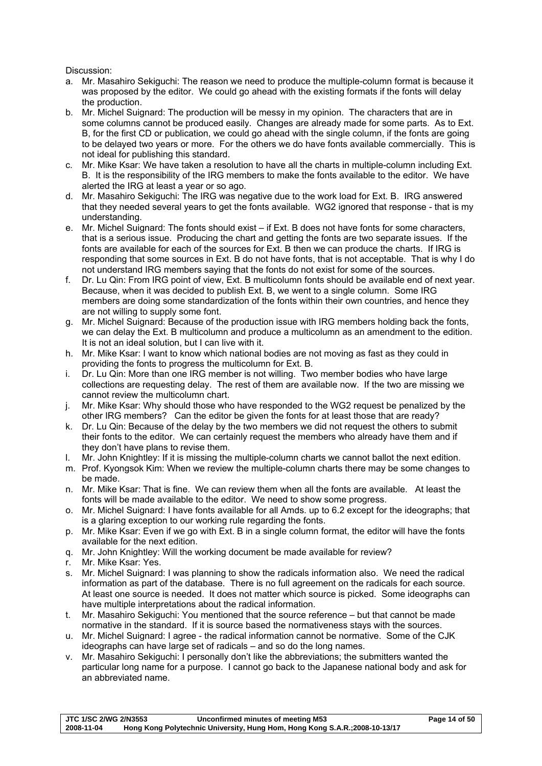Discussion:

- a. Mr. Masahiro Sekiguchi: The reason we need to produce the multiple-column format is because it was proposed by the editor. We could go ahead with the existing formats if the fonts will delay the production.
- b. Mr. Michel Suignard: The production will be messy in my opinion. The characters that are in some columns cannot be produced easily. Changes are already made for some parts. As to Ext. B, for the first CD or publication, we could go ahead with the single column, if the fonts are going to be delayed two years or more. For the others we do have fonts available commercially. This is not ideal for publishing this standard.
- c. Mr. Mike Ksar: We have taken a resolution to have all the charts in multiple-column including Ext. B. It is the responsibility of the IRG members to make the fonts available to the editor. We have alerted the IRG at least a year or so ago.
- d. Mr. Masahiro Sekiguchi: The IRG was negative due to the work load for Ext. B. IRG answered that they needed several years to get the fonts available. WG2 ignored that response - that is my understanding.
- e. Mr. Michel Suignard: The fonts should exist if Ext. B does not have fonts for some characters, that is a serious issue. Producing the chart and getting the fonts are two separate issues. If the fonts are available for each of the sources for Ext. B then we can produce the charts. If IRG is responding that some sources in Ext. B do not have fonts, that is not acceptable. That is why I do not understand IRG members saying that the fonts do not exist for some of the sources.
- f. Dr. Lu Qin: From IRG point of view, Ext. B multicolumn fonts should be available end of next year. Because, when it was decided to publish Ext. B, we went to a single column. Some IRG members are doing some standardization of the fonts within their own countries, and hence they are not willing to supply some font.
- g. Mr. Michel Suignard: Because of the production issue with IRG members holding back the fonts, we can delay the Ext. B multicolumn and produce a multicolumn as an amendment to the edition. It is not an ideal solution, but I can live with it.
- h. Mr. Mike Ksar: I want to know which national bodies are not moving as fast as they could in providing the fonts to progress the multicolumn for Ext. B.
- i. Dr. Lu Qin: More than one IRG member is not willing. Two member bodies who have large collections are requesting delay. The rest of them are available now. If the two are missing we cannot review the multicolumn chart.
- j. Mr. Mike Ksar: Why should those who have responded to the WG2 request be penalized by the other IRG members? Can the editor be given the fonts for at least those that are ready?
- k. Dr. Lu Qin: Because of the delay by the two members we did not request the others to submit their fonts to the editor. We can certainly request the members who already have them and if they don't have plans to revise them.
- l. Mr. John Knightley: If it is missing the multiple-column charts we cannot ballot the next edition.
- m. Prof. Kyongsok Kim: When we review the multiple-column charts there may be some changes to be made.
- n. Mr. Mike Ksar: That is fine. We can review them when all the fonts are available. At least the fonts will be made available to the editor. We need to show some progress.
- o. Mr. Michel Suignard: I have fonts available for all Amds. up to 6.2 except for the ideographs; that is a glaring exception to our working rule regarding the fonts.
- p. Mr. Mike Ksar: Even if we go with Ext. B in a single column format, the editor will have the fonts available for the next edition.
- q. Mr. John Knightley: Will the working document be made available for review?
- r. Mr. Mike Ksar: Yes.
- s. Mr. Michel Suignard: I was planning to show the radicals information also. We need the radical information as part of the database. There is no full agreement on the radicals for each source. At least one source is needed. It does not matter which source is picked. Some ideographs can have multiple interpretations about the radical information.
- t. Mr. Masahiro Sekiguchi: You mentioned that the source reference but that cannot be made normative in the standard. If it is source based the normativeness stays with the sources.
- u. Mr. Michel Suignard: I agree the radical information cannot be normative. Some of the CJK ideographs can have large set of radicals – and so do the long names.
- v. Mr. Masahiro Sekiguchi: I personally don't like the abbreviations; the submitters wanted the particular long name for a purpose. I cannot go back to the Japanese national body and ask for an abbreviated name.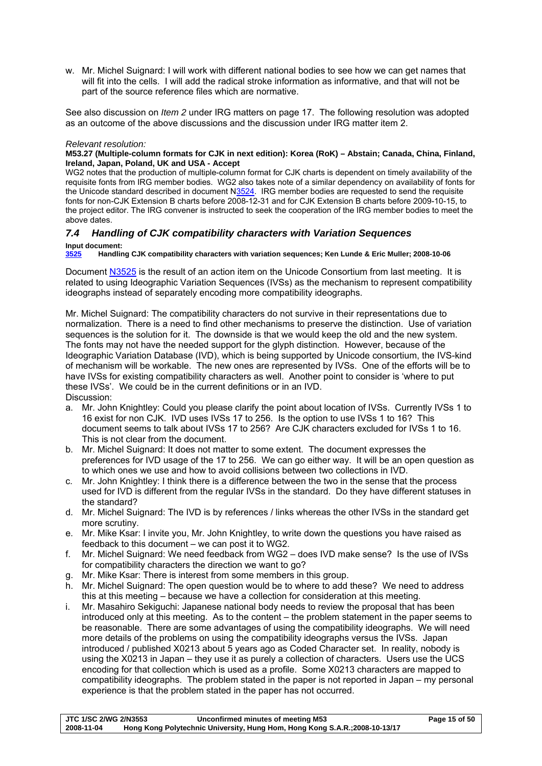w. Mr. Michel Suignard: I will work with different national bodies to see how we can get names that will fit into the cells. I will add the radical stroke information as informative, and that will not be part of the source reference files which are normative.

See also discussion on *Item 2* under IRG matters on page 17. The following resolution was adopted as an outcome of the above discussions and the discussion under IRG matter item 2.

## *Relevant resolution:*

## **M53.27 (Multiple-column formats for CJK in next edition): Korea (RoK) – Abstain; Canada, China, Finland, Ireland, Japan, Poland, UK and USA - Accept**

WG2 notes that the production of multiple-column format for CJK charts is dependent on timely availability of the requisite fonts from IRG member bodies. WG2 also takes note of a similar dependency on availability of fonts for the Unicode standard described in document N3524. IRG member bodies are requested to send the requisite fonts for non-CJK Extension B charts before 2008-12-31 and for CJK Extension B charts before 2009-10-15, to the project editor. The IRG convener is instructed to seek the cooperation of the IRG member bodies to meet the above dates.

## *7.4 Handling of CJK compatibility characters with Variation Sequences*  **Input document:**

**3525 Handling CJK compatibility characters with variation sequences; Ken Lunde & Eric Muller; 2008-10-06** 

Document N3525 is the result of an action item on the Unicode Consortium from last meeting. It is related to using Ideographic Variation Sequences (IVSs) as the mechanism to represent compatibility ideographs instead of separately encoding more compatibility ideographs.

Mr. Michel Suignard: The compatibility characters do not survive in their representations due to normalization. There is a need to find other mechanisms to preserve the distinction. Use of variation sequences is the solution for it. The downside is that we would keep the old and the new system. The fonts may not have the needed support for the glyph distinction. However, because of the Ideographic Variation Database (IVD), which is being supported by Unicode consortium, the IVS-kind of mechanism will be workable. The new ones are represented by IVSs. One of the efforts will be to have IVSs for existing compatibility characters as well. Another point to consider is 'where to put these IVSs'. We could be in the current definitions or in an IVD. Discussion:

- a. Mr. John Knightley: Could you please clarify the point about location of IVSs. Currently IVSs 1 to 16 exist for non CJK. IVD uses IVSs 17 to 256. Is the option to use IVSs 1 to 16? This document seems to talk about IVSs 17 to 256? Are CJK characters excluded for IVSs 1 to 16. This is not clear from the document.
- b. Mr. Michel Suignard: It does not matter to some extent. The document expresses the preferences for IVD usage of the 17 to 256. We can go either way. It will be an open question as to which ones we use and how to avoid collisions between two collections in IVD.
- c. Mr. John Knightley: I think there is a difference between the two in the sense that the process used for IVD is different from the regular IVSs in the standard. Do they have different statuses in the standard?
- d. Mr. Michel Suignard: The IVD is by references / links whereas the other IVSs in the standard get more scrutiny.
- e. Mr. Mike Ksar: I invite you, Mr. John Knightley, to write down the questions you have raised as feedback to this document – we can post it to WG2.
- f. Mr. Michel Suignard: We need feedback from WG2 does IVD make sense? Is the use of IVSs for compatibility characters the direction we want to go?
- g. Mr. Mike Ksar: There is interest from some members in this group.
- h. Mr. Michel Suignard: The open question would be to where to add these? We need to address this at this meeting – because we have a collection for consideration at this meeting.
- i. Mr. Masahiro Sekiguchi: Japanese national body needs to review the proposal that has been introduced only at this meeting. As to the content – the problem statement in the paper seems to be reasonable. There are some advantages of using the compatibility ideographs. We will need more details of the problems on using the compatibility ideographs versus the IVSs. Japan introduced / published X0213 about 5 years ago as Coded Character set. In reality, nobody is using the X0213 in Japan – they use it as purely a collection of characters. Users use the UCS encoding for that collection which is used as a profile. Some X0213 characters are mapped to compatibility ideographs. The problem stated in the paper is not reported in Japan – my personal experience is that the problem stated in the paper has not occurred.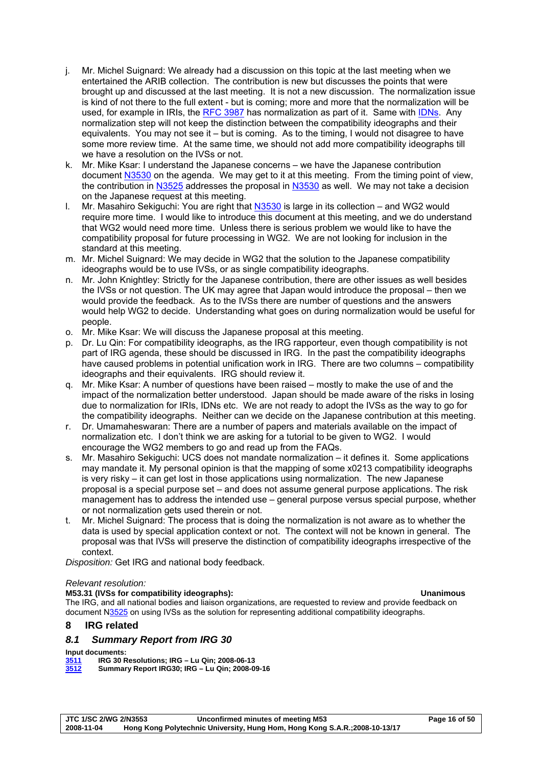- j. Mr. Michel Suignard: We already had a discussion on this topic at the last meeting when we entertained the ARIB collection. The contribution is new but discusses the points that were brought up and discussed at the last meeting. It is not a new discussion. The normalization issue is kind of not there to the full extent - but is coming; more and more that the normalization will be used, for example in IRIs, the RFC 3987 has normalization as part of it. Same with IDNs. Any normalization step will not keep the distinction between the compatibility ideographs and their equivalents. You may not see it – but is coming. As to the timing, I would not disagree to have some more review time. At the same time, we should not add more compatibility ideographs till we have a resolution on the IVSs or not.
- k. Mr. Mike Ksar: I understand the Japanese concerns we have the Japanese contribution document N3530 on the agenda. We may get to it at this meeting. From the timing point of view, the contribution in N3525 addresses the proposal in N3530 as well. We may not take a decision on the Japanese request at this meeting.
- l. Mr. Masahiro Sekiguchi: You are right that N3530 is large in its collection and WG2 would require more time. I would like to introduce this document at this meeting, and we do understand that WG2 would need more time. Unless there is serious problem we would like to have the compatibility proposal for future processing in WG2. We are not looking for inclusion in the standard at this meeting.
- m. Mr. Michel Suignard: We may decide in WG2 that the solution to the Japanese compatibility ideographs would be to use IVSs, or as single compatibility ideographs.
- n. Mr. John Knightley: Strictly for the Japanese contribution, there are other issues as well besides the IVSs or not question. The UK may agree that Japan would introduce the proposal – then we would provide the feedback. As to the IVSs there are number of questions and the answers would help WG2 to decide. Understanding what goes on during normalization would be useful for people.
- o. Mr. Mike Ksar: We will discuss the Japanese proposal at this meeting.
- p. Dr. Lu Qin: For compatibility ideographs, as the IRG rapporteur, even though compatibility is not part of IRG agenda, these should be discussed in IRG. In the past the compatibility ideographs have caused problems in potential unification work in IRG. There are two columns – compatibility ideographs and their equivalents. IRG should review it.
- q. Mr. Mike Ksar: A number of questions have been raised mostly to make the use of and the impact of the normalization better understood. Japan should be made aware of the risks in losing due to normalization for IRIs, IDNs etc. We are not ready to adopt the IVSs as the way to go for the compatibility ideographs. Neither can we decide on the Japanese contribution at this meeting.
- r. Dr. Umamaheswaran: There are a number of papers and materials available on the impact of normalization etc. I don't think we are asking for a tutorial to be given to WG2. I would encourage the WG2 members to go and read up from the FAQs.
- s. Mr. Masahiro Sekiguchi: UCS does not mandate normalization it defines it. Some applications may mandate it. My personal opinion is that the mapping of some x0213 compatibility ideographs is very risky – it can get lost in those applications using normalization. The new Japanese proposal is a special purpose set – and does not assume general purpose applications. The risk management has to address the intended use – general purpose versus special purpose, whether or not normalization gets used therein or not.
- t. Mr. Michel Suignard: The process that is doing the normalization is not aware as to whether the data is used by special application context or not. The context will not be known in general. The proposal was that IVSs will preserve the distinction of compatibility ideographs irrespective of the context.

*Disposition:* Get IRG and national body feedback.

## *Relevant resolution:*

## **M53.31 (IVSs for compatibility ideographs): Unanimous**

The IRG, and all national bodies and liaison organizations, are requested to review and provide feedback on document N3525 on using IVSs as the solution for representing additional compatibility ideographs.

## **8 IRG related**

## *8.1 Summary Report from IRG 30*

- **Input documents:<br>
<u>3511</u> IRG 30 R<br>
3512 Summar 3511 IRG 30 Resolutions; IRG – Lu Qin; 2008-06-13**
- **3512 Summary Report IRG30; IRG Lu Qin; 2008-09-16**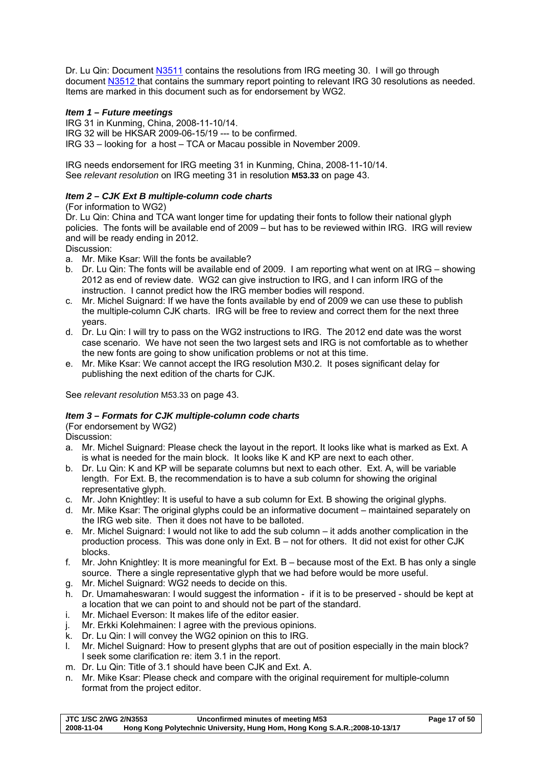Dr. Lu Qin: Document N3511 contains the resolutions from IRG meeting 30. I will go through document N3512 that contains the summary report pointing to relevant IRG 30 resolutions as needed. Items are marked in this document such as for endorsement by WG2.

## *Item 1 – Future meetings*

IRG 31 in Kunming, China, 2008-11-10/14. IRG 32 will be HKSAR 2009-06-15/19 --- to be confirmed. IRG 33 – looking for a host – TCA or Macau possible in November 2009.

IRG needs endorsement for IRG meeting 31 in Kunming, China, 2008-11-10/14. See *relevant resolution* on IRG meeting 31 in resolution **M53.33** on page 43.

## *Item 2 – CJK Ext B multiple-column code charts*

(For information to WG2)

Dr. Lu Qin: China and TCA want longer time for updating their fonts to follow their national glyph policies. The fonts will be available end of 2009 – but has to be reviewed within IRG. IRG will review and will be ready ending in 2012.

Discussion:

- a. Mr. Mike Ksar: Will the fonts be available?
- b. Dr. Lu Qin: The fonts will be available end of 2009. I am reporting what went on at IRG showing 2012 as end of review date. WG2 can give instruction to IRG, and I can inform IRG of the instruction. I cannot predict how the IRG member bodies will respond.
- c. Mr. Michel Suignard: If we have the fonts available by end of 2009 we can use these to publish the multiple-column CJK charts. IRG will be free to review and correct them for the next three years.
- d. Dr. Lu Qin: I will try to pass on the WG2 instructions to IRG. The 2012 end date was the worst case scenario. We have not seen the two largest sets and IRG is not comfortable as to whether the new fonts are going to show unification problems or not at this time.
- e. Mr. Mike Ksar: We cannot accept the IRG resolution M30.2. It poses significant delay for publishing the next edition of the charts for CJK.

See *relevant resolution* M53.33 on page 43.

## *Item 3 – Formats for CJK multiple-column code charts*

(For endorsement by WG2)

Discussion:

- a. Mr. Michel Suignard: Please check the layout in the report. It looks like what is marked as Ext. A is what is needed for the main block. It looks like K and KP are next to each other.
- b. Dr. Lu Qin: K and KP will be separate columns but next to each other. Ext. A, will be variable length. For Ext. B, the recommendation is to have a sub column for showing the original representative glyph.
- c. Mr. John Knightley: It is useful to have a sub column for Ext. B showing the original glyphs.
- d. Mr. Mike Ksar: The original glyphs could be an informative document maintained separately on the IRG web site. Then it does not have to be balloted.
- e. Mr. Michel Suignard: I would not like to add the sub column it adds another complication in the production process. This was done only in Ext. B – not for others. It did not exist for other CJK blocks.
- f. Mr. John Knightley: It is more meaningful for Ext. B because most of the Ext. B has only a single source. There a single representative glyph that we had before would be more useful.
- g. Mr. Michel Suignard: WG2 needs to decide on this.
- h. Dr. Umamaheswaran: I would suggest the information if it is to be preserved should be kept at a location that we can point to and should not be part of the standard.
- i. Mr. Michael Everson: It makes life of the editor easier.
- j. Mr. Erkki Kolehmainen: I agree with the previous opinions.
- k. Dr. Lu Qin: I will convey the WG2 opinion on this to IRG.
- l. Mr. Michel Suignard: How to present glyphs that are out of position especially in the main block? I seek some clarification re: item 3.1 in the report.
- m. Dr. Lu Qin: Title of 3.1 should have been CJK and Ext. A.
- n. Mr. Mike Ksar: Please check and compare with the original requirement for multiple-column format from the project editor.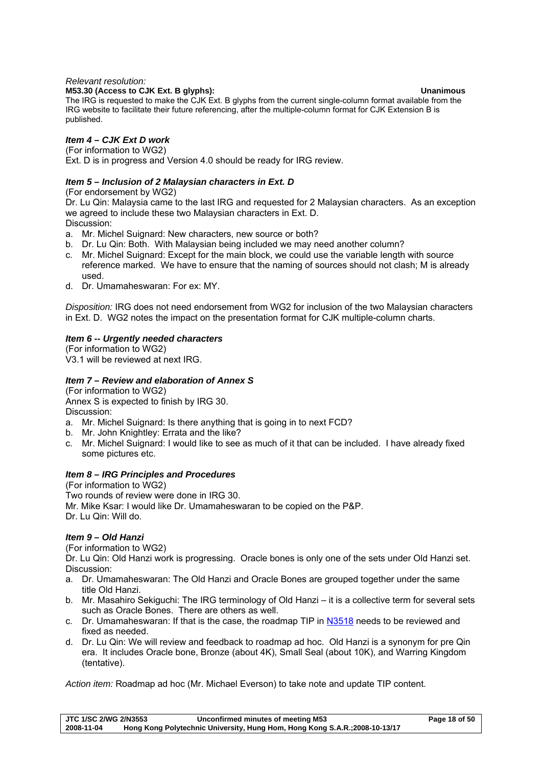## *Relevant resolution:*

## **M53.30 (Access to CJK Ext. B glyphs): Unanimous**

The IRG is requested to make the CJK Ext. B glyphs from the current single-column format available from the IRG website to facilitate their future referencing, after the multiple-column format for CJK Extension B is published.

## *Item 4 – CJK Ext D work*

(For information to WG2) Ext. D is in progress and Version 4.0 should be ready for IRG review.

## *Item 5 – Inclusion of 2 Malaysian characters in Ext. D*

(For endorsement by WG2)

Dr. Lu Qin: Malaysia came to the last IRG and requested for 2 Malaysian characters. As an exception we agreed to include these two Malaysian characters in Ext. D. Discussion:

- a. Mr. Michel Suignard: New characters, new source or both?
- b. Dr. Lu Qin: Both. With Malaysian being included we may need another column?
- c. Mr. Michel Suignard: Except for the main block, we could use the variable length with source reference marked. We have to ensure that the naming of sources should not clash; M is already used.
- d. Dr. Umamaheswaran: For ex: MY.

*Disposition:* IRG does not need endorsement from WG2 for inclusion of the two Malaysian characters in Ext. D. WG2 notes the impact on the presentation format for CJK multiple-column charts.

## *Item 6 -- Urgently needed characters*

(For information to WG2) V3.1 will be reviewed at next IRG.

## *Item 7 – Review and elaboration of Annex S*

(For information to WG2)

Annex S is expected to finish by IRG 30. Discussion:

- a. Mr. Michel Suignard: Is there anything that is going in to next FCD?
- b. Mr. John Knightley: Errata and the like?
- c. Mr. Michel Suignard: I would like to see as much of it that can be included. I have already fixed some pictures etc.

## *Item 8 – IRG Principles and Procedures*

(For information to WG2) Two rounds of review were done in IRG 30. Mr. Mike Ksar: I would like Dr. Umamaheswaran to be copied on the P&P. Dr. Lu Qin: Will do.

## *Item 9 – Old Hanzi*

(For information to WG2) Dr. Lu Qin: Old Hanzi work is progressing. Oracle bones is only one of the sets under Old Hanzi set. Discussion:

- a. Dr. Umamaheswaran: The Old Hanzi and Oracle Bones are grouped together under the same title Old Hanzi.
- b. Mr. Masahiro Sekiguchi: The IRG terminology of Old Hanzi it is a collective term for several sets such as Oracle Bones. There are others as well.
- c. Dr. Umamaheswaran: If that is the case, the roadmap TIP in N3518 needs to be reviewed and fixed as needed.
- d. Dr. Lu Qin: We will review and feedback to roadmap ad hoc. Old Hanzi is a synonym for pre Qin era. It includes Oracle bone, Bronze (about 4K), Small Seal (about 10K), and Warring Kingdom (tentative).

*Action item:* Roadmap ad hoc (Mr. Michael Everson) to take note and update TIP content.

| JTC 1/SC 2/WG 2/N3553 | Unconfirmed minutes of meeting M53                                         | Page 18 of 50 |
|-----------------------|----------------------------------------------------------------------------|---------------|
| 2008-11-04            | Hong Kong Polytechnic University, Hung Hom, Hong Kong S.A.R.;2008-10-13/17 |               |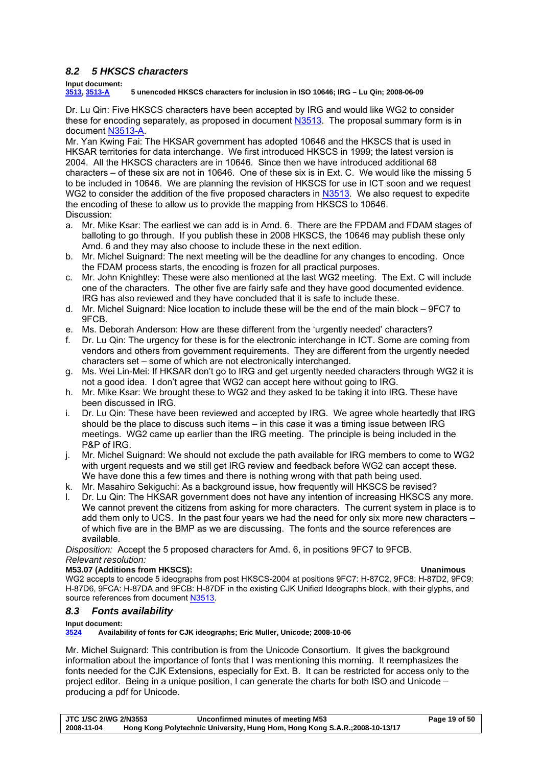## *8.2 5 HKSCS characters*

## **Input document:**

**3513, 3513-A 5 unencoded HKSCS characters for inclusion in ISO 10646; IRG – Lu Qin; 2008-06-09** 

Dr. Lu Qin: Five HKSCS characters have been accepted by IRG and would like WG2 to consider these for encoding separately, as proposed in document N3513. The proposal summary form is in document N3513-A.

Mr. Yan Kwing Fai: The HKSAR government has adopted 10646 and the HKSCS that is used in HKSAR territories for data interchange. We first introduced HKSCS in 1999; the latest version is 2004. All the HKSCS characters are in 10646. Since then we have introduced additional 68 characters – of these six are not in 10646. One of these six is in Ext. C. We would like the missing 5 to be included in 10646. We are planning the revision of HKSCS for use in ICT soon and we request WG2 to consider the addition of the five proposed characters in N3513. We also request to expedite the encoding of these to allow us to provide the mapping from HKSCS to 10646. Discussion:

- a. Mr. Mike Ksar: The earliest we can add is in Amd. 6. There are the FPDAM and FDAM stages of balloting to go through. If you publish these in 2008 HKSCS, the 10646 may publish these only Amd. 6 and they may also choose to include these in the next edition.
- b. Mr. Michel Suignard: The next meeting will be the deadline for any changes to encoding. Once the FDAM process starts, the encoding is frozen for all practical purposes.
- c. Mr. John Knightley: These were also mentioned at the last WG2 meeting. The Ext. C will include one of the characters. The other five are fairly safe and they have good documented evidence. IRG has also reviewed and they have concluded that it is safe to include these.
- d. Mr. Michel Suignard: Nice location to include these will be the end of the main block 9FC7 to 9FCB.
- e. Ms. Deborah Anderson: How are these different from the 'urgently needed' characters?
- f. Dr. Lu Qin: The urgency for these is for the electronic interchange in ICT. Some are coming from vendors and others from government requirements. They are different from the urgently needed characters set – some of which are not electronically interchanged.
- g. Ms. Wei Lin-Mei: If HKSAR don't go to IRG and get urgently needed characters through WG2 it is not a good idea. I don't agree that WG2 can accept here without going to IRG.
- h. Mr. Mike Ksar: We brought these to WG2 and they asked to be taking it into IRG. These have been discussed in IRG.
- Dr. Lu Qin: These have been reviewed and accepted by IRG. We agree whole heartedly that IRG should be the place to discuss such items – in this case it was a timing issue between IRG meetings. WG2 came up earlier than the IRG meeting. The principle is being included in the P&P of IRG.
- j. Mr. Michel Suignard: We should not exclude the path available for IRG members to come to WG2 with urgent requests and we still get IRG review and feedback before WG2 can accept these. We have done this a few times and there is nothing wrong with that path being used.
- k. Mr. Masahiro Sekiguchi: As a background issue, how frequently will HKSCS be revised?
- l. Dr. Lu Qin: The HKSAR government does not have any intention of increasing HKSCS any more. We cannot prevent the citizens from asking for more characters. The current system in place is to add them only to UCS. In the past four years we had the need for only six more new characters – of which five are in the BMP as we are discussing. The fonts and the source references are available.

*Disposition:* Accept the 5 proposed characters for Amd. 6, in positions 9FC7 to 9FCB. *Relevant resolution:* 

## **M53.07 (Additions from HKSCS): Unanimous**

WG2 accepts to encode 5 ideographs from post HKSCS-2004 at positions 9FC7: H-87C2, 9FC8: H-87D2, 9FC9: H-87D6, 9FCA: H-87DA and 9FCB: H-87DF in the existing CJK Unified Ideographs block, with their glyphs, and source references from document N3513.

## *8.3 Fonts availability*

## **Input document:**

**3524 Availability of fonts for CJK ideographs; Eric Muller, Unicode; 2008-10-06** 

Mr. Michel Suignard: This contribution is from the Unicode Consortium. It gives the background information about the importance of fonts that I was mentioning this morning. It reemphasizes the fonts needed for the CJK Extensions, especially for Ext. B. It can be restricted for access only to the project editor. Being in a unique position, I can generate the charts for both ISO and Unicode – producing a pdf for Unicode.

| <b>JTC 1/SC 2/WG 2/N3553</b> | Unconfirmed minutes of meeting M53                                         | Page 19 of 50 |
|------------------------------|----------------------------------------------------------------------------|---------------|
| 2008-11-04                   | Hong Kong Polytechnic University, Hung Hom, Hong Kong S.A.R.;2008-10-13/17 |               |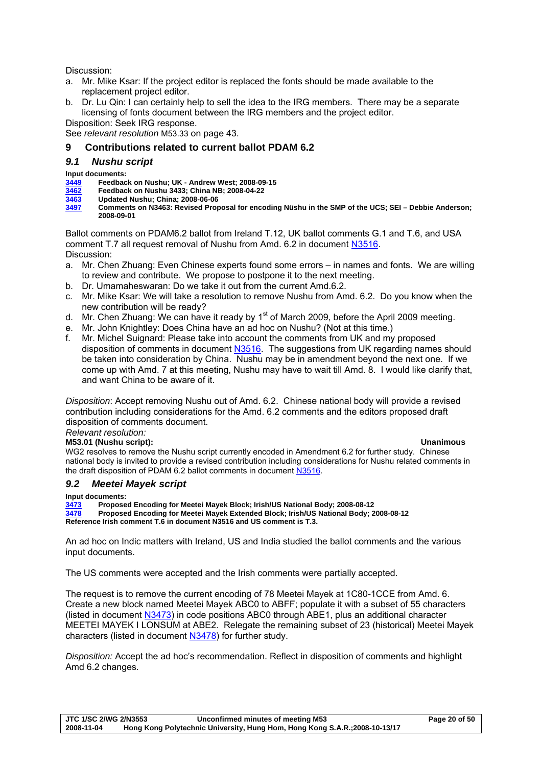Discussion:

- a. Mr. Mike Ksar: If the project editor is replaced the fonts should be made available to the replacement project editor.
- b. Dr. Lu Qin: I can certainly help to sell the idea to the IRG members. There may be a separate licensing of fonts document between the IRG members and the project editor.

Disposition: Seek IRG response.

See *relevant resolution* M53.33 on page 43.

## **9 Contributions related to current ballot PDAM 6.2**

## *9.1 Nushu script*

**Input documents:** 

- **3449 Feedback on Nushu; UK Andrew West; 2008-09-15**
- **3462 Feedback on Nushu 3433; China NB; 2008-04-22**
- **3463 Updated Nushu; China; 2008-06-06**
- **3497 Comments on N3463: Revised Proposal for encoding Nüshu in the SMP of the UCS; SEI Debbie Anderson; 2008-09-01**

Ballot comments on PDAM6.2 ballot from Ireland T.12, UK ballot comments G.1 and T.6, and USA comment T.7 all request removal of Nushu from Amd. 6.2 in document N3516. Discussion:

- a. Mr. Chen Zhuang: Even Chinese experts found some errors in names and fonts. We are willing to review and contribute. We propose to postpone it to the next meeting.
- b. Dr. Umamaheswaran: Do we take it out from the current Amd.6.2.
- c. Mr. Mike Ksar: We will take a resolution to remove Nushu from Amd. 6.2. Do you know when the new contribution will be ready?
- d. Mr. Chen Zhuang: We can have it ready by  $1<sup>st</sup>$  of March 2009, before the April 2009 meeting.
- e. Mr. John Knightley: Does China have an ad hoc on Nushu? (Not at this time.)
- f. Mr. Michel Suignard: Please take into account the comments from UK and my proposed disposition of comments in document N3516. The suggestions from UK regarding names should be taken into consideration by China. Nushu may be in amendment beyond the next one. If we come up with Amd. 7 at this meeting, Nushu may have to wait till Amd. 8. I would like clarify that, and want China to be aware of it.

*Disposition*: Accept removing Nushu out of Amd. 6.2. Chinese national body will provide a revised contribution including considerations for the Amd. 6.2 comments and the editors proposed draft disposition of comments document.

## *Relevant resolution:*

## **M53.01 (Nushu script): Unanimous**

WG2 resolves to remove the Nushu script currently encoded in Amendment 6.2 for further study. Chinese national body is invited to provide a revised contribution including considerations for Nushu related comments in the draft disposition of PDAM 6.2 ballot comments in document N3516.

## *9.2 Meetei Mayek script*

## **Input documents:**

**3473 Proposed Encoding for Meetei Mayek Block; Irish/US National Body; 2008-08-12 3478 Proposed Encoding for Meetei Mayek Extended Block; Irish/US National Body; 2008-08-12 Reference Irish comment T.6 in document N3516 and US comment is T.3.** 

An ad hoc on Indic matters with Ireland, US and India studied the ballot comments and the various input documents.

The US comments were accepted and the Irish comments were partially accepted.

The request is to remove the current encoding of 78 Meetei Mayek at 1C80-1CCE from Amd. 6. Create a new block named Meetei Mayek ABC0 to ABFF; populate it with a subset of 55 characters (listed in document N3473) in code positions ABC0 through ABE1, plus an additional character MEETEI MAYEK I LONSUM at ABE2. Relegate the remaining subset of 23 (historical) Meetei Mayek characters (listed in document N3478) for further study.

*Disposition:* Accept the ad hoc's recommendation. Reflect in disposition of comments and highlight Amd 6.2 changes.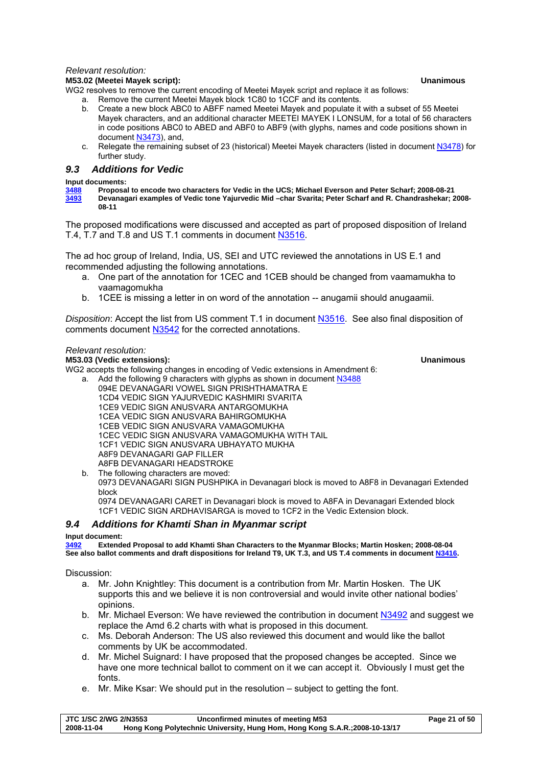## *Relevant resolution:*

## **M53.02 (Meetei Mayek script): Unanimous**

WG2 resolves to remove the current encoding of Meetei Mayek script and replace it as follows:

- a. Remove the current Meetei Mayek block 1C80 to 1CCF and its contents.
- b. Create a new block ABC0 to ABFF named Meetei Mayek and populate it with a subset of 55 Meetei Mayek characters, and an additional character MEETEI MAYEK I LONSUM, for a total of 56 characters in code positions ABC0 to ABED and ABF0 to ABF9 (with glyphs, names and code positions shown in document N3473), and,
- c. Relegate the remaining subset of 23 (historical) Meetei Mayek characters (listed in document N3478) for further study.

## *9.3 Additions for Vedic*

**Input documents:**<br> **3488** Proposa<br> **Bevanac 3488 Proposal to encode two characters for Vedic in the UCS; Michael Everson and Peter Scharf; 2008-08-21** 

**3493 Devanagari examples of Vedic tone Yajurvedic Mid –char Svarita; Peter Scharf and R. Chandrashekar; 2008- 08-11** 

The proposed modifications were discussed and accepted as part of proposed disposition of Ireland T.4, T.7 and T.8 and US T.1 comments in document N3516.

The ad hoc group of Ireland, India, US, SEI and UTC reviewed the annotations in US E.1 and recommended adjusting the following annotations.

- a. One part of the annotation for 1CEC and 1CEB should be changed from vaamamukha to vaamagomukha
- b. 1CEE is missing a letter in on word of the annotation -- anugamii should anugaamii.

*Disposition*: Accept the list from US comment T.1 in document N3516. See also final disposition of comments document N3542 for the corrected annotations.

## *Relevant resolution:*

## **M53.03 (Vedic extensions): Unanimous**

WG2 accepts the following changes in encoding of Vedic extensions in Amendment 6: a. Add the following 9 characters with glyphs as shown in document N3488

- - 094E DEVANAGARI VOWEL SIGN PRISHTHAMATRA E 1CD4 VEDIC SIGN YAJURVEDIC KASHMIRI SVARITA
	- 1CE9 VEDIC SIGN ANUSVARA ANTARGOMUKHA
	- 1CEA VEDIC SIGN ANUSVARA BAHIRGOMUKHA
	- 1CEB VEDIC SIGN ANUSVARA VAMAGOMUKHA
	- 1CEC VEDIC SIGN ANUSVARA VAMAGOMUKHA WITH TAIL
	- 1CF1 VEDIC SIGN ANUSVARA UBHAYATO MUKHA
	- A8F9 DEVANAGARI GAP FILLER
	- A8FB DEVANAGARI HEADSTROKE
- b. The following characters are moved:

0973 DEVANAGARI SIGN PUSHPIKA in Devanagari block is moved to A8F8 in Devanagari Extended block

0974 DEVANAGARI CARET in Devanagari block is moved to A8FA in Devanagari Extended block 1CF1 VEDIC SIGN ARDHAVISARGA is moved to 1CF2 in the Vedic Extension block.

## *9.4 Additions for Khamti Shan in Myanmar script*

## **Input document:**

**3492 Extended Proposal to add Khamti Shan Characters to the Myanmar Blocks; Martin Hosken; 2008-08-04 See also ballot comments and draft dispositions for Ireland T9, UK T.3, and US T.4 comments in document N3416.** 

Discussion:

- a. Mr. John Knightley: This document is a contribution from Mr. Martin Hosken. The UK supports this and we believe it is non controversial and would invite other national bodies' opinions.
- b. Mr. Michael Everson: We have reviewed the contribution in document N3492 and suggest we replace the Amd 6.2 charts with what is proposed in this document.
- c. Ms. Deborah Anderson: The US also reviewed this document and would like the ballot comments by UK be accommodated.
- d. Mr. Michel Suignard: I have proposed that the proposed changes be accepted. Since we have one more technical ballot to comment on it we can accept it. Obviously I must get the fonts.
- e. Mr. Mike Ksar: We should put in the resolution subject to getting the font.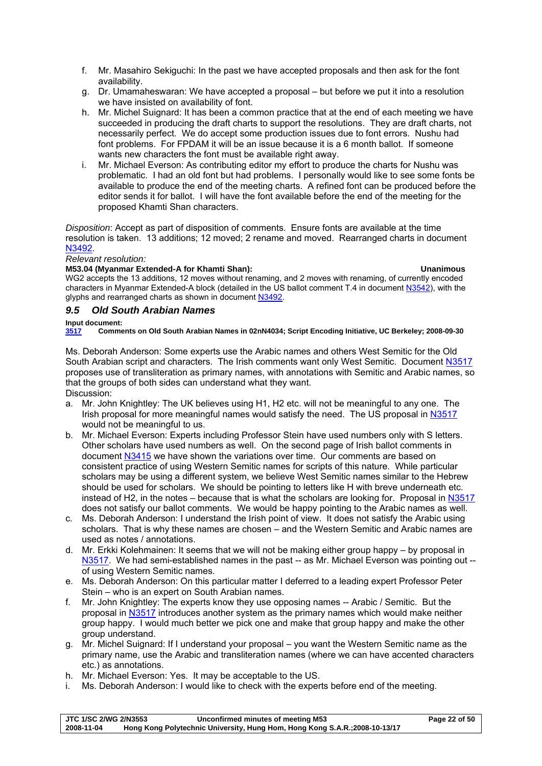- f. Mr. Masahiro Sekiguchi: In the past we have accepted proposals and then ask for the font availability.
- g. Dr. Umamaheswaran: We have accepted a proposal but before we put it into a resolution we have insisted on availability of font.
- h. Mr. Michel Suignard: It has been a common practice that at the end of each meeting we have succeeded in producing the draft charts to support the resolutions. They are draft charts, not necessarily perfect. We do accept some production issues due to font errors. Nushu had font problems. For FPDAM it will be an issue because it is a 6 month ballot. If someone wants new characters the font must be available right away.
- i. Mr. Michael Everson: As contributing editor my effort to produce the charts for Nushu was problematic. I had an old font but had problems. I personally would like to see some fonts be available to produce the end of the meeting charts. A refined font can be produced before the editor sends it for ballot. I will have the font available before the end of the meeting for the proposed Khamti Shan characters.

*Disposition*: Accept as part of disposition of comments. Ensure fonts are available at the time resolution is taken. 13 additions; 12 moved; 2 rename and moved. Rearranged charts in document N3492.

## *Relevant resolution:*

**M53.04 (Myanmar Extended-A for Khamti Shan): Unanimous**  WG2 accepts the 13 additions, 12 moves without renaming, and 2 moves with renaming, of currently encoded characters in Myanmar Extended-A block (detailed in the US ballot comment T.4 in document N3542), with the glyphs and rearranged charts as shown in document N3492.

## *9.5 Old South Arabian Names*

**Input document:** 

**3517 Comments on Old South Arabian Names in 02nN4034; Script Encoding Initiative, UC Berkeley; 2008-09-30** 

Ms. Deborah Anderson: Some experts use the Arabic names and others West Semitic for the Old South Arabian script and characters. The Irish comments want only West Semitic. Document N3517 proposes use of transliteration as primary names, with annotations with Semitic and Arabic names, so that the groups of both sides can understand what they want. Discussion:

- a. Mr. John Knightley: The UK believes using H1, H2 etc. will not be meaningful to any one. The Irish proposal for more meaningful names would satisfy the need. The US proposal in N3517 would not be meaningful to us.
- b. Mr. Michael Everson: Experts including Professor Stein have used numbers only with S letters. Other scholars have used numbers as well. On the second page of Irish ballot comments in document N3415 we have shown the variations over time. Our comments are based on consistent practice of using Western Semitic names for scripts of this nature. While particular scholars may be using a different system, we believe West Semitic names similar to the Hebrew should be used for scholars. We should be pointing to letters like H with breve underneath etc. instead of H2, in the notes  $-$  because that is what the scholars are looking for. Proposal in N3517 does not satisfy our ballot comments. We would be happy pointing to the Arabic names as well.
- c. Ms. Deborah Anderson: I understand the Irish point of view. It does not satisfy the Arabic using scholars. That is why these names are chosen – and the Western Semitic and Arabic names are used as notes / annotations.
- d. Mr. Erkki Kolehmainen: It seems that we will not be making either group happy by proposal in N3517. We had semi-established names in the past -- as Mr. Michael Everson was pointing out -of using Western Semitic names.
- e. Ms. Deborah Anderson: On this particular matter I deferred to a leading expert Professor Peter Stein – who is an expert on South Arabian names.
- f. Mr. John Knightley: The experts know they use opposing names -- Arabic / Semitic. But the proposal in N3517 introduces another system as the primary names which would make neither group happy. I would much better we pick one and make that group happy and make the other group understand.
- g. Mr. Michel Suignard: If I understand your proposal you want the Western Semitic name as the primary name, use the Arabic and transliteration names (where we can have accented characters etc.) as annotations.
- h. Mr. Michael Everson: Yes. It may be acceptable to the US.
- i. Ms. Deborah Anderson: I would like to check with the experts before end of the meeting.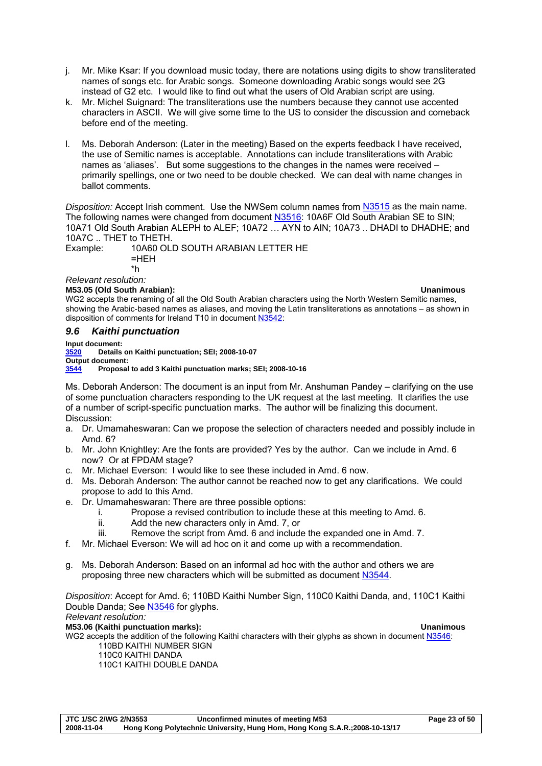- j. Mr. Mike Ksar: If you download music today, there are notations using digits to show transliterated names of songs etc. for Arabic songs. Someone downloading Arabic songs would see 2G instead of G2 etc. I would like to find out what the users of Old Arabian script are using.
- k. Mr. Michel Suignard: The transliterations use the numbers because they cannot use accented characters in ASCII. We will give some time to the US to consider the discussion and comeback before end of the meeting.
- l. Ms. Deborah Anderson: (Later in the meeting) Based on the experts feedback I have received, the use of Semitic names is acceptable. Annotations can include transliterations with Arabic names as 'aliases'. But some suggestions to the changes in the names were received – primarily spellings, one or two need to be double checked. We can deal with name changes in ballot comments.

*Disposition:* Accept Irish comment. Use the NWSem column names from N3515 as the main name. The following names were changed from document N3516: 10A6F Old South Arabian SE to SIN; 10A71 Old South Arabian ALEPH to ALEF; 10A72 … AYN to AIN; 10A73 .. DHADI to DHADHE; and 10A7C .. THET to THETH.

Example: 10A60 OLD SOUTH ARABIAN LETTER HE =HEH \*h

### *Relevant resolution:*  **M53.05 (Old South Arabian): Unanimous**

WG2 accepts the renaming of all the Old South Arabian characters using the North Western Semitic names, showing the Arabic-based names as aliases, and moving the Latin transliterations as annotations – as shown in disposition of comments for Ireland T10 in document N3542:

## *9.6 Kaithi punctuation*

**Input document:**<br>**3520** Details **3520 Details on Kaithi punctuation; SEI; 2008-10-07** 

**Output document:** 

## **3544 Proposal to add 3 Kaithi punctuation marks; SEI; 2008-10-16**

Ms. Deborah Anderson: The document is an input from Mr. Anshuman Pandey – clarifying on the use of some punctuation characters responding to the UK request at the last meeting. It clarifies the use of a number of script-specific punctuation marks. The author will be finalizing this document. Discussion:

- a. Dr. Umamaheswaran: Can we propose the selection of characters needed and possibly include in Amd. 6?
- b. Mr. John Knightley: Are the fonts are provided? Yes by the author. Can we include in Amd. 6 now? Or at FPDAM stage?
- c. Mr. Michael Everson: I would like to see these included in Amd. 6 now.
- d. Ms. Deborah Anderson: The author cannot be reached now to get any clarifications. We could propose to add to this Amd.
- e. Dr. Umamaheswaran: There are three possible options:
	- i. Propose a revised contribution to include these at this meeting to Amd. 6.
	- ii. Add the new characters only in Amd. 7, or
	- iii. Remove the script from Amd. 6 and include the expanded one in Amd. 7.
- f. Mr. Michael Everson: We will ad hoc on it and come up with a recommendation.
- g. Ms. Deborah Anderson: Based on an informal ad hoc with the author and others we are proposing three new characters which will be submitted as document N3544.

*Disposition*: Accept for Amd. 6; 110BD Kaithi Number Sign, 110C0 Kaithi Danda, and, 110C1 Kaithi Double Danda; See N3546 for glyphs.

*Relevant resolution:* 

**M53.06 (Kaithi punctuation marks): Unanimous** 

WG2 accepts the addition of the following Kaithi characters with their glyphs as shown in document N3546: 110BD KAITHI NUMBER SIGN

110C0 KAITHI DANDA

110C1 KAITHI DOUBLE DANDA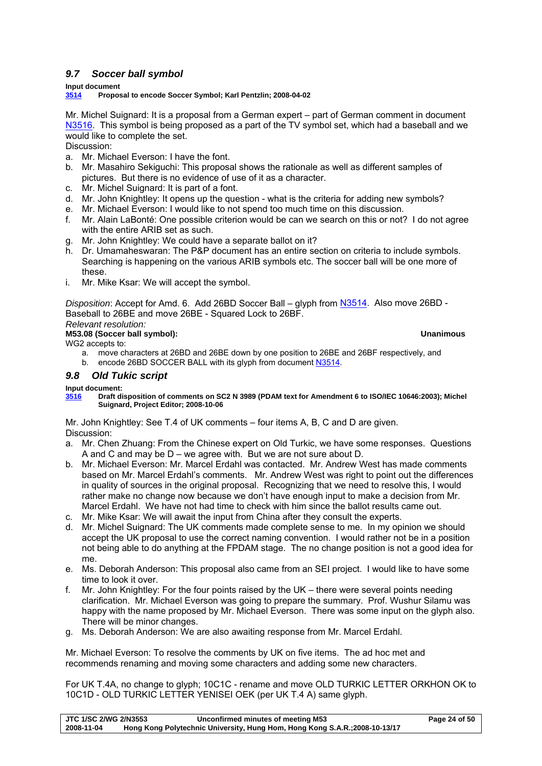## *9.7 Soccer ball symbol*

## **Input document**

**3514 Proposal to encode Soccer Symbol; Karl Pentzlin; 2008-04-02** 

Mr. Michel Suignard: It is a proposal from a German expert – part of German comment in document N3516. This symbol is being proposed as a part of the TV symbol set, which had a baseball and we would like to complete the set.

Discussion:

- a. Mr. Michael Everson: I have the font.
- b. Mr. Masahiro Sekiguchi: This proposal shows the rationale as well as different samples of pictures. But there is no evidence of use of it as a character.
- c. Mr. Michel Suignard: It is part of a font.
- d. Mr. John Knightley: It opens up the question what is the criteria for adding new symbols?
- e. Mr. Michael Everson: I would like to not spend too much time on this discussion.
- f. Mr. Alain LaBonté: One possible criterion would be can we search on this or not? I do not agree with the entire ARIB set as such.
- g. Mr. John Knightley: We could have a separate ballot on it?
- h. Dr. Umamaheswaran: The P&P document has an entire section on criteria to include symbols. Searching is happening on the various ARIB symbols etc. The soccer ball will be one more of these.
- i. Mr. Mike Ksar: We will accept the symbol.

*Disposition*: Accept for Amd. 6. Add 26BD Soccer Ball – glyph from N3514. Also move 26BD - Baseball to 26BE and move 26BE - Squared Lock to 26BF.

*Relevant resolution:* 

**M53.08 (Soccer ball symbol): Unanimous** 

WG2 accepts to:

a. move characters at 26BD and 26BE down by one position to 26BE and 26BF respectively, and b. encode 26BD SOCCER BALL with its glyph from document N3514.

## *9.8 Old Tukic script*

**Input document:** 

**3516 Draft disposition of comments on SC2 N 3989 (PDAM text for Amendment 6 to ISO/IEC 10646:2003); Michel Suignard, Project Editor; 2008-10-06** 

Mr. John Knightley: See T.4 of UK comments – four items A, B, C and D are given. Discussion:

- a. Mr. Chen Zhuang: From the Chinese expert on Old Turkic, we have some responses. Questions A and C and may be D – we agree with. But we are not sure about D.
- b. Mr. Michael Everson: Mr. Marcel Erdahl was contacted. Mr. Andrew West has made comments based on Mr. Marcel Erdahl's comments. Mr. Andrew West was right to point out the differences in quality of sources in the original proposal. Recognizing that we need to resolve this, I would rather make no change now because we don't have enough input to make a decision from Mr. Marcel Erdahl. We have not had time to check with him since the ballot results came out.
- c. Mr. Mike Ksar: We will await the input from China after they consult the experts.
- d. Mr. Michel Suignard: The UK comments made complete sense to me. In my opinion we should accept the UK proposal to use the correct naming convention. I would rather not be in a position not being able to do anything at the FPDAM stage. The no change position is not a good idea for me.
- e. Ms. Deborah Anderson: This proposal also came from an SEI project. I would like to have some time to look it over.
- f. Mr. John Knightley: For the four points raised by the UK there were several points needing clarification. Mr. Michael Everson was going to prepare the summary. Prof. Wushur Silamu was happy with the name proposed by Mr. Michael Everson. There was some input on the glyph also. There will be minor changes.
- g. Ms. Deborah Anderson: We are also awaiting response from Mr. Marcel Erdahl.

Mr. Michael Everson: To resolve the comments by UK on five items. The ad hoc met and recommends renaming and moving some characters and adding some new characters.

For UK T.4A, no change to glyph; 10C1C - rename and move OLD TURKIC LETTER ORKHON OK to 10C1D - OLD TURKIC LETTER YENISEI OEK (per UK T.4 A) same glyph.

| <b>JTC 1/SC 2/WG 2/N3553</b> | Unconfirmed minutes of meeting M53                                         | Page 24 of 50 |
|------------------------------|----------------------------------------------------------------------------|---------------|
| 2008-11-04                   | Hong Kong Polytechnic University, Hung Hom, Hong Kong S.A.R.;2008-10-13/17 |               |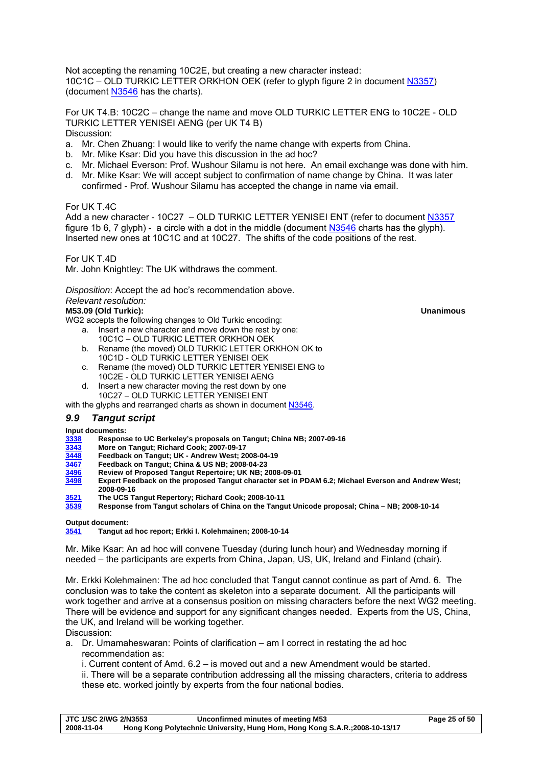Not accepting the renaming 10C2E, but creating a new character instead: 10C1C – OLD TURKIC LETTER ORKHON OEK (refer to glyph figure 2 in document N3357) (document N3546 has the charts).

For UK T4.B: 10C2C – change the name and move OLD TURKIC LETTER ENG to 10C2E - OLD TURKIC LETTER YENISEI AENG (per UK T4 B)

Discussion:

- a. Mr. Chen Zhuang: I would like to verify the name change with experts from China.
- b. Mr. Mike Ksar: Did you have this discussion in the ad hoc?
- c. Mr. Michael Everson: Prof. Wushour Silamu is not here. An email exchange was done with him.
- d. Mr. Mike Ksar: We will accept subject to confirmation of name change by China. It was later confirmed - Prof. Wushour Silamu has accepted the change in name via email.

## For UK T.4C

Add a new character - 10C27 – OLD TURKIC LETTER YENISEI ENT (refer to document N3357 figure 1b 6, 7 glyph) - a circle with a dot in the middle (document N3546 charts has the glyph). Inserted new ones at 10C1C and at 10C27. The shifts of the code positions of the rest.

For UK T4D

Mr. John Knightley: The UK withdraws the comment.

*Disposition*: Accept the ad hoc's recommendation above.

## *Relevant resolution:*

## **M53.09 (Old Turkic): Unanimous**

WG2 accepts the following changes to Old Turkic encoding:

- a. Insert a new character and move down the rest by one:
	- 10C1C OLD TURKIC LETTER ORKHON OEK
	- b. Rename (the moved) OLD TURKIC LETTER ORKHON OK to 10C1D - OLD TURKIC LETTER YENISEI OEK
	- c. Rename (the moved) OLD TURKIC LETTER YENISEI ENG to 10C2E - OLD TURKIC LETTER YENISEI AENG
	- d. Insert a new character moving the rest down by one 10C27 – OLD TURKIC LETTER YENISEI ENT

with the glyphs and rearranged charts as shown in document N3546.

## *9.9 Tangut script*

**Input documents:** 

- **3338 Response to UC Berkeley's proposals on Tangut; China NB; 2007-09-16**
- **3343 More on Tangut; Richard Cook; 2007-09-17**
- **3448 Feedback on Tangut; UK Andrew West; 2008-04-19**
- **3467 Feedback on Tangut; China & US NB; 2008-04-23**
- **3496 Review of Proposed Tangut Repertoire; UK NB; 2008-09-01**
- Expert Feedback on the proposed Tangut character set in PDAM 6.2; Michael Everson and Andrew West; **2008-09-16**
- **3521 The UCS Tangut Repertory; Richard Cook; 2008-10-11**

**3539 Response from Tangut scholars of China on the Tangut Unicode proposal; China – NB; 2008-10-14** 

**Output document:**<br>**3541** Tangut a **3541 Tangut ad hoc report; Erkki I. Kolehmainen; 2008-10-14** 

Mr. Mike Ksar: An ad hoc will convene Tuesday (during lunch hour) and Wednesday morning if needed – the participants are experts from China, Japan, US, UK, Ireland and Finland (chair).

Mr. Erkki Kolehmainen: The ad hoc concluded that Tangut cannot continue as part of Amd. 6. The conclusion was to take the content as skeleton into a separate document. All the participants will work together and arrive at a consensus position on missing characters before the next WG2 meeting. There will be evidence and support for any significant changes needed. Experts from the US, China, the UK, and Ireland will be working together.

Discussion:

a. Dr. Umamaheswaran: Points of clarification – am I correct in restating the ad hoc recommendation as:

i. Current content of Amd. 6.2 – is moved out and a new Amendment would be started. ii. There will be a separate contribution addressing all the missing characters, criteria to address these etc. worked jointly by experts from the four national bodies.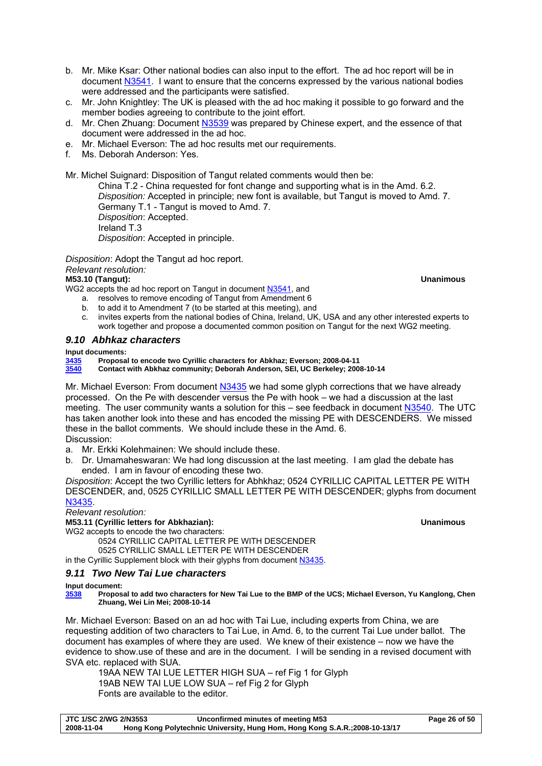document N3541. I want to ensure that the concerns expressed by the various national bodies were addressed and the participants were satisfied. c. Mr. John Knightley: The UK is pleased with the ad hoc making it possible to go forward and the

b. Mr. Mike Ksar: Other national bodies can also input to the effort. The ad hoc report will be in

- member bodies agreeing to contribute to the joint effort. d. Mr. Chen Zhuang: Document N3539 was prepared by Chinese expert, and the essence of that
- document were addressed in the ad hoc.
- e. Mr. Michael Everson: The ad hoc results met our requirements.
- f. Ms. Deborah Anderson: Yes.

Mr. Michel Suignard: Disposition of Tangut related comments would then be:

China T.2 - China requested for font change and supporting what is in the Amd. 6.2. *Disposition:* Accepted in principle; new font is available, but Tangut is moved to Amd. 7. Germany T.1 - Tangut is moved to Amd. 7. *Disposition*: Accepted. Ireland T.3 *Disposition*: Accepted in principle.

*Disposition*: Adopt the Tangut ad hoc report. *Relevant resolution:*  **M53.10 (Tangut): Unanimous** 

WG2 accepts the ad hoc report on Tangut in document N3541, and

- a. resolves to remove encoding of Tangut from Amendment 6
- b. to add it to Amendment 7 (to be started at this meeting), and
- c. invites experts from the national bodies of China, Ireland, UK, USA and any other interested experts to work together and propose a documented common position on Tangut for the next WG2 meeting.

## *9.10 Abhkaz characters*

**Input documents:** 

**3435 Proposal to encode two Cyrillic characters for Abkhaz; Everson; 2008-04-11** 

**3540 Contact with Abkhaz community; Deborah Anderson, SEI, UC Berkeley; 2008-10-14** 

Mr. Michael Everson: From document N3435 we had some glyph corrections that we have already processed. On the Pe with descender versus the Pe with hook – we had a discussion at the last meeting. The user community wants a solution for this - see feedback in document N3540. The UTC has taken another look into these and has encoded the missing PE with DESCENDERS. We missed these in the ballot comments. We should include these in the Amd. 6.

Discussion:

- a. Mr. Erkki Kolehmainen: We should include these.
- b. Dr. Umamaheswaran: We had long discussion at the last meeting. I am glad the debate has ended. I am in favour of encoding these two.

*Disposition*: Accept the two Cyrillic letters for Abhkhaz; 0524 CYRILLIC CAPITAL LETTER PE WITH DESCENDER, and, 0525 CYRILLIC SMALL LETTER PE WITH DESCENDER; glyphs from document N3435.

*Relevant resolution:* 

**M53.11 (Cyrillic letters for Abkhazian): Unanimous** 

WG2 accepts to encode the two characters:

0524 CYRILLIC CAPITAL LETTER PE WITH DESCENDER

0525 CYRILLIC SMALL LETTER PE WITH DESCENDER

in the Cyrillic Supplement block with their glyphs from document N3435.

## *9.11 Two New Tai Lue characters*

**Input document:** 

**3538 Proposal to add two characters for New Tai Lue to the BMP of the UCS; Michael Everson, Yu Kanglong, Chen Zhuang, Wei Lin Mei; 2008-10-14** 

Mr. Michael Everson: Based on an ad hoc with Tai Lue, including experts from China, we are requesting addition of two characters to Tai Lue, in Amd. 6, to the current Tai Lue under ballot. The document has examples of where they are used. We knew of their existence – now we have the evidence to show.use of these and are in the document. I will be sending in a revised document with SVA etc. replaced with SUA.

19AA NEW TAI LUE LETTER HIGH SUA – ref Fig 1 for Glyph

19AB NEW TAI LUE LOW SUA – ref Fig 2 for Glyph

Fonts are available to the editor.

| JTC 1/SC 2/WG 2/N3553 | Unconfirmed minutes of meeting M53                                         | Page 26 of 50 |
|-----------------------|----------------------------------------------------------------------------|---------------|
| 2008-11-04            | Hong Kong Polytechnic University, Hung Hom, Hong Kong S.A.R.;2008-10-13/17 |               |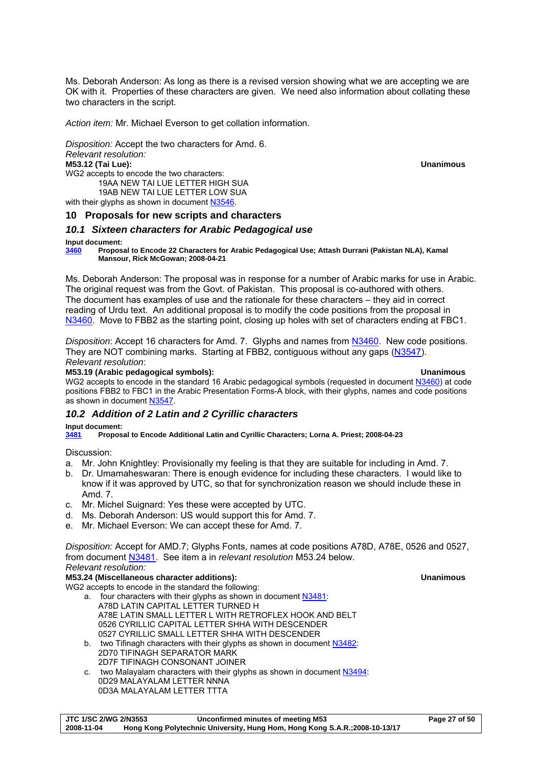Ms. Deborah Anderson: As long as there is a revised version showing what we are accepting we are OK with it. Properties of these characters are given. We need also information about collating these two characters in the script.

*Action item:* Mr. Michael Everson to get collation information.

*Disposition:* Accept the two characters for Amd. 6. *Relevant resolution:*  **M53.12 (Tai Lue): Unanimous**  WG2 accepts to encode the two characters: 19AA NEW TAI LUE LETTER HIGH SUA 19AB NEW TAI LUE LETTER LOW SUA with their glyphs as shown in document N3546.

## **10 Proposals for new scripts and characters**

## *10.1 Sixteen characters for Arabic Pedagogical use*

## **Input document:**<br>**3460** Propos

**3460 Proposal to Encode 22 Characters for Arabic Pedagogical Use; Attash Durrani (Pakistan NLA), Kamal Mansour, Rick McGowan; 2008-04-21** 

Ms. Deborah Anderson: The proposal was in response for a number of Arabic marks for use in Arabic. The original request was from the Govt. of Pakistan. This proposal is co-authored with others. The document has examples of use and the rationale for these characters – they aid in correct reading of Urdu text. An additional proposal is to modify the code positions from the proposal in N3460. Move to FBB2 as the starting point, closing up holes with set of characters ending at FBC1.

*Disposition*: Accept 16 characters for Amd. 7. Glyphs and names from N3460. New code positions. They are NOT combining marks. Starting at FBB2, contiguous without any gaps (N3547). *Relevant resolution*:

## **M53.19 (Arabic pedagogical symbols): Unanimous**

WG2 accepts to encode in the standard 16 Arabic pedagogical symbols (requested in document N3460) at code positions FBB2 to FBC1 in the Arabic Presentation Forms-A block, with their glyphs, names and code positions as shown in document N3547.

## *10.2 Addition of 2 Latin and 2 Cyrillic characters*

## **Input document:**

**3481 Proposal to Encode Additional Latin and Cyrillic Characters; Lorna A. Priest; 2008-04-23** 

Discussion:

- a. Mr. John Knightley: Provisionally my feeling is that they are suitable for including in Amd. 7.
- b. Dr. Umamaheswaran: There is enough evidence for including these characters. I would like to know if it was approved by UTC, so that for synchronization reason we should include these in Amd. 7.
- c. Mr. Michel Suignard: Yes these were accepted by UTC.
- d. Ms. Deborah Anderson: US would support this for Amd. 7.
- e. Mr. Michael Everson: We can accept these for Amd. 7.

*Disposition:* Accept for AMD.7; Glyphs Fonts, names at code positions A78D, A78E, 0526 and 0527, from document N3481. See item a in *relevant resolution* M53.24 below.

*Relevant resolution:* 

## **M53.24 (Miscellaneous character additions): Unanimous**

WG2 accepts to encode in the standard the following:

- a. four characters with their glyphs as shown in document N3481: A78D LATIN CAPITAL LETTER TURNED H A78E LATIN SMALL LETTER L WITH RETROFLEX HOOK AND BELT 0526 CYRILLIC CAPITAL LETTER SHHA WITH DESCENDER 0527 CYRILLIC SMALL LETTER SHHA WITH DESCENDER
- b. two Tifinagh characters with their glyphs as shown in document N3482: 2D70 TIFINAGH SEPARATOR MARK 2D7F TIFINAGH CONSONANT JOINER
- c. two Malayalam characters with their glyphs as shown in document N3494: 0D29 MALAYALAM LETTER NNNA 0D3A MALAYALAM LETTER TTTA

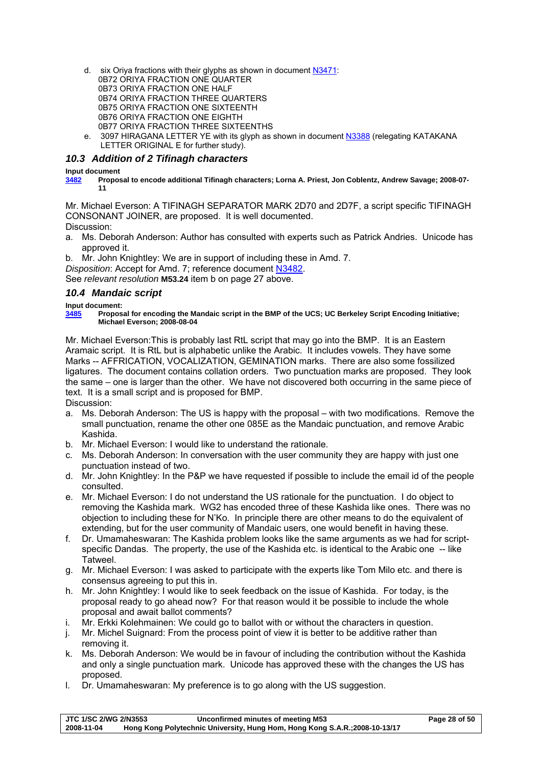- d. six Oriya fractions with their glyphs as shown in document N3471:
	- 0B72 ORIYA FRACTION ONE QUARTER 0B73 ORIYA FRACTION ONE HALF
	- 0B74 ORIYA FRACTION THREE QUARTERS
	- 0B75 ORIYA FRACTION ONE SIXTEENTH
	- 0B76 ORIYA FRACTION ONE EIGHTH
	- 0B77 ORIYA FRACTION THREE SIXTEENTHS
- e. 3097 HIRAGANA LETTER YE with its glyph as shown in document N3388 (relegating KATAKANA LETTER ORIGINAL E for further study).

## *10.3 Addition of 2 Tifinagh characters*

## **Input document**

**3482 Proposal to encode additional Tifinagh characters; Lorna A. Priest, Jon Coblentz, Andrew Savage; 2008-07- 11** 

Mr. Michael Everson: A TIFINAGH SEPARATOR MARK 2D70 and 2D7F, a script specific TIFINAGH CONSONANT JOINER, are proposed. It is well documented. Discussion:

- a. Ms. Deborah Anderson: Author has consulted with experts such as Patrick Andries. Unicode has approved it.
- b. Mr. John Knightley: We are in support of including these in Amd. 7.

*Disposition*: Accept for Amd. 7; reference document N3482.

See *relevant resolution* **M53.24** item b on page 27 above.

## *10.4 Mandaic script*

**Input document:** 

**3485 Proposal for encoding the Mandaic script in the BMP of the UCS; UC Berkeley Script Encoding Initiative; Michael Everson; 2008-08-04** 

Mr. Michael Everson:This is probably last RtL script that may go into the BMP. It is an Eastern Aramaic script. It is RtL but is alphabetic unlike the Arabic. It includes vowels. They have some Marks -- AFFRICATION, VOCALIZATION, GEMINATION marks. There are also some fossilized ligatures. The document contains collation orders. Two punctuation marks are proposed. They look the same – one is larger than the other. We have not discovered both occurring in the same piece of text. It is a small script and is proposed for BMP. Discussion:

- a. Ms. Deborah Anderson: The US is happy with the proposal with two modifications. Remove the small punctuation, rename the other one 085E as the Mandaic punctuation, and remove Arabic Kashida.
- b. Mr. Michael Everson: I would like to understand the rationale.
- c. Ms. Deborah Anderson: In conversation with the user community they are happy with just one punctuation instead of two.
- d. Mr. John Knightley: In the P&P we have requested if possible to include the email id of the people consulted.
- e. Mr. Michael Everson: I do not understand the US rationale for the punctuation. I do object to removing the Kashida mark. WG2 has encoded three of these Kashida like ones. There was no objection to including these for N'Ko. In principle there are other means to do the equivalent of extending, but for the user community of Mandaic users, one would benefit in having these.
- f. Dr. Umamaheswaran: The Kashida problem looks like the same arguments as we had for scriptspecific Dandas. The property, the use of the Kashida etc. is identical to the Arabic one -- like Tatweel.
- g. Mr. Michael Everson: I was asked to participate with the experts like Tom Milo etc. and there is consensus agreeing to put this in.
- h. Mr. John Knightley: I would like to seek feedback on the issue of Kashida. For today, is the proposal ready to go ahead now? For that reason would it be possible to include the whole proposal and await ballot comments?
- i. Mr. Erkki Kolehmainen: We could go to ballot with or without the characters in question.
- j. Mr. Michel Suignard: From the process point of view it is better to be additive rather than removing it.
- k. Ms. Deborah Anderson: We would be in favour of including the contribution without the Kashida and only a single punctuation mark. Unicode has approved these with the changes the US has proposed.
- l. Dr. Umamaheswaran: My preference is to go along with the US suggestion.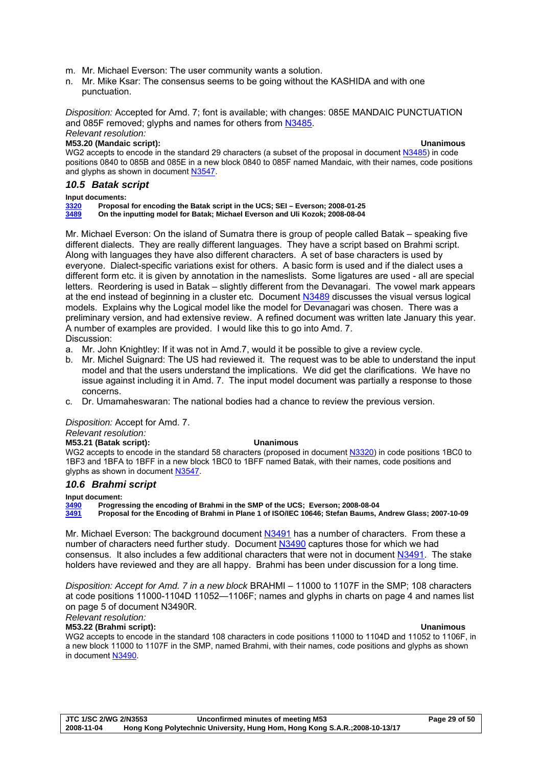- m. Mr. Michael Everson: The user community wants a solution.
- n. Mr. Mike Ksar: The consensus seems to be going without the KASHIDA and with one punctuation.

*Disposition:* Accepted for Amd. 7; font is available; with changes: 085E MANDAIC PUNCTUATION and 085F removed; glyphs and names for others from N3485.

### *Relevant resolution:*  **M53.20 (Mandaic script): Unanimous**

WG2 accepts to encode in the standard 29 characters (a subset of the proposal in document N3485) in code positions 0840 to 085B and 085E in a new block 0840 to 085F named Mandaic, with their names, code positions and glyphs as shown in document N3547.

## *10.5 Batak script*

## **Input documents:**

**3320 Proposal for encoding the Batak script in the UCS; SEI – Everson; 2008-01-25** 

**3489 On the inputting model for Batak; Michael Everson and Uli Kozok; 2008-08-04** 

Mr. Michael Everson: On the island of Sumatra there is group of people called Batak – speaking five different dialects. They are really different languages. They have a script based on Brahmi script. Along with languages they have also different characters. A set of base characters is used by everyone. Dialect-specific variations exist for others. A basic form is used and if the dialect uses a different form etc. it is given by annotation in the nameslists. Some ligatures are used - all are special letters. Reordering is used in Batak – slightly different from the Devanagari. The vowel mark appears at the end instead of beginning in a cluster etc. Document N3489 discusses the visual versus logical models. Explains why the Logical model like the model for Devanagari was chosen. There was a preliminary version, and had extensive review. A refined document was written late January this year. A number of examples are provided. I would like this to go into Amd. 7. Discussion:

- a. Mr. John Knightley: If it was not in Amd.7, would it be possible to give a review cycle.
- b. Mr. Michel Suignard: The US had reviewed it. The request was to be able to understand the input model and that the users understand the implications. We did get the clarifications. We have no issue against including it in Amd. 7. The input model document was partially a response to those concerns.
- c. Dr. Umamaheswaran: The national bodies had a chance to review the previous version.

## *Disposition:* Accept for Amd. 7.

## *Relevant resolution:*

## **M53.21 (Batak script): Unanimous**

WG2 accepts to encode in the standard 58 characters (proposed in document N3320) in code positions 1BC0 to 1BF3 and 1BFA to 1BFF in a new block 1BC0 to 1BFF named Batak, with their names, code positions and glyphs as shown in document N3547.

## *10.6 Brahmi script*

## **Input document:**

**3490 Progressing the encoding of Brahmi in the SMP of the UCS; Everson; 2008-08-04** 

**3491 Proposal for the Encoding of Brahmi in Plane 1 of ISO/IEC 10646; Stefan Baums, Andrew Glass; 2007-10-09** 

Mr. Michael Everson: The background document N3491 has a number of characters. From these a number of characters need further study. Document N3490 captures those for which we had consensus. It also includes a few additional characters that were not in document N3491. The stake holders have reviewed and they are all happy. Brahmi has been under discussion for a long time.

*Disposition: Accept for Amd. 7 in a new block* BRAHMI – 11000 to 1107F in the SMP; 108 characters at code positions 11000-1104D 11052—1106F; names and glyphs in charts on page 4 and names list on page 5 of document N3490R.

## *Relevant resolution:*

## **M53.22 (Brahmi script): Unanimous**

WG2 accepts to encode in the standard 108 characters in code positions 11000 to 1104D and 11052 to 1106F, in a new block 11000 to 1107F in the SMP, named Brahmi, with their names, code positions and glyphs as shown in document N3490.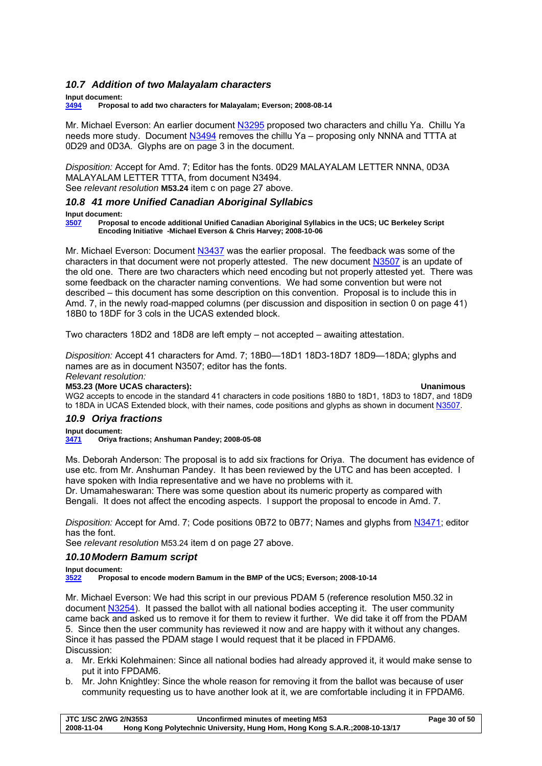## *10.7 Addition of two Malayalam characters*

**Input document: 3494 Proposal to add two characters for Malayalam; Everson; 2008-08-14** 

Mr. Michael Everson: An earlier document N3295 proposed two characters and chillu Ya. Chillu Ya needs more study. Document N3494 removes the chillu Ya – proposing only NNNA and TTTA at 0D29 and 0D3A. Glyphs are on page 3 in the document.

*Disposition:* Accept for Amd. 7; Editor has the fonts. 0D29 MALAYALAM LETTER NNNA, 0D3A MALAYALAM LETTER TTTA, from document N3494. See *relevant resolution* **M53.24** item c on page 27 above.

## *10.8 41 more Unified Canadian Aboriginal Syllabics*

## **Input document:**

**3507 Proposal to encode additional Unified Canadian Aboriginal Syllabics in the UCS; UC Berkeley Script Encoding Initiative -Michael Everson & Chris Harvey; 2008-10-06** 

Mr. Michael Everson: Document N3437 was the earlier proposal. The feedback was some of the characters in that document were not properly attested. The new document N3507 is an update of the old one. There are two characters which need encoding but not properly attested yet. There was some feedback on the character naming conventions. We had some convention but were not described – this document has some description on this convention. Proposal is to include this in Amd. 7, in the newly road-mapped columns (per discussion and disposition in section 0 on page 41) 18B0 to 18DF for 3 cols in the UCAS extended block.

Two characters 18D2 and 18D8 are left empty – not accepted – awaiting attestation.

*Disposition:* Accept 41 characters for Amd. 7; 18B0—18D1 18D3-18D7 18D9—18DA; glyphs and names are as in document N3507; editor has the fonts.

*Relevant resolution:* 

## **M53.23 (More UCAS characters): Unanimous**

WG2 accepts to encode in the standard 41 characters in code positions 18B0 to 18D1, 18D3 to 18D7, and 18D9 to 18DA in UCAS Extended block, with their names, code positions and glyphs as shown in document N3507.

## *10.9 Oriya fractions*

**Input document:**<br>**3471** Oriya fr **3471 Oriya fractions; Anshuman Pandey; 2008-05-08** 

Ms. Deborah Anderson: The proposal is to add six fractions for Oriya. The document has evidence of use etc. from Mr. Anshuman Pandey. It has been reviewed by the UTC and has been accepted. I have spoken with India representative and we have no problems with it.

Dr. Umamaheswaran: There was some question about its numeric property as compared with Bengali. It does not affect the encoding aspects. I support the proposal to encode in Amd. 7.

*Disposition:* Accept for Amd. 7; Code positions 0B72 to 0B77; Names and glyphs from N3471; editor has the font.

See *relevant resolution* M53.24 item d on page 27 above.

## *10.10 Modern Bamum script*

**Input document:** 

**3522 Proposal to encode modern Bamum in the BMP of the UCS; Everson; 2008-10-14** 

Mr. Michael Everson: We had this script in our previous PDAM 5 (reference resolution M50.32 in document N3254). It passed the ballot with all national bodies accepting it. The user community came back and asked us to remove it for them to review it further. We did take it off from the PDAM 5. Since then the user community has reviewed it now and are happy with it without any changes. Since it has passed the PDAM stage I would request that it be placed in FPDAM6. Discussion:

- a. Mr. Erkki Kolehmainen: Since all national bodies had already approved it, it would make sense to put it into FPDAM6.
- b. Mr. John Knightley: Since the whole reason for removing it from the ballot was because of user community requesting us to have another look at it, we are comfortable including it in FPDAM6.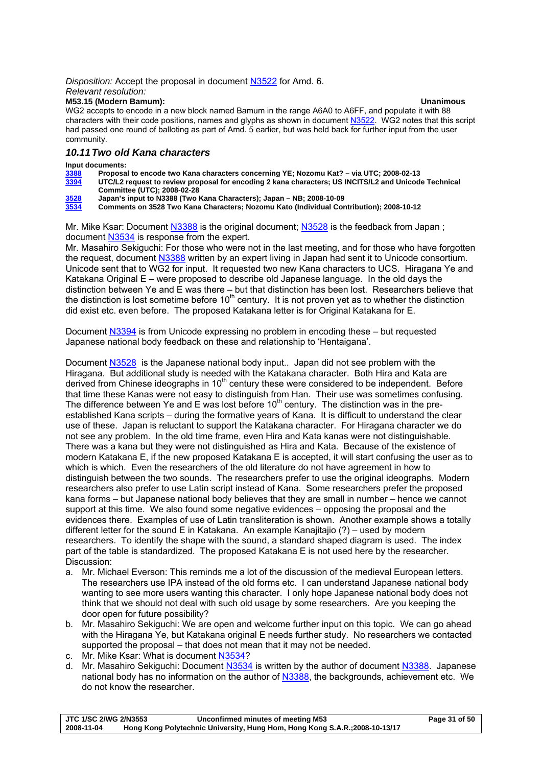*Disposition:* Accept the proposal in document N3522 for Amd. 6. *Relevant resolution:* 

## **M53.15 (Modern Bamum): Unanimous**

WG2 accepts to encode in a new block named Bamum in the range A6A0 to A6FF, and populate it with 88 characters with their code positions, names and glyphs as shown in document N3522. WG2 notes that this script had passed one round of balloting as part of Amd. 5 earlier, but was held back for further input from the user community.

## *10.11 Two old Kana characters*

**Input documents:** 

- **3388 Proposal to encode two Kana characters concerning YE; Nozomu Kat? via UTC; 2008-02-13 3394 UTC/L2 request to review proposal for encoding 2 kana characters; US INCITS/L2 and Unicode Technical**
- **Committee (UTC); 2008-02-28**
- 

**3528 Japan's input to N3388 (Two Kana Characters); Japan – NB; 2008-10-09 3534 Comments on 3528 Two Kana Characters; Nozomu Kato (Individual Contribution); 2008-10-12** 

Mr. Mike Ksar: Document N3388 is the original document; N3528 is the feedback from Japan ; document N3534 is response from the expert.

Mr. Masahiro Sekiguchi: For those who were not in the last meeting, and for those who have forgotten the request, document N3388 written by an expert living in Japan had sent it to Unicode consortium. Unicode sent that to WG2 for input. It requested two new Kana characters to UCS. Hiragana Ye and Katakana Original E – were proposed to describe old Japanese language. In the old days the distinction between Ye and E was there – but that distinction has been lost. Researchers believe that the distinction is lost sometime before  $10<sup>th</sup>$  century. It is not proven yet as to whether the distinction did exist etc. even before. The proposed Katakana letter is for Original Katakana for E.

Document N3394 is from Unicode expressing no problem in encoding these – but requested Japanese national body feedback on these and relationship to 'Hentaigana'.

Document N3528 is the Japanese national body input.. Japan did not see problem with the Hiragana. But additional study is needed with the Katakana character. Both Hira and Kata are derived from Chinese ideographs in  $10<sup>th</sup>$  century these were considered to be independent. Before that time these Kanas were not easy to distinguish from Han. Their use was sometimes confusing. The difference between Ye and E was lost before  $10<sup>th</sup>$  century. The distinction was in the preestablished Kana scripts – during the formative years of Kana. It is difficult to understand the clear use of these. Japan is reluctant to support the Katakana character. For Hiragana character we do not see any problem. In the old time frame, even Hira and Kata kanas were not distinguishable. There was a kana but they were not distinguished as Hira and Kata. Because of the existence of modern Katakana E, if the new proposed Katakana E is accepted, it will start confusing the user as to which is which. Even the researchers of the old literature do not have agreement in how to distinguish between the two sounds. The researchers prefer to use the original ideographs. Modern researchers also prefer to use Latin script instead of Kana. Some researchers prefer the proposed kana forms – but Japanese national body believes that they are small in number – hence we cannot support at this time. We also found some negative evidences – opposing the proposal and the evidences there. Examples of use of Latin transliteration is shown. Another example shows a totally different letter for the sound E in Katakana. An example Kanajitajio (?) – used by modern researchers. To identify the shape with the sound, a standard shaped diagram is used. The index part of the table is standardized. The proposed Katakana E is not used here by the researcher. Discussion:

- a. Mr. Michael Everson: This reminds me a lot of the discussion of the medieval European letters. The researchers use IPA instead of the old forms etc. I can understand Japanese national body wanting to see more users wanting this character. I only hope Japanese national body does not think that we should not deal with such old usage by some researchers. Are you keeping the door open for future possibility?
- b. Mr. Masahiro Sekiguchi: We are open and welcome further input on this topic. We can go ahead with the Hiragana Ye, but Katakana original E needs further study. No researchers we contacted supported the proposal – that does not mean that it may not be needed.
- c. Mr. Mike Ksar: What is document N3534?
- d. Mr. Masahiro Sekiguchi: Document N3534 is written by the author of document N3388. Japanese national body has no information on the author of N3388, the backgrounds, achievement etc. We do not know the researcher.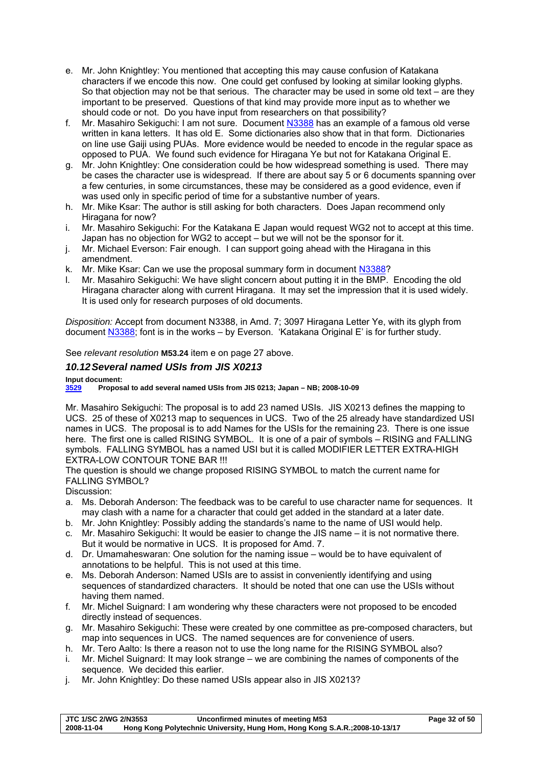- e. Mr. John Knightley: You mentioned that accepting this may cause confusion of Katakana characters if we encode this now. One could get confused by looking at similar looking glyphs. So that objection may not be that serious. The character may be used in some old text – are they important to be preserved. Questions of that kind may provide more input as to whether we should code or not. Do you have input from researchers on that possibility?
- f. Mr. Masahiro Sekiguchi: I am not sure. Document N3388 has an example of a famous old verse written in kana letters. It has old E. Some dictionaries also show that in that form. Dictionaries on line use Gaiji using PUAs. More evidence would be needed to encode in the regular space as opposed to PUA. We found such evidence for Hiragana Ye but not for Katakana Original E.
- g. Mr. John Knightley: One consideration could be how widespread something is used. There may be cases the character use is widespread. If there are about say 5 or 6 documents spanning over a few centuries, in some circumstances, these may be considered as a good evidence, even if was used only in specific period of time for a substantive number of years.
- h. Mr. Mike Ksar: The author is still asking for both characters. Does Japan recommend only Hiragana for now?
- i. Mr. Masahiro Sekiguchi: For the Katakana E Japan would request WG2 not to accept at this time. Japan has no objection for WG2 to accept – but we will not be the sponsor for it.
- j. Mr. Michael Everson: Fair enough. I can support going ahead with the Hiragana in this amendment.
- k. Mr. Mike Ksar: Can we use the proposal summary form in document N3388?
- l. Mr. Masahiro Sekiguchi: We have slight concern about putting it in the BMP. Encoding the old Hiragana character along with current Hiragana. It may set the impression that it is used widely. It is used only for research purposes of old documents.

*Disposition:* Accept from document N3388, in Amd. 7; 3097 Hiragana Letter Ye, with its glyph from document N3388; font is in the works – by Everson. 'Katakana Original E' is for further study.

See *relevant resolution* **M53.24** item e on page 27 above.

## *10.12 Several named USIs from JIS X0213*

## **Input document:**

**3529 Proposal to add several named USIs from JIS 0213; Japan – NB; 2008-10-09** 

Mr. Masahiro Sekiguchi: The proposal is to add 23 named USIs. JIS X0213 defines the mapping to UCS. 25 of these of X0213 map to sequences in UCS. Two of the 25 already have standardized USI names in UCS. The proposal is to add Names for the USIs for the remaining 23. There is one issue here. The first one is called RISING SYMBOL. It is one of a pair of symbols – RISING and FALLING symbols. FALLING SYMBOL has a named USI but it is called MODIFIER LETTER EXTRA-HIGH EXTRA-LOW CONTOUR TONE BAR !!!

The question is should we change proposed RISING SYMBOL to match the current name for FALLING SYMBOL?

Discussion:

- a. Ms. Deborah Anderson: The feedback was to be careful to use character name for sequences. It may clash with a name for a character that could get added in the standard at a later date.
- b. Mr. John Knightley: Possibly adding the standards's name to the name of USI would help.
- c. Mr. Masahiro Sekiguchi: It would be easier to change the JIS name it is not normative there. But it would be normative in UCS. It is proposed for Amd. 7.
- d. Dr. Umamaheswaran: One solution for the naming issue would be to have equivalent of annotations to be helpful. This is not used at this time.
- e. Ms. Deborah Anderson: Named USIs are to assist in conveniently identifying and using sequences of standardized characters. It should be noted that one can use the USIs without having them named.
- f. Mr. Michel Suignard: I am wondering why these characters were not proposed to be encoded directly instead of sequences.
- g. Mr. Masahiro Sekiguchi: These were created by one committee as pre-composed characters, but map into sequences in UCS. The named sequences are for convenience of users.
- h. Mr. Tero Aalto: Is there a reason not to use the long name for the RISING SYMBOL also?
- i. Mr. Michel Suignard: It may look strange we are combining the names of components of the sequence. We decided this earlier.
- j. Mr. John Knightley: Do these named USIs appear also in JIS X0213?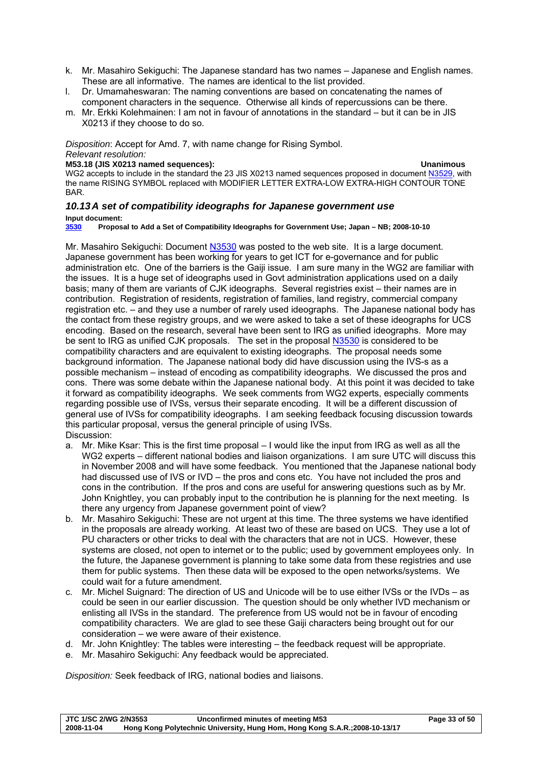- k. Mr. Masahiro Sekiguchi: The Japanese standard has two names Japanese and English names. These are all informative. The names are identical to the list provided.
- l. Dr. Umamaheswaran: The naming conventions are based on concatenating the names of component characters in the sequence. Otherwise all kinds of repercussions can be there.
- m. Mr. Erkki Kolehmainen: I am not in favour of annotations in the standard but it can be in JIS X0213 if they choose to do so.

*Disposition*: Accept for Amd. 7, with name change for Rising Symbol.

### *Relevant resolution:*  **M53.18 (JIS X0213 named sequences): Unanimous**

WG2 accepts to include in the standard the 23 JIS X0213 named sequences proposed in document N3529, with the name RISING SYMBOL replaced with MODIFIER LETTER EXTRA-LOW EXTRA-HIGH CONTOUR TONE BAR.

## *10.13 A set of compatibility ideographs for Japanese government use*

## **Input document:**

**3530 Proposal to Add a Set of Compatibility Ideographs for Government Use; Japan – NB; 2008-10-10** 

Mr. Masahiro Sekiguchi: Document N3530 was posted to the web site. It is a large document. Japanese government has been working for years to get ICT for e-governance and for public administration etc. One of the barriers is the Gaiji issue. I am sure many in the WG2 are familiar with the issues. It is a huge set of ideographs used in Govt administration applications used on a daily basis; many of them are variants of CJK ideographs. Several registries exist – their names are in contribution. Registration of residents, registration of families, land registry, commercial company registration etc. – and they use a number of rarely used ideographs. The Japanese national body has the contact from these registry groups, and we were asked to take a set of these ideographs for UCS encoding. Based on the research, several have been sent to IRG as unified ideographs. More may be sent to IRG as unified CJK proposals. The set in the proposal N3530 is considered to be compatibility characters and are equivalent to existing ideographs. The proposal needs some background information. The Japanese national body did have discussion using the IVS-s as a possible mechanism – instead of encoding as compatibility ideographs. We discussed the pros and cons. There was some debate within the Japanese national body. At this point it was decided to take it forward as compatibility ideographs. We seek comments from WG2 experts, especially comments regarding possible use of IVSs, versus their separate encoding. It will be a different discussion of general use of IVSs for compatibility ideographs. I am seeking feedback focusing discussion towards this particular proposal, versus the general principle of using IVSs.

- Discussion:<br>a. Mr. Mike a. Mr. Mike Ksar: This is the first time proposal – I would like the input from IRG as well as all the WG2 experts – different national bodies and liaison organizations. I am sure UTC will discuss this in November 2008 and will have some feedback. You mentioned that the Japanese national body had discussed use of IVS or IVD – the pros and cons etc. You have not included the pros and cons in the contribution. If the pros and cons are useful for answering questions such as by Mr. John Knightley, you can probably input to the contribution he is planning for the next meeting. Is there any urgency from Japanese government point of view?
- b. Mr. Masahiro Sekiguchi: These are not urgent at this time. The three systems we have identified in the proposals are already working. At least two of these are based on UCS. They use a lot of PU characters or other tricks to deal with the characters that are not in UCS. However, these systems are closed, not open to internet or to the public; used by government employees only. In the future, the Japanese government is planning to take some data from these registries and use them for public systems. Then these data will be exposed to the open networks/systems. We could wait for a future amendment.
- c. Mr. Michel Suignard: The direction of US and Unicode will be to use either IVSs or the IVDs as could be seen in our earlier discussion. The question should be only whether IVD mechanism or enlisting all IVSs in the standard. The preference from US would not be in favour of encoding compatibility characters. We are glad to see these Gaiji characters being brought out for our consideration – we were aware of their existence.
- d. Mr. John Knightley: The tables were interesting the feedback request will be appropriate.
- e. Mr. Masahiro Sekiguchi: Any feedback would be appreciated.

*Disposition:* Seek feedback of IRG, national bodies and liaisons.

| <b>JTC 1/SC 2/WG 2/N3553</b> | Unconfirmed minutes of meeting M53                                         | Page 33 of 50 |
|------------------------------|----------------------------------------------------------------------------|---------------|
| 2008-11-04                   | Hong Kong Polytechnic University, Hung Hom, Hong Kong S.A.R.;2008-10-13/17 |               |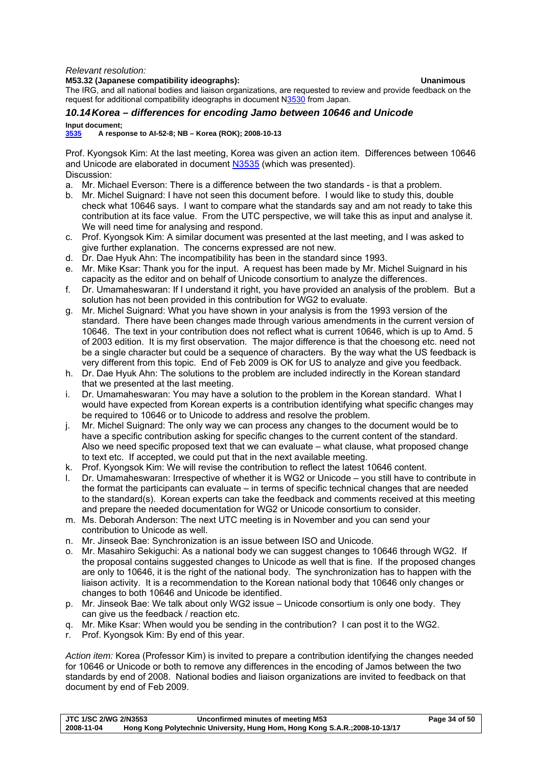## *Relevant resolution:*

**M53.32 (Japanese compatibility ideographs): Unanimous** 

The IRG, and all national bodies and liaison organizations, are requested to review and provide feedback on the request for additional compatibility ideographs in document N3530 from Japan.

## *10.14 Korea – differences for encoding Jamo between 10646 and Unicode*

## **Input document;<br>
3535** A respo **3535 A response to AI-52-8; NB – Korea (ROK); 2008-10-13**

Prof. Kyongsok Kim: At the last meeting, Korea was given an action item. Differences between 10646 and Unicode are elaborated in document N3535 (which was presented). Discussion:

- a. Mr. Michael Everson: There is a difference between the two standards is that a problem.
- b. Mr. Michel Suignard: I have not seen this document before. I would like to study this, double check what 10646 says. I want to compare what the standards say and am not ready to take this contribution at its face value. From the UTC perspective, we will take this as input and analyse it. We will need time for analysing and respond.
- c. Prof. Kyongsok Kim: A similar document was presented at the last meeting, and I was asked to give further explanation. The concerns expressed are not new.
- d. Dr. Dae Hyuk Ahn: The incompatibility has been in the standard since 1993.
- e. Mr. Mike Ksar: Thank you for the input. A request has been made by Mr. Michel Suignard in his capacity as the editor and on behalf of Unicode consortium to analyze the differences.
- f. Dr. Umamaheswaran: If I understand it right, you have provided an analysis of the problem. But a solution has not been provided in this contribution for WG2 to evaluate.
- g. Mr. Michel Suignard: What you have shown in your analysis is from the 1993 version of the standard. There have been changes made through various amendments in the current version of 10646. The text in your contribution does not reflect what is current 10646, which is up to Amd. 5 of 2003 edition. It is my first observation. The major difference is that the choesong etc. need not be a single character but could be a sequence of characters. By the way what the US feedback is very different from this topic. End of Feb 2009 is OK for US to analyze and give you feedback.
- h. Dr. Dae Hyuk Ahn: The solutions to the problem are included indirectly in the Korean standard that we presented at the last meeting.
- i. Dr. Umamaheswaran: You may have a solution to the problem in the Korean standard. What I would have expected from Korean experts is a contribution identifying what specific changes may be required to 10646 or to Unicode to address and resolve the problem.
- j. Mr. Michel Suignard: The only way we can process any changes to the document would be to have a specific contribution asking for specific changes to the current content of the standard. Also we need specific proposed text that we can evaluate – what clause, what proposed change to text etc. If accepted, we could put that in the next available meeting.
- k. Prof. Kyongsok Kim: We will revise the contribution to reflect the latest 10646 content.
- l. Dr. Umamaheswaran: Irrespective of whether it is WG2 or Unicode you still have to contribute in the format the participants can evaluate – in terms of specific technical changes that are needed to the standard(s). Korean experts can take the feedback and comments received at this meeting and prepare the needed documentation for WG2 or Unicode consortium to consider.
- m. Ms. Deborah Anderson: The next UTC meeting is in November and you can send your contribution to Unicode as well.
- n. Mr. Jinseok Bae: Synchronization is an issue between ISO and Unicode.
- o. Mr. Masahiro Sekiguchi: As a national body we can suggest changes to 10646 through WG2. If the proposal contains suggested changes to Unicode as well that is fine. If the proposed changes are only to 10646, it is the right of the national body. The synchronization has to happen with the liaison activity. It is a recommendation to the Korean national body that 10646 only changes or changes to both 10646 and Unicode be identified.
- p. Mr. Jinseok Bae: We talk about only WG2 issue Unicode consortium is only one body. They can give us the feedback / reaction etc.
- q. Mr. Mike Ksar: When would you be sending in the contribution? I can post it to the WG2.
- r. Prof. Kyongsok Kim: By end of this year.

*Action item:* Korea (Professor Kim) is invited to prepare a contribution identifying the changes needed for 10646 or Unicode or both to remove any differences in the encoding of Jamos between the two standards by end of 2008. National bodies and liaison organizations are invited to feedback on that document by end of Feb 2009.

**JTC 1/SC 2/WG 2/N3553 Unconfirmed minutes of meeting M53 Page 34 of 50 2008-11-04 Hong Kong Polytechnic University, Hung Hom, Hong Kong S.A.R.;2008-10-13/17**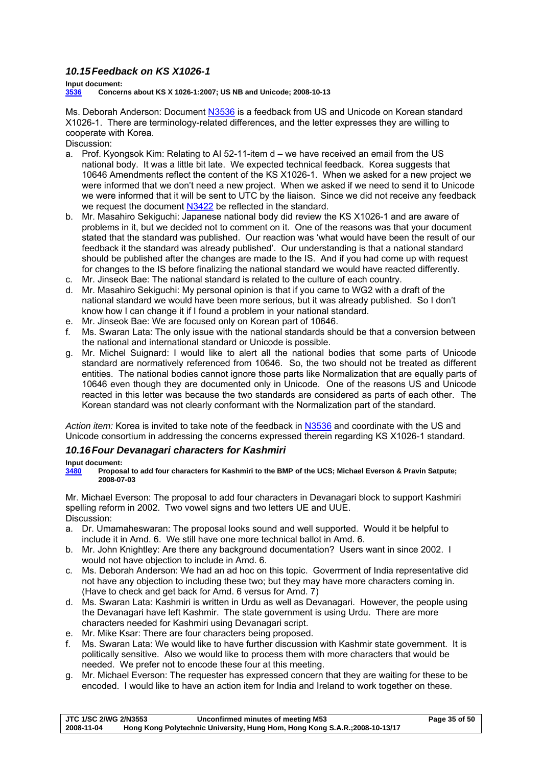## *10.15 Feedback on KS X1026-1*

## **Input document:**

**3536 Concerns about KS X 1026-1:2007; US NB and Unicode; 2008-10-13** 

Ms. Deborah Anderson: Document N3536 is a feedback from US and Unicode on Korean standard X1026-1. There are terminology-related differences, and the letter expresses they are willing to cooperate with Korea.

- Discussion:
- a. Prof. Kyongsok Kim: Relating to AI 52-11-item d we have received an email from the US national body. It was a little bit late. We expected technical feedback. Korea suggests that 10646 Amendments reflect the content of the KS X1026-1. When we asked for a new project we were informed that we don't need a new project. When we asked if we need to send it to Unicode we were informed that it will be sent to UTC by the liaison. Since we did not receive any feedback we request the document N3422 be reflected in the standard.
- b. Mr. Masahiro Sekiguchi: Japanese national body did review the KS X1026-1 and are aware of problems in it, but we decided not to comment on it. One of the reasons was that your document stated that the standard was published. Our reaction was 'what would have been the result of our feedback it the standard was already published'. Our understanding is that a national standard should be published after the changes are made to the IS. And if you had come up with request for changes to the IS before finalizing the national standard we would have reacted differently.
- c. Mr. Jinseok Bae: The national standard is related to the culture of each country.
- d. Mr. Masahiro Sekiguchi: My personal opinion is that if you came to WG2 with a draft of the national standard we would have been more serious, but it was already published. So I don't know how I can change it if I found a problem in your national standard.
- e. Mr. Jinseok Bae: We are focused only on Korean part of 10646.
- f. Ms. Swaran Lata: The only issue with the national standards should be that a conversion between the national and international standard or Unicode is possible.
- g. Mr. Michel Suignard: I would like to alert all the national bodies that some parts of Unicode standard are normatively referenced from 10646. So, the two should not be treated as different entities. The national bodies cannot ignore those parts like Normalization that are equally parts of 10646 even though they are documented only in Unicode. One of the reasons US and Unicode reacted in this letter was because the two standards are considered as parts of each other. The Korean standard was not clearly conformant with the Normalization part of the standard.

*Action item:* Korea is invited to take note of the feedback in N3536 and coordinate with the US and Unicode consortium in addressing the concerns expressed therein regarding KS X1026-1 standard.

## *10.16 Four Devanagari characters for Kashmiri*

## **Input document:**

Mr. Michael Everson: The proposal to add four characters in Devanagari block to support Kashmiri spelling reform in 2002. Two vowel signs and two letters UE and UUE. Discussion:

- a. Dr. Umamaheswaran: The proposal looks sound and well supported. Would it be helpful to include it in Amd. 6. We still have one more technical ballot in Amd. 6.
- b. Mr. John Knightley: Are there any background documentation? Users want in since 2002. I would not have objection to include in Amd. 6.
- c. Ms. Deborah Anderson: We had an ad hoc on this topic. Goverrment of India representative did not have any objection to including these two; but they may have more characters coming in. (Have to check and get back for Amd. 6 versus for Amd. 7)
- d. Ms. Swaran Lata: Kashmiri is written in Urdu as well as Devanagari. However, the people using the Devanagari have left Kashmir. The state government is using Urdu. There are more characters needed for Kashmiri using Devanagari script.
- e. Mr. Mike Ksar: There are four characters being proposed.
- f. Ms. Swaran Lata: We would like to have further discussion with Kashmir state government. It is politically sensitive. Also we would like to process them with more characters that would be needed. We prefer not to encode these four at this meeting.
- g. Mr. Michael Everson: The requester has expressed concern that they are waiting for these to be encoded. I would like to have an action item for India and Ireland to work together on these.

| JTC 1/SC 2/WG 2/N3553 | Unconfirmed minutes of meeting M53                                          | Page 35 of 50 |
|-----------------------|-----------------------------------------------------------------------------|---------------|
| 2008-11-04            | Hong Kong Polytechnic University, Hung Hom, Hong Kong S.A.R.; 2008-10-13/17 |               |

**<sup>3480</sup> Proposal to add four characters for Kashmiri to the BMP of the UCS; Michael Everson & Pravin Satpute; 2008-07-03**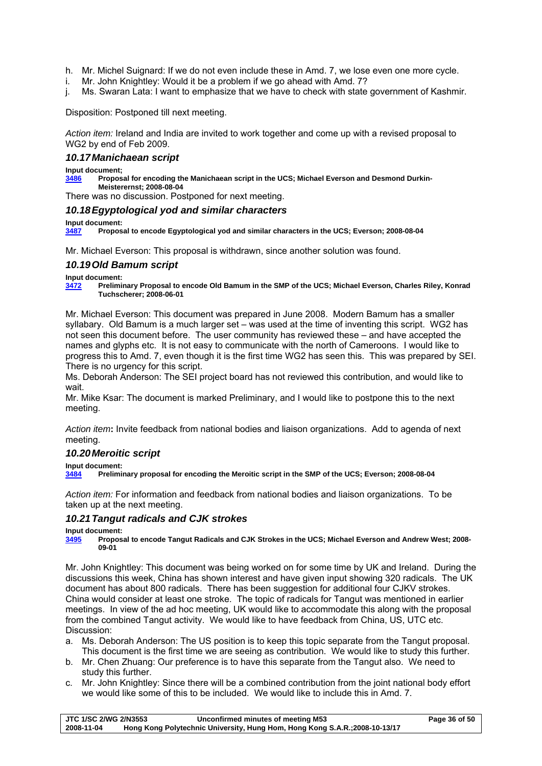- h. Mr. Michel Suignard: If we do not even include these in Amd. 7, we lose even one more cycle.
- i. Mr. John Knightley: Would it be a problem if we go ahead with Amd. 7?
- j. Ms. Swaran Lata: I want to emphasize that we have to check with state government of Kashmir.

Disposition: Postponed till next meeting.

*Action item:* Ireland and India are invited to work together and come up with a revised proposal to WG2 by end of Feb 2009.

## *10.17 Manichaean script*

**Input document;** 

**3486 Proposal for encoding the Manichaean script in the UCS; Michael Everson and Desmond Durkin-Meisterernst; 2008-08-04** 

There was no discussion. Postponed for next meeting.

## *10.18 Egyptological yod and similar characters*

## **Input document:**

**3487 Proposal to encode Egyptological yod and similar characters in the UCS; Everson; 2008-08-04** 

Mr. Michael Everson: This proposal is withdrawn, since another solution was found.

## *10.19 Old Bamum script*

**Input document:** 

**3472 Preliminary Proposal to encode Old Bamum in the SMP of the UCS; Michael Everson, Charles Riley, Konrad Tuchscherer; 2008-06-01** 

Mr. Michael Everson: This document was prepared in June 2008. Modern Bamum has a smaller syllabary. Old Bamum is a much larger set – was used at the time of inventing this script. WG2 has not seen this document before. The user community has reviewed these – and have accepted the names and glyphs etc. It is not easy to communicate with the north of Cameroons. I would like to progress this to Amd. 7, even though it is the first time WG2 has seen this. This was prepared by SEI. There is no urgency for this script.

Ms. Deborah Anderson: The SEI project board has not reviewed this contribution, and would like to wait.

Mr. Mike Ksar: The document is marked Preliminary, and I would like to postpone this to the next meeting.

*Action item***:** Invite feedback from national bodies and liaison organizations. Add to agenda of next meeting.

## *10.20 Meroitic script*

**Input document:** 

**3484 Preliminary proposal for encoding the Meroitic script in the SMP of the UCS; Everson; 2008-08-04** 

*Action item:* For information and feedback from national bodies and liaison organizations. To be taken up at the next meeting.

## *10.21 Tangut radicals and CJK strokes*

**Input document:** 

**3495 Proposal to encode Tangut Radicals and CJK Strokes in the UCS; Michael Everson and Andrew West; 2008- 09-01** 

Mr. John Knightley: This document was being worked on for some time by UK and Ireland. During the discussions this week, China has shown interest and have given input showing 320 radicals. The UK document has about 800 radicals. There has been suggestion for additional four CJKV strokes. China would consider at least one stroke. The topic of radicals for Tangut was mentioned in earlier meetings. In view of the ad hoc meeting, UK would like to accommodate this along with the proposal from the combined Tangut activity. We would like to have feedback from China, US, UTC etc. Discussion:

- a. Ms. Deborah Anderson: The US position is to keep this topic separate from the Tangut proposal. This document is the first time we are seeing as contribution. We would like to study this further.
- b. Mr. Chen Zhuang: Our preference is to have this separate from the Tangut also. We need to study this further.
- c. Mr. John Knightley: Since there will be a combined contribution from the joint national body effort we would like some of this to be included. We would like to include this in Amd. 7.

| <b>JTC 1/SC 2/WG 2/N3553</b> | Unconfirmed minutes of meeting M53                                         | Page 36 of 50 |
|------------------------------|----------------------------------------------------------------------------|---------------|
| 2008-11-04                   | Hong Kong Polytechnic University, Hung Hom, Hong Kong S.A.R.;2008-10-13/17 |               |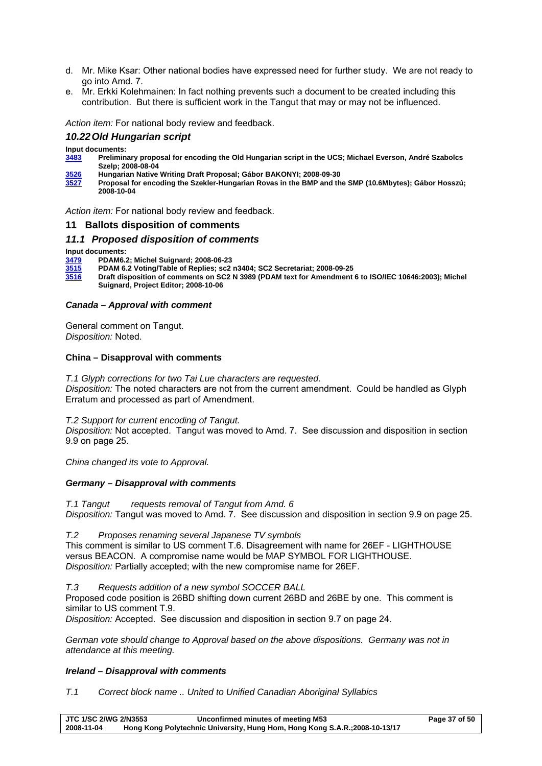- d. Mr. Mike Ksar: Other national bodies have expressed need for further study. We are not ready to go into Amd. 7.
- e. Mr. Erkki Kolehmainen: In fact nothing prevents such a document to be created including this contribution. But there is sufficient work in the Tangut that may or may not be influenced.

*Action item:* For national body review and feedback.

## *10.22 Old Hungarian script*

**Input documents:** 

- **3483 Preliminary proposal for encoding the Old Hungarian script in the UCS; Michael Everson, André Szabolcs Szelp; 2008-08-04**
- **3526 Hungarian Native Writing Draft Proposal; Gábor BAKONYI; 2008-09-30**
- **3527 Proposal for encoding the Szekler-Hungarian Rovas in the BMP and the SMP (10.6Mbytes); Gábor Hosszú; 2008-10-04**

*Action item:* For national body review and feedback.

## **11 Ballots disposition of comments**

## *11.1 Proposed disposition of comments*

**Input documents:** 

**3479 PDAM6.2; Michel Suignard; 2008-06-23** 

**3515 PDAM 6.2 Voting/Table of Replies; sc2 n3404; SC2 Secretariat; 2008-09-25** 

**3516 Draft disposition of comments on SC2 N 3989 (PDAM text for Amendment 6 to ISO/IEC 10646:2003); Michel Suignard, Project Editor; 2008-10-06** 

## *Canada – Approval with comment*

General comment on Tangut. *Disposition:* Noted.

## **China – Disapproval with comments**

*T.1 Glyph corrections for two Tai Lue characters are requested. Disposition:* The noted characters are not from the current amendment. Could be handled as Glyph

Erratum and processed as part of Amendment.

*T.2 Support for current encoding of Tangut.* 

*Disposition:* Not accepted. Tangut was moved to Amd. 7. See discussion and disposition in section 9.9 on page 25.

*China changed its vote to Approval.* 

## *Germany – Disapproval with comments*

*T.1 Tangut requests removal of Tangut from Amd. 6 Disposition:* Tangut was moved to Amd. 7. See discussion and disposition in section 9.9 on page 25.

## *T.2 Proposes renaming several Japanese TV symbols*

This comment is similar to US comment T.6. Disagreement with name for 26EF - LIGHTHOUSE versus BEACON. A compromise name would be MAP SYMBOL FOR LIGHTHOUSE. *Disposition:* Partially accepted; with the new compromise name for 26EF.

*T.3 Requests addition of a new symbol SOCCER BALL* 

Proposed code position is 26BD shifting down current 26BD and 26BE by one. This comment is similar to US comment T.9.

*Disposition:* Accepted. See discussion and disposition in section 9.7 on page 24.

*German vote should change to Approval based on the above dispositions. Germany was not in attendance at this meeting.* 

## *Ireland – Disapproval with comments*

*T.1 Correct block name .. United to Unified Canadian Aboriginal Syllabics* 

**JTC 1/SC 2/WG 2/N3553 Unconfirmed minutes of meeting M53 Page 37 of 50 2008-11-04 Hong Kong Polytechnic University, Hung Hom, Hong Kong S.A.R.;2008-10-13/17**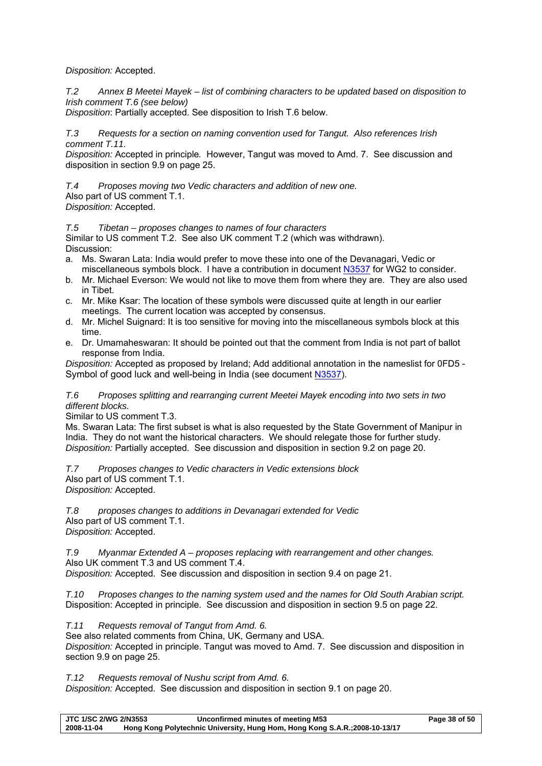## *Disposition:* Accepted.

*T.2 Annex B Meetei Mayek – list of combining characters to be updated based on disposition to Irish comment T.6 (see below)* 

*Disposition*: Partially accepted. See disposition to Irish T.6 below.

*T.3 Requests for a section on naming convention used for Tangut. Also references Irish comment T.11.* 

*Disposition:* Accepted in principle*.* However, Tangut was moved to Amd. 7. See discussion and disposition in section 9.9 on page 25.

*T.4 Proposes moving two Vedic characters and addition of new one.*  Also part of US comment T.1. *Disposition:* Accepted.

*T.5 Tibetan – proposes changes to names of four characters* 

Similar to US comment T.2. See also UK comment T.2 (which was withdrawn). Discussion:

- a. Ms. Swaran Lata: India would prefer to move these into one of the Devanagari, Vedic or miscellaneous symbols block. I have a contribution in document N3537 for WG2 to consider.
- b. Mr. Michael Everson: We would not like to move them from where they are. They are also used in Tibet.
- c. Mr. Mike Ksar: The location of these symbols were discussed quite at length in our earlier meetings. The current location was accepted by consensus.
- d. Mr. Michel Suignard: It is too sensitive for moving into the miscellaneous symbols block at this time.
- e. Dr. Umamaheswaran: It should be pointed out that the comment from India is not part of ballot response from India.

*Disposition:* Accepted as proposed by Ireland; Add additional annotation in the nameslist for 0FD5 - Symbol of good luck and well-being in India (see document N3537).

## *T.6 Proposes splitting and rearranging current Meetei Mayek encoding into two sets in two different blocks.*

Similar to US comment T.3.

Ms. Swaran Lata: The first subset is what is also requested by the State Government of Manipur in India. They do not want the historical characters. We should relegate those for further study. *Disposition:* Partially accepted. See discussion and disposition in section 9.2 on page 20.

*T.7 Proposes changes to Vedic characters in Vedic extensions block*  Also part of US comment T.1. *Disposition:* Accepted.

*T.8 proposes changes to additions in Devanagari extended for Vedic*  Also part of US comment T.1. *Disposition:* Accepted.

*T.9 Myanmar Extended A – proposes replacing with rearrangement and other changes.*  Also UK comment T.3 and US comment T.4. *Disposition:* Accepted. See discussion and disposition in section 9.4 on page 21.

*T.10 Proposes changes to the naming system used and the names for Old South Arabian script.*  Disposition: Accepted in principle. See discussion and disposition in section 9.5 on page 22.

*T.11 Requests removal of Tangut from Amd. 6.* 

See also related comments from China, UK, Germany and USA.

*Disposition:* Accepted in principle. Tangut was moved to Amd. 7. See discussion and disposition in section 9.9 on page 25.

*T.12 Requests removal of Nushu script from Amd. 6.* 

*Disposition:* Accepted. See discussion and disposition in section 9.1 on page 20.

| <b>JTC 1/SC 2/WG 2/N3553</b> | Unconfirmed minutes of meeting M53                                         | Page 38 of 50 |
|------------------------------|----------------------------------------------------------------------------|---------------|
| 2008-11-04                   | Hong Kong Polytechnic University, Hung Hom, Hong Kong S.A.R.;2008-10-13/17 |               |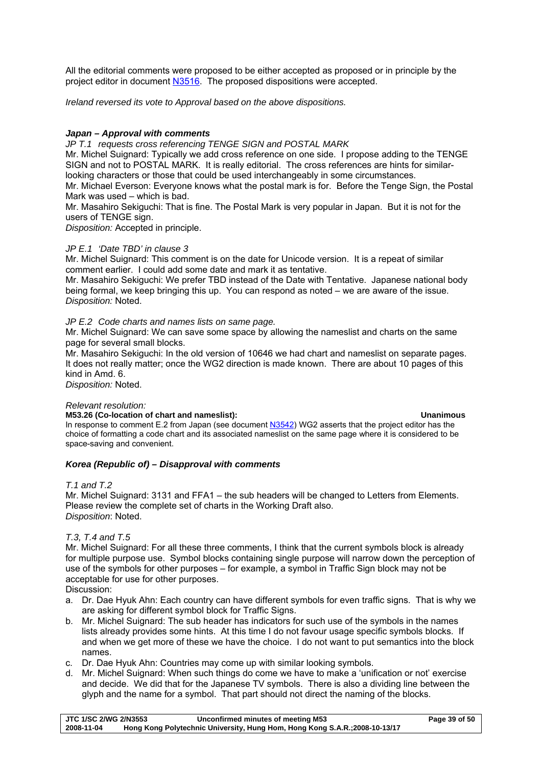All the editorial comments were proposed to be either accepted as proposed or in principle by the project editor in document N3516. The proposed dispositions were accepted.

*Ireland reversed its vote to Approval based on the above dispositions.* 

## *Japan – Approval with comments*

*JP T.1 requests cross referencing TENGE SIGN and POSTAL MARK* 

Mr. Michel Suignard: Typically we add cross reference on one side. I propose adding to the TENGE SIGN and not to POSTAL MARK. It is really editorial. The cross references are hints for similarlooking characters or those that could be used interchangeably in some circumstances.

Mr. Michael Everson: Everyone knows what the postal mark is for. Before the Tenge Sign, the Postal Mark was used – which is bad.

Mr. Masahiro Sekiguchi: That is fine. The Postal Mark is very popular in Japan. But it is not for the users of TENGE sign.

*Disposition:* Accepted in principle.

## *JP E.1 'Date TBD' in clause 3*

Mr. Michel Suignard: This comment is on the date for Unicode version. It is a repeat of similar comment earlier. I could add some date and mark it as tentative.

Mr. Masahiro Sekiguchi: We prefer TBD instead of the Date with Tentative. Japanese national body being formal, we keep bringing this up. You can respond as noted – we are aware of the issue. *Disposition:* Noted.

## *JP E.2 Code charts and names lists on same page.*

Mr. Michel Suignard: We can save some space by allowing the nameslist and charts on the same page for several small blocks.

Mr. Masahiro Sekiguchi: In the old version of 10646 we had chart and nameslist on separate pages. It does not really matter; once the WG2 direction is made known. There are about 10 pages of this kind in Amd. 6.

*Disposition:* Noted.

## *Relevant resolution:*

**M53.26 (Co-location of chart and nameslist): Unanimous** 

In response to comment E.2 from Japan (see document N3542) WG2 asserts that the project editor has the choice of formatting a code chart and its associated nameslist on the same page where it is considered to be space-saving and convenient.

## *Korea (Republic of) – Disapproval with comments*

## *T.1 and T.2*

Mr. Michel Suignard: 3131 and FFA1 – the sub headers will be changed to Letters from Elements. Please review the complete set of charts in the Working Draft also. *Disposition*: Noted.

## *T.3, T.4 and T.5*

Mr. Michel Suignard: For all these three comments, I think that the current symbols block is already for multiple purpose use. Symbol blocks containing single purpose will narrow down the perception of use of the symbols for other purposes – for example, a symbol in Traffic Sign block may not be acceptable for use for other purposes.

Discussion:

- a. Dr. Dae Hyuk Ahn: Each country can have different symbols for even traffic signs. That is why we are asking for different symbol block for Traffic Signs.
- b. Mr. Michel Suignard: The sub header has indicators for such use of the symbols in the names lists already provides some hints. At this time I do not favour usage specific symbols blocks. If and when we get more of these we have the choice. I do not want to put semantics into the block names.
- c. Dr. Dae Hyuk Ahn: Countries may come up with similar looking symbols.
- d. Mr. Michel Suignard: When such things do come we have to make a 'unification or not' exercise and decide. We did that for the Japanese TV symbols. There is also a dividing line between the glyph and the name for a symbol. That part should not direct the naming of the blocks.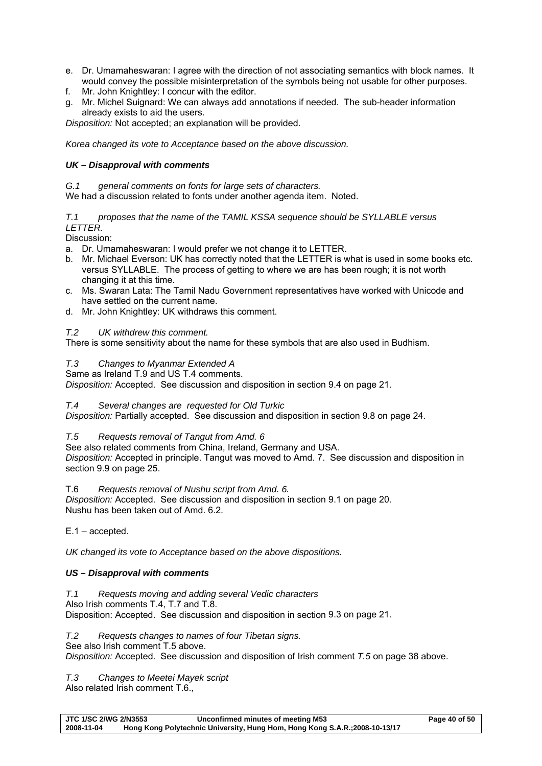- e. Dr. Umamaheswaran: I agree with the direction of not associating semantics with block names. It would convey the possible misinterpretation of the symbols being not usable for other purposes.
- f. Mr. John Knightley: I concur with the editor.
- g. Mr. Michel Suignard: We can always add annotations if needed. The sub-header information already exists to aid the users.

*Disposition:* Not accepted; an explanation will be provided.

*Korea changed its vote to Acceptance based on the above discussion.* 

## *UK – Disapproval with comments*

*G.1 general comments on fonts for large sets of characters.*  We had a discussion related to fonts under another agenda item. Noted.

## *T.1 proposes that the name of the TAMIL KSSA sequence should be SYLLABLE versus LETTER.*

Discussion:

- a. Dr. Umamaheswaran: I would prefer we not change it to LETTER.
- b. Mr. Michael Everson: UK has correctly noted that the LETTER is what is used in some books etc. versus SYLLABLE. The process of getting to where we are has been rough; it is not worth changing it at this time.
- c. Ms. Swaran Lata: The Tamil Nadu Government representatives have worked with Unicode and have settled on the current name.
- d. Mr. John Knightley: UK withdraws this comment.

## *T.2 UK withdrew this comment.*

There is some sensitivity about the name for these symbols that are also used in Budhism.

## *T.3 Changes to Myanmar Extended A*

Same as Ireland T.9 and US T.4 comments.

*Disposition:* Accepted. See discussion and disposition in section 9.4 on page 21.

## *T.4 Several changes are requested for Old Turkic*

*Disposition:* Partially accepted. See discussion and disposition in section 9.8 on page 24.

## *T.5 Requests removal of Tangut from Amd. 6*

See also related comments from China, Ireland, Germany and USA. *Disposition:* Accepted in principle. Tangut was moved to Amd. 7. See discussion and disposition in section 9.9 on page 25.

T.6 *Requests removal of Nushu script from Amd. 6.* 

*Disposition:* Accepted. See discussion and disposition in section 9.1 on page 20. Nushu has been taken out of Amd. 6.2.

E.1 – accepted.

*UK changed its vote to Acceptance based on the above dispositions.* 

## *US – Disapproval with comments*

*T.1 Requests moving and adding several Vedic characters* 

Also Irish comments T.4, T.7 and T.8.

Disposition: Accepted. See discussion and disposition in section 9.3 on page 21.

*T.2 Requests changes to names of four Tibetan signs.* 

See also Irish comment T.5 above.

*Disposition:* Accepted. See discussion and disposition of Irish comment *T.5* on page 38 above.

*T.3 Changes to Meetei Mayek script*  Also related Irish comment T.6.,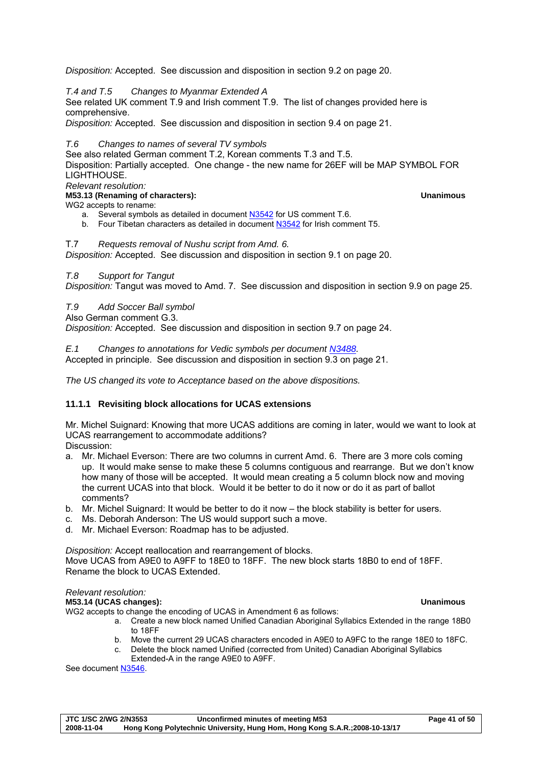*Disposition:* Accepted. See discussion and disposition in section 9.2 on page 20.

*T.4 and T.5 Changes to Myanmar Extended A* 

See related UK comment T.9 and Irish comment T.9. The list of changes provided here is comprehensive.

*Disposition:* Accepted. See discussion and disposition in section 9.4 on page 21.

## *T.6 Changes to names of several TV symbols*

See also related German comment T.2, Korean comments T.3 and T.5.

Disposition: Partially accepted. One change - the new name for 26EF will be MAP SYMBOL FOR LIGHTHOUSE.

*Relevant resolution:* 

## **M53.13 (Renaming of characters): Unanimous**

WG2 accepts to rename:

a. Several symbols as detailed in document N3542 for US comment T.6.

b. Four Tibetan characters as detailed in document N3542 for Irish comment T5.

## T.7 *Requests removal of Nushu script from Amd. 6.*

*Disposition:* Accepted. See discussion and disposition in section 9.1 on page 20.

## *T.8 Support for Tangut*

*Disposition:* Tangut was moved to Amd. 7. See discussion and disposition in section 9.9 on page 25.

## *T.9 Add Soccer Ball symbol*

Also German comment G.3.

*Disposition:* Accepted. See discussion and disposition in section 9.7 on page 24.

*E.1 Changes to annotations for Vedic symbols per document N3488.* 

Accepted in principle. See discussion and disposition in section 9.3 on page 21.

*The US changed its vote to Acceptance based on the above dispositions.* 

## **11.1.1 Revisiting block allocations for UCAS extensions**

Mr. Michel Suignard: Knowing that more UCAS additions are coming in later, would we want to look at UCAS rearrangement to accommodate additions? Discussion:

- a. Mr. Michael Everson: There are two columns in current Amd. 6. There are 3 more cols coming up. It would make sense to make these 5 columns contiguous and rearrange. But we don't know how many of those will be accepted. It would mean creating a 5 column block now and moving the current UCAS into that block. Would it be better to do it now or do it as part of ballot comments?
- b. Mr. Michel Suignard: It would be better to do it now the block stability is better for users.
- c. Ms. Deborah Anderson: The US would support such a move.
- d. Mr. Michael Everson: Roadmap has to be adjusted.

*Disposition:* Accept reallocation and rearrangement of blocks.

Move UCAS from A9E0 to A9FF to 18E0 to 18FF. The new block starts 18B0 to end of 18FF. Rename the block to UCAS Extended.

## *Relevant resolution:*

**M53.14 (UCAS changes): Unanimous** 

WG2 accepts to change the encoding of UCAS in Amendment 6 as follows:

- a. Create a new block named Unified Canadian Aboriginal Syllabics Extended in the range 18B0 to 18FF
- b. Move the current 29 UCAS characters encoded in A9E0 to A9FC to the range 18E0 to 18FC.
-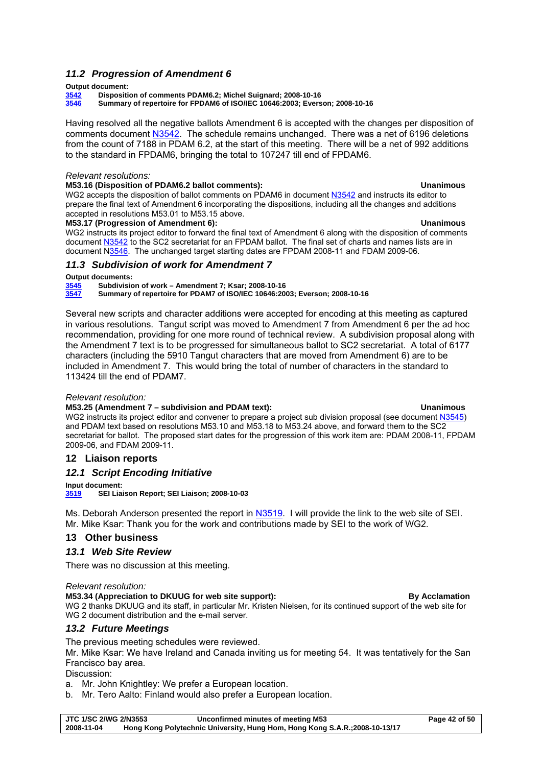## *11.2 Progression of Amendment 6*

# Output document:<br> **3542** Dispositi<br> **3546** Summary

**3542 Disposition of comments PDAM6.2; Michel Suignard; 2008-10-16** 

**3546 Summary of repertoire for FPDAM6 of ISO/IEC 10646:2003; Everson; 2008-10-16** 

Having resolved all the negative ballots Amendment 6 is accepted with the changes per disposition of comments document N3542. The schedule remains unchanged. There was a net of 6196 deletions from the count of 7188 in PDAM 6.2, at the start of this meeting. There will be a net of 992 additions to the standard in FPDAM6, bringing the total to 107247 till end of FPDAM6.

## *Relevant resolutions:*

## **M53.16 (Disposition of PDAM6.2 ballot comments): Unanimous**

WG2 accepts the disposition of ballot comments on PDAM6 in document N3542 and instructs its editor to prepare the final text of Amendment 6 incorporating the dispositions, including all the changes and additions accepted in resolutions M53.01 to M53.15 above.

## **M53.17 (Progression of Amendment 6): Unanimous**

WG2 instructs its project editor to forward the final text of Amendment 6 along with the disposition of comments document N3542 to the SC2 secretariat for an FPDAM ballot. The final set of charts and names lists are in document N3546. The unchanged target starting dates are FPDAM 2008-11 and FDAM 2009-06.

## *11.3 Subdivision of work for Amendment 7*

**Output documents:** 

**3545 Subdivision of work – Amendment 7; Ksar; 2008-10-16** 

**3547 Summary of repertoire for PDAM7 of ISO/IEC 10646:2003; Everson; 2008-10-16** 

Several new scripts and character additions were accepted for encoding at this meeting as captured in various resolutions. Tangut script was moved to Amendment 7 from Amendment 6 per the ad hoc recommendation, providing for one more round of technical review. A subdivision proposal along with the Amendment 7 text is to be progressed for simultaneous ballot to SC2 secretariat. A total of 6177 characters (including the 5910 Tangut characters that are moved from Amendment 6) are to be included in Amendment 7. This would bring the total of number of characters in the standard to 113424 till the end of PDAM7.

## *Relevant resolution:*

## **M53.25 (Amendment 7 – subdivision and PDAM text): Unanimous**

WG2 instructs its project editor and convener to prepare a project sub division proposal (see document N3545) and PDAM text based on resolutions M53.10 and M53.18 to M53.24 above, and forward them to the SC2 secretariat for ballot. The proposed start dates for the progression of this work item are: PDAM 2008-11, FPDAM 2009-06, and FDAM 2009-11.

## **12 Liaison reports**

## *12.1 Script Encoding Initiative*

**Input document:** 

**3519 SEI Liaison Report; SEI Liaison; 2008-10-03** 

Ms. Deborah Anderson presented the report in N3519. I will provide the link to the web site of SEI. Mr. Mike Ksar: Thank you for the work and contributions made by SEI to the work of WG2.

## **13 Other business**

## *13.1 Web Site Review*

There was no discussion at this meeting.

## *Relevant resolution:*

## **M53.34 (Appreciation to DKUUG for web site support): By Acclamation**

WG 2 thanks DKUUG and its staff, in particular Mr. Kristen Nielsen, for its continued support of the web site for WG 2 document distribution and the e-mail server.

## *13.2 Future Meetings*

The previous meeting schedules were reviewed.

Mr. Mike Ksar: We have Ireland and Canada inviting us for meeting 54. It was tentatively for the San Francisco bay area.

Discussion:

- a. Mr. John Knightley: We prefer a European location.
- b. Mr. Tero Aalto: Finland would also prefer a European location.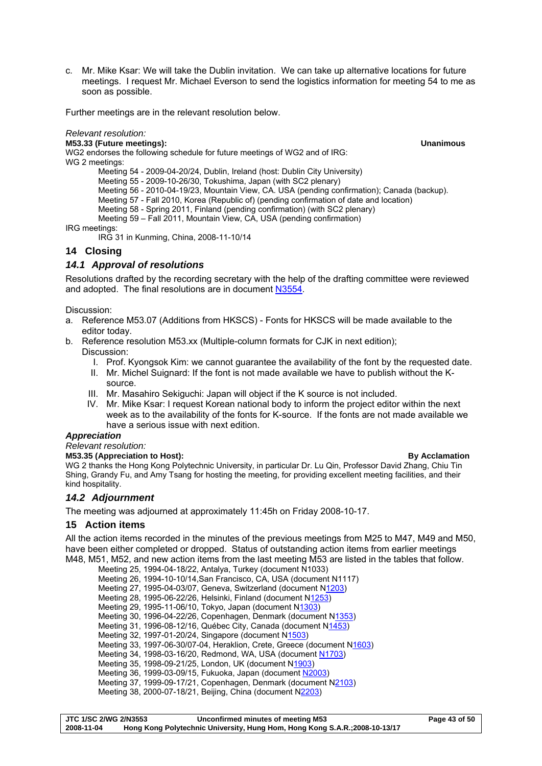c. Mr. Mike Ksar: We will take the Dublin invitation. We can take up alternative locations for future meetings. I request Mr. Michael Everson to send the logistics information for meeting 54 to me as soon as possible.

Further meetings are in the relevant resolution below.

## *Relevant resolution:*

**M53.33 (Future meetings): Unanimous** 

WG2 endorses the following schedule for future meetings of WG2 and of IRG: WG 2 meetings:

Meeting 54 - 2009-04-20/24, Dublin, Ireland (host: Dublin City University)

Meeting 55 - 2009-10-26/30, Tokushima, Japan (with SC2 plenary)

Meeting 56 - 2010-04-19/23, Mountain View, CA. USA (pending confirmation); Canada (backup).

Meeting 57 - Fall 2010, Korea (Republic of) (pending confirmation of date and location)

Meeting 58 - Spring 2011, Finland (pending confirmation) (with SC2 plenary)

Meeting 59 – Fall 2011, Mountain View, CA, USA (pending confirmation)

IRG meetings:

IRG 31 in Kunming, China, 2008-11-10/14

## **14 Closing**

## *14.1 Approval of resolutions*

Resolutions drafted by the recording secretary with the help of the drafting committee were reviewed and adopted. The final resolutions are in document N3554.

Discussion:

- a. Reference M53.07 (Additions from HKSCS) Fonts for HKSCS will be made available to the editor today.
- b. Reference resolution M53.xx (Multiple-column formats for CJK in next edition);

## Discussion:

- I. Prof. Kyongsok Kim: we cannot guarantee the availability of the font by the requested date.
- II. Mr. Michel Suignard: If the font is not made available we have to publish without the Ksource.
- III. Mr. Masahiro Sekiguchi: Japan will object if the K source is not included.
- IV. Mr. Mike Ksar: I request Korean national body to inform the project editor within the next week as to the availability of the fonts for K-source. If the fonts are not made available we have a serious issue with next edition.

## *Appreciation*

*Relevant resolution:* 

## **M53.35 (Appreciation to Host): By Acclamation By Acclamation By Acclamation**

WG 2 thanks the Hong Kong Polytechnic University, in particular Dr. Lu Qin, Professor David Zhang, Chiu Tin Shing, Grandy Fu, and Amy Tsang for hosting the meeting, for providing excellent meeting facilities, and their kind hospitality.

## *14.2 Adjournment*

The meeting was adjourned at approximately 11:45h on Friday 2008-10-17.

## **15 Action items**

All the action items recorded in the minutes of the previous meetings from M25 to M47, M49 and M50, have been either completed or dropped. Status of outstanding action items from earlier meetings M48, M51, M52, and new action items from the last meeting M53 are listed in the tables that follow.

Meeting 25, 1994-04-18/22, Antalya, Turkey (document N1033) Meeting 26, 1994-10-10/14,San Francisco, CA, USA (document N1117) Meeting 27, 1995-04-03/07, Geneva, Switzerland (document N1203) Meeting 28, 1995-06-22/26, Helsinki, Finland (document N1253) Meeting 29, 1995-11-06/10, Tokyo, Japan (document N1303) Meeting 30, 1996-04-22/26, Copenhagen, Denmark (document N1353) Meeting 31, 1996-08-12/16, Québec City, Canada (document N1453) Meeting 32, 1997-01-20/24, Singapore (document N1503) Meeting 33, 1997-06-30/07-04, Heraklion, Crete, Greece (document N1603) Meeting 34, 1998-03-16/20, Redmond, WA, USA (document N1703) Meeting 35, 1998-09-21/25, London, UK (document N1903) Meeting 36, 1999-03-09/15, Fukuoka, Japan (document N2003) Meeting 37, 1999-09-17/21, Copenhagen, Denmark (document N2103) Meeting 38, 2000-07-18/21, Beijing, China (document N2203)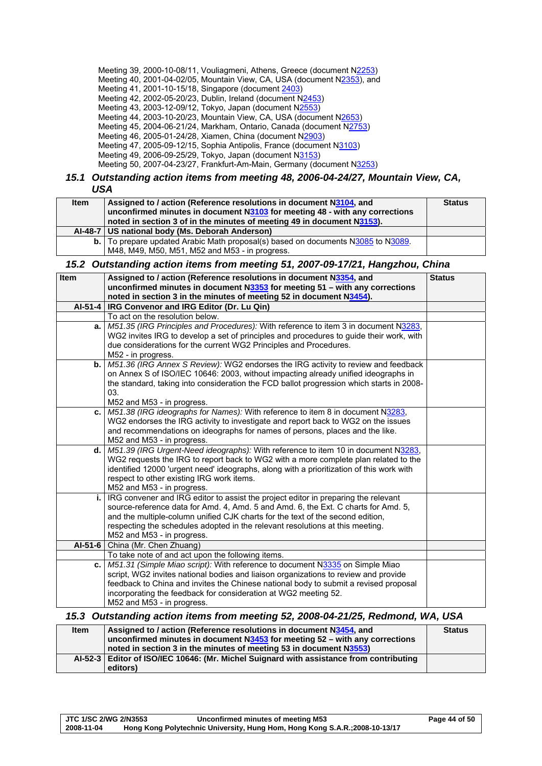Meeting 39, 2000-10-08/11, Vouliagmeni, Athens, Greece (document N2253) Meeting 40, 2001-04-02/05, Mountain View, CA, USA (document N2353), and Meeting 41, 2001-10-15/18, Singapore (document 2403) Meeting 42, 2002-05-20/23, Dublin, Ireland (document N2453) Meeting 43, 2003-12-09/12, Tokyo, Japan (document N2553) Meeting 44, 2003-10-20/23, Mountain View, CA, USA (document N2653) Meeting 45, 2004-06-21/24, Markham, Ontario, Canada (document N2753) Meeting 46, 2005-01-24/28, Xiamen, China (document N2903) Meeting 47, 2005-09-12/15, Sophia Antipolis, France (document N3103) Meeting 49, 2006-09-25/29, Tokyo, Japan (document N3153) Meeting 50, 2007-04-23/27, Frankfurt-Am-Main, Germany (document N3253)

## *15.1 Outstanding action items from meeting 48, 2006-04-24/27, Mountain View, CA, USA*

| <b>Item</b> | Assigned to / action (Reference resolutions in document N3104, and<br>unconfirmed minutes in document N3103 for meeting 48 - with any corrections<br>noted in section 3 of in the minutes of meeting 49 in document N3153). | <b>Status</b> |
|-------------|-----------------------------------------------------------------------------------------------------------------------------------------------------------------------------------------------------------------------------|---------------|
|             | Al-48-7   US national body (Ms. Deborah Anderson)                                                                                                                                                                           |               |
|             | b.   To prepare updated Arabic Math proposal(s) based on documents N3085 to N3089.<br>M48, M49, M50, M51, M52 and M53 - in progress.                                                                                        |               |

## *15.2 Outstanding action items from meeting 51, 2007-09-17/21, Hangzhou, China*

| Item    | Assigned to / action (Reference resolutions in document N3354, and<br>unconfirmed minutes in document $N3353$ for meeting 51 – with any corrections                  |  |
|---------|----------------------------------------------------------------------------------------------------------------------------------------------------------------------|--|
|         | noted in section 3 in the minutes of meeting 52 in document N3454).                                                                                                  |  |
|         | Al-51-4   IRG Convenor and IRG Editor (Dr. Lu Qin)                                                                                                                   |  |
|         | To act on the resolution below.                                                                                                                                      |  |
| a.      | M51.35 (IRG Principles and Procedures): With reference to item 3 in document N3283,                                                                                  |  |
|         | WG2 invites IRG to develop a set of principles and procedures to guide their work, with                                                                              |  |
|         | due considerations for the current WG2 Principles and Procedures.                                                                                                    |  |
|         | M52 - in progress.                                                                                                                                                   |  |
| b.      | M51.36 (IRG Annex S Review): WG2 endorses the IRG activity to review and feedback                                                                                    |  |
|         | on Annex S of ISO/IEC 10646: 2003, without impacting already unified ideographs in                                                                                   |  |
|         | the standard, taking into consideration the FCD ballot progression which starts in 2008-<br>03.                                                                      |  |
|         | M52 and M53 - in progress.                                                                                                                                           |  |
| c.      | M51.38 (IRG ideographs for Names): With reference to item 8 in document N3283,                                                                                       |  |
|         | WG2 endorses the IRG activity to investigate and report back to WG2 on the issues                                                                                    |  |
|         | and recommendations on ideographs for names of persons, places and the like.                                                                                         |  |
|         | M52 and M53 - in progress.                                                                                                                                           |  |
| d.      | M51.39 (IRG Urgent-Need ideographs): With reference to item 10 in document N3283,                                                                                    |  |
|         | WG2 requests the IRG to report back to WG2 with a more complete plan related to the                                                                                  |  |
|         | identified 12000 'urgent need' ideographs, along with a prioritization of this work with                                                                             |  |
|         | respect to other existing IRG work items.                                                                                                                            |  |
|         | M52 and M53 - in progress.                                                                                                                                           |  |
| i.      | IRG convener and IRG editor to assist the project editor in preparing the relevant                                                                                   |  |
|         | source-reference data for Amd. 4, Amd. 5 and Amd. 6, the Ext. C charts for Amd. 5,<br>and the multiple-column unified CJK charts for the text of the second edition, |  |
|         | respecting the schedules adopted in the relevant resolutions at this meeting.                                                                                        |  |
|         | M52 and M53 - in progress.                                                                                                                                           |  |
| AI-51-6 | China (Mr. Chen Zhuang)                                                                                                                                              |  |
|         | To take note of and act upon the following items.                                                                                                                    |  |
| c.      | M51.31 (Simple Miao script): With reference to document N3335 on Simple Miao                                                                                         |  |
|         | script, WG2 invites national bodies and liaison organizations to review and provide                                                                                  |  |
|         | feedback to China and invites the Chinese national body to submit a revised proposal                                                                                 |  |
|         | incorporating the feedback for consideration at WG2 meeting 52.                                                                                                      |  |
|         | M52 and M53 - in progress.                                                                                                                                           |  |

## *15.3 Outstanding action items from meeting 52, 2008-04-21/25, Redmond, WA, USA*

| <b>Item</b> | Assigned to / action (Reference resolutions in document N3454, and                        | <b>Status</b> |
|-------------|-------------------------------------------------------------------------------------------|---------------|
|             | unconfirmed minutes in document $N3453$ for meeting $52 -$ with any corrections           |               |
|             | noted in section 3 in the minutes of meeting 53 in document N3553)                        |               |
|             | Al-52-3   Editor of ISO/IEC 10646: (Mr. Michel Suignard with assistance from contributing |               |
|             | editors)                                                                                  |               |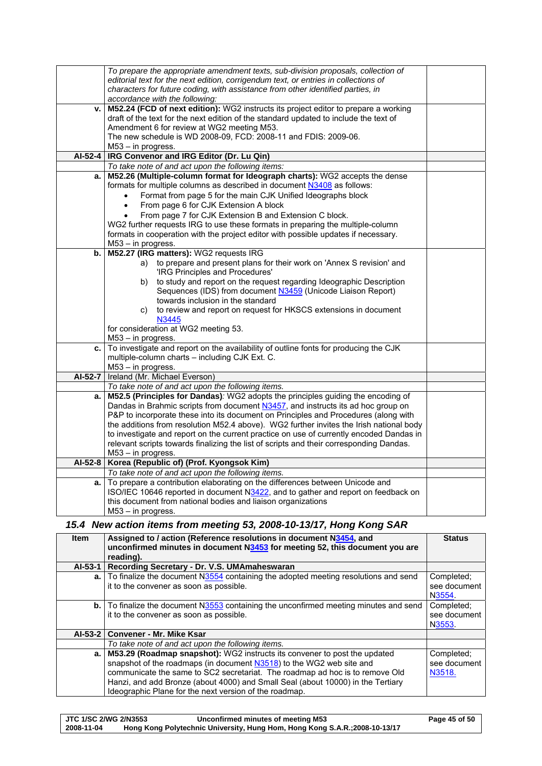|         | To prepare the appropriate amendment texts, sub-division proposals, collection of                                                                                                  |  |
|---------|------------------------------------------------------------------------------------------------------------------------------------------------------------------------------------|--|
|         | editorial text for the next edition, corrigendum text, or entries in collections of                                                                                                |  |
|         | characters for future coding, with assistance from other identified parties, in<br>accordance with the following:                                                                  |  |
| ٧.      | M52.24 (FCD of next edition): WG2 instructs its project editor to prepare a working                                                                                                |  |
|         | draft of the text for the next edition of the standard updated to include the text of                                                                                              |  |
|         | Amendment 6 for review at WG2 meeting M53.                                                                                                                                         |  |
|         | The new schedule is WD 2008-09, FCD: 2008-11 and FDIS: 2009-06.                                                                                                                    |  |
|         | M53 - in progress.                                                                                                                                                                 |  |
|         | Al-52-4   IRG Convenor and IRG Editor (Dr. Lu Qin)                                                                                                                                 |  |
|         | To take note of and act upon the following items:                                                                                                                                  |  |
| a.      | M52.26 (Multiple-column format for Ideograph charts): WG2 accepts the dense                                                                                                        |  |
|         | formats for multiple columns as described in document N3408 as follows:                                                                                                            |  |
|         | Format from page 5 for the main CJK Unified Ideographs block<br>$\bullet$                                                                                                          |  |
|         | From page 6 for CJK Extension A block<br>$\bullet$                                                                                                                                 |  |
|         | From page 7 for CJK Extension B and Extension C block.                                                                                                                             |  |
|         | WG2 further requests IRG to use these formats in preparing the multiple-column                                                                                                     |  |
|         | formats in cooperation with the project editor with possible updates if necessary.                                                                                                 |  |
|         | M53 - in progress.                                                                                                                                                                 |  |
| b.      | M52.27 (IRG matters): WG2 requests IRG                                                                                                                                             |  |
|         | a) to prepare and present plans for their work on 'Annex S revision' and                                                                                                           |  |
|         | 'IRG Principles and Procedures'<br>to study and report on the request regarding Ideographic Description<br>b)                                                                      |  |
|         | Sequences (IDS) from document N3459 (Unicode Liaison Report)                                                                                                                       |  |
|         | towards inclusion in the standard                                                                                                                                                  |  |
|         | to review and report on request for HKSCS extensions in document<br>C)                                                                                                             |  |
|         | <b>N3445</b>                                                                                                                                                                       |  |
|         | for consideration at WG2 meeting 53.                                                                                                                                               |  |
|         | M53 - in progress.                                                                                                                                                                 |  |
| c.      | To investigate and report on the availability of outline fonts for producing the CJK                                                                                               |  |
|         | multiple-column charts - including CJK Ext. C.                                                                                                                                     |  |
|         | M53 - in progress.                                                                                                                                                                 |  |
| AI-52-7 | Ireland (Mr. Michael Everson)                                                                                                                                                      |  |
|         | To take note of and act upon the following items.                                                                                                                                  |  |
| a.      | M52.5 (Principles for Dandas): WG2 adopts the principles guiding the encoding of                                                                                                   |  |
|         | Dandas in Brahmic scripts from document N3457, and instructs its ad hoc group on                                                                                                   |  |
|         | P&P to incorporate these into its document on Principles and Procedures (along with                                                                                                |  |
|         | the additions from resolution M52.4 above). WG2 further invites the Irish national body                                                                                            |  |
|         | to investigate and report on the current practice on use of currently encoded Dandas in<br>relevant scripts towards finalizing the list of scripts and their corresponding Dandas. |  |
|         | M53 - in progress.                                                                                                                                                                 |  |
| AI-52-8 | Korea (Republic of) (Prof. Kyongsok Kim)                                                                                                                                           |  |
|         | To take note of and act upon the following items.                                                                                                                                  |  |
| а.      | To prepare a contribution elaborating on the differences between Unicode and                                                                                                       |  |
|         | ISO/IEC 10646 reported in document N3422, and to gather and report on feedback on                                                                                                  |  |
|         | this document from national bodies and liaison organizations                                                                                                                       |  |
|         | M53 - in progress.                                                                                                                                                                 |  |

## *15.4 New action items from meeting 53, 2008-10-13/17, Hong Kong SAR*

| <b>Item</b> | Assigned to / action (Reference resolutions in document N3454, and<br>unconfirmed minutes in document N3453 for meeting 52, this document you are<br>reading).                                                                                                                                                                                                                 | <b>Status</b>                        |
|-------------|--------------------------------------------------------------------------------------------------------------------------------------------------------------------------------------------------------------------------------------------------------------------------------------------------------------------------------------------------------------------------------|--------------------------------------|
| $AI-53-1$   | Recording Secretary - Dr. V.S. UMAmaheswaran                                                                                                                                                                                                                                                                                                                                   |                                      |
|             | <b>a.</b> To finalize the document N3554 containing the adopted meeting resolutions and send<br>it to the convener as soon as possible.                                                                                                                                                                                                                                        | Completed:<br>see document<br>N3554. |
|             | <b>b.</b> To finalize the document N3553 containing the unconfirmed meeting minutes and send<br>it to the convener as soon as possible.                                                                                                                                                                                                                                        | Completed:<br>see document<br>N3553. |
|             | Al-53-2   Convener - Mr. Mike Ksar                                                                                                                                                                                                                                                                                                                                             |                                      |
|             | To take note of and act upon the following items.                                                                                                                                                                                                                                                                                                                              |                                      |
| a. I        | M53.29 (Roadmap snapshot): WG2 instructs its convener to post the updated<br>snapshot of the roadmaps (in document N3518) to the WG2 web site and<br>communicate the same to SC2 secretariat. The roadmap ad hoc is to remove Old<br>Hanzi, and add Bronze (about 4000) and Small Seal (about 10000) in the Tertiary<br>Ideographic Plane for the next version of the roadmap. | Completed:<br>see document<br>N3518. |

| JTC 1/SC 2/WG 2/N3553 | Unconfirmed minutes of meeting M53                                          | Page 45 of 50 |
|-----------------------|-----------------------------------------------------------------------------|---------------|
| 2008-11-04            | Hong Kong Polytechnic University, Hung Hom, Hong Kong S.A.R.; 2008-10-13/17 |               |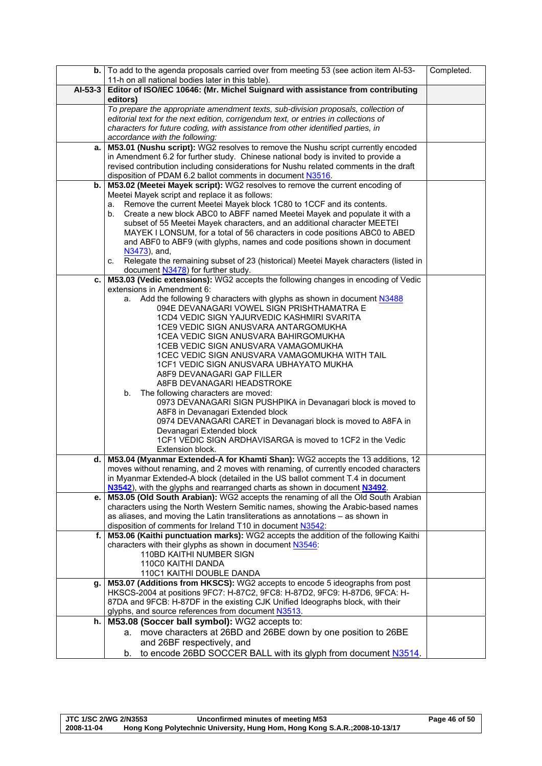| Editor of ISO/IEC 10646: (Mr. Michel Suignard with assistance from contributing<br>AI-53-3<br>editors)<br>To prepare the appropriate amendment texts, sub-division proposals, collection of<br>editorial text for the next edition, corrigendum text, or entries in collections of<br>characters for future coding, with assistance from other identified parties, in<br>accordance with the following:<br>M53.01 (Nushu script): WG2 resolves to remove the Nushu script currently encoded<br>a.<br>in Amendment 6.2 for further study. Chinese national body is invited to provide a<br>revised contribution including considerations for Nushu related comments in the draft<br>disposition of PDAM 6.2 ballot comments in document N3516.<br>M53.02 (Meetei Mayek script): WG2 resolves to remove the current encoding of<br>b.<br>Meetei Mayek script and replace it as follows:<br>Remove the current Meetei Mayek block 1C80 to 1CCF and its contents.<br>а.<br>Create a new block ABC0 to ABFF named Meetei Mayek and populate it with a<br>b.<br>subset of 55 Meetei Mayek characters, and an additional character MEETEI<br>MAYEK I LONSUM, for a total of 56 characters in code positions ABC0 to ABED<br>and ABF0 to ABF9 (with glyphs, names and code positions shown in document<br>N3473), and,<br>Relegate the remaining subset of 23 (historical) Meetei Mayek characters (listed in<br>C.<br>document N3478) for further study.<br>M53.03 (Vedic extensions): WG2 accepts the following changes in encoding of Vedic<br>c.<br>extensions in Amendment 6:<br>Add the following 9 characters with glyphs as shown in document N3488<br>a.<br>094E DEVANAGARI VOWEL SIGN PRISHTHAMATRA E<br>1CD4 VEDIC SIGN YAJURVEDIC KASHMIRI SVARITA<br>1CE9 VEDIC SIGN ANUSVARA ANTARGOMUKHA<br>1CEA VEDIC SIGN ANUSVARA BAHIRGOMUKHA<br>1CEB VEDIC SIGN ANUSVARA VAMAGOMUKHA<br>1CEC VEDIC SIGN ANUSVARA VAMAGOMUKHA WITH TAIL<br>1CF1 VEDIC SIGN ANUSVARA UBHAYATO MUKHA<br>A8F9 DEVANAGARI GAP FILLER<br>A8FB DEVANAGARI HEADSTROKE<br>b.<br>The following characters are moved:<br>0973 DEVANAGARI SIGN PUSHPIKA in Devanagari block is moved to<br>A8F8 in Devanagari Extended block<br>0974 DEVANAGARI CARET in Devanagari block is moved to A8FA in<br>Devanagari Extended block<br>1CF1 VEDIC SIGN ARDHAVISARGA is moved to 1CF2 in the Vedic<br>Extension block.<br>M53.04 (Myanmar Extended-A for Khamti Shan): WG2 accepts the 13 additions, 12<br>d.<br>moves without renaming, and 2 moves with renaming, of currently encoded characters<br>in Myanmar Extended-A block (detailed in the US ballot comment T.4 in document<br>N3542), with the glyphs and rearranged charts as shown in document N3492.<br>M53.05 (Old South Arabian): WG2 accepts the renaming of all the Old South Arabian<br>е.<br>characters using the North Western Semitic names, showing the Arabic-based names<br>as aliases, and moving the Latin transliterations as annotations - as shown in<br>disposition of comments for Ireland T10 in document N3542:<br>f.   M53.06 (Kaithi punctuation marks): WG2 accepts the addition of the following Kaithi<br>characters with their glyphs as shown in document N3546:<br>110BD KAITHI NUMBER SIGN<br>110C0 KAITHI DANDA<br>110C1 KAITHI DOUBLE DANDA<br>M53.07 (Additions from HKSCS): WG2 accepts to encode 5 ideographs from post<br>q.<br>HKSCS-2004 at positions 9FC7: H-87C2, 9FC8: H-87D2, 9FC9: H-87D6, 9FCA: H-<br>87DA and 9FCB: H-87DF in the existing CJK Unified Ideographs block, with their<br>glyphs, and source references from document N3513.<br>M53.08 (Soccer ball symbol): WG2 accepts to:<br>h.<br>move characters at 26BD and 26BE down by one position to 26BE<br>а.<br>and 26BF respectively, and<br>to encode 26BD SOCCER BALL with its glyph from document N3514.<br>b. | <b>b.</b> To add to the agenda proposals carried over from meeting 53 (see action item Al-53-<br>11-h on all national bodies later in this table). | Completed. |
|----------------------------------------------------------------------------------------------------------------------------------------------------------------------------------------------------------------------------------------------------------------------------------------------------------------------------------------------------------------------------------------------------------------------------------------------------------------------------------------------------------------------------------------------------------------------------------------------------------------------------------------------------------------------------------------------------------------------------------------------------------------------------------------------------------------------------------------------------------------------------------------------------------------------------------------------------------------------------------------------------------------------------------------------------------------------------------------------------------------------------------------------------------------------------------------------------------------------------------------------------------------------------------------------------------------------------------------------------------------------------------------------------------------------------------------------------------------------------------------------------------------------------------------------------------------------------------------------------------------------------------------------------------------------------------------------------------------------------------------------------------------------------------------------------------------------------------------------------------------------------------------------------------------------------------------------------------------------------------------------------------------------------------------------------------------------------------------------------------------------------------------------------------------------------------------------------------------------------------------------------------------------------------------------------------------------------------------------------------------------------------------------------------------------------------------------------------------------------------------------------------------------------------------------------------------------------------------------------------------------------------------------------------------------------------------------------------------------------------------------------------------------------------------------------------------------------------------------------------------------------------------------------------------------------------------------------------------------------------------------------------------------------------------------------------------------------------------------------------------------------------------------------------------------------------------------------------------------------------------------------------------------------------------------------------------------------------------------------------------------------------------------------------------------------------------------------------------------------------------------------------------------------------------------------------------------------------------------------------------------------------------------------------------------------------------------------------------------------------------------------------------------------------------------------------------------------------------------|----------------------------------------------------------------------------------------------------------------------------------------------------|------------|
|                                                                                                                                                                                                                                                                                                                                                                                                                                                                                                                                                                                                                                                                                                                                                                                                                                                                                                                                                                                                                                                                                                                                                                                                                                                                                                                                                                                                                                                                                                                                                                                                                                                                                                                                                                                                                                                                                                                                                                                                                                                                                                                                                                                                                                                                                                                                                                                                                                                                                                                                                                                                                                                                                                                                                                                                                                                                                                                                                                                                                                                                                                                                                                                                                                                                                                                                                                                                                                                                                                                                                                                                                                                                                                                                                                                                                                              |                                                                                                                                                    |            |
|                                                                                                                                                                                                                                                                                                                                                                                                                                                                                                                                                                                                                                                                                                                                                                                                                                                                                                                                                                                                                                                                                                                                                                                                                                                                                                                                                                                                                                                                                                                                                                                                                                                                                                                                                                                                                                                                                                                                                                                                                                                                                                                                                                                                                                                                                                                                                                                                                                                                                                                                                                                                                                                                                                                                                                                                                                                                                                                                                                                                                                                                                                                                                                                                                                                                                                                                                                                                                                                                                                                                                                                                                                                                                                                                                                                                                                              |                                                                                                                                                    |            |
|                                                                                                                                                                                                                                                                                                                                                                                                                                                                                                                                                                                                                                                                                                                                                                                                                                                                                                                                                                                                                                                                                                                                                                                                                                                                                                                                                                                                                                                                                                                                                                                                                                                                                                                                                                                                                                                                                                                                                                                                                                                                                                                                                                                                                                                                                                                                                                                                                                                                                                                                                                                                                                                                                                                                                                                                                                                                                                                                                                                                                                                                                                                                                                                                                                                                                                                                                                                                                                                                                                                                                                                                                                                                                                                                                                                                                                              |                                                                                                                                                    |            |
|                                                                                                                                                                                                                                                                                                                                                                                                                                                                                                                                                                                                                                                                                                                                                                                                                                                                                                                                                                                                                                                                                                                                                                                                                                                                                                                                                                                                                                                                                                                                                                                                                                                                                                                                                                                                                                                                                                                                                                                                                                                                                                                                                                                                                                                                                                                                                                                                                                                                                                                                                                                                                                                                                                                                                                                                                                                                                                                                                                                                                                                                                                                                                                                                                                                                                                                                                                                                                                                                                                                                                                                                                                                                                                                                                                                                                                              |                                                                                                                                                    |            |
|                                                                                                                                                                                                                                                                                                                                                                                                                                                                                                                                                                                                                                                                                                                                                                                                                                                                                                                                                                                                                                                                                                                                                                                                                                                                                                                                                                                                                                                                                                                                                                                                                                                                                                                                                                                                                                                                                                                                                                                                                                                                                                                                                                                                                                                                                                                                                                                                                                                                                                                                                                                                                                                                                                                                                                                                                                                                                                                                                                                                                                                                                                                                                                                                                                                                                                                                                                                                                                                                                                                                                                                                                                                                                                                                                                                                                                              |                                                                                                                                                    |            |
|                                                                                                                                                                                                                                                                                                                                                                                                                                                                                                                                                                                                                                                                                                                                                                                                                                                                                                                                                                                                                                                                                                                                                                                                                                                                                                                                                                                                                                                                                                                                                                                                                                                                                                                                                                                                                                                                                                                                                                                                                                                                                                                                                                                                                                                                                                                                                                                                                                                                                                                                                                                                                                                                                                                                                                                                                                                                                                                                                                                                                                                                                                                                                                                                                                                                                                                                                                                                                                                                                                                                                                                                                                                                                                                                                                                                                                              |                                                                                                                                                    |            |
|                                                                                                                                                                                                                                                                                                                                                                                                                                                                                                                                                                                                                                                                                                                                                                                                                                                                                                                                                                                                                                                                                                                                                                                                                                                                                                                                                                                                                                                                                                                                                                                                                                                                                                                                                                                                                                                                                                                                                                                                                                                                                                                                                                                                                                                                                                                                                                                                                                                                                                                                                                                                                                                                                                                                                                                                                                                                                                                                                                                                                                                                                                                                                                                                                                                                                                                                                                                                                                                                                                                                                                                                                                                                                                                                                                                                                                              |                                                                                                                                                    |            |
|                                                                                                                                                                                                                                                                                                                                                                                                                                                                                                                                                                                                                                                                                                                                                                                                                                                                                                                                                                                                                                                                                                                                                                                                                                                                                                                                                                                                                                                                                                                                                                                                                                                                                                                                                                                                                                                                                                                                                                                                                                                                                                                                                                                                                                                                                                                                                                                                                                                                                                                                                                                                                                                                                                                                                                                                                                                                                                                                                                                                                                                                                                                                                                                                                                                                                                                                                                                                                                                                                                                                                                                                                                                                                                                                                                                                                                              |                                                                                                                                                    |            |
|                                                                                                                                                                                                                                                                                                                                                                                                                                                                                                                                                                                                                                                                                                                                                                                                                                                                                                                                                                                                                                                                                                                                                                                                                                                                                                                                                                                                                                                                                                                                                                                                                                                                                                                                                                                                                                                                                                                                                                                                                                                                                                                                                                                                                                                                                                                                                                                                                                                                                                                                                                                                                                                                                                                                                                                                                                                                                                                                                                                                                                                                                                                                                                                                                                                                                                                                                                                                                                                                                                                                                                                                                                                                                                                                                                                                                                              |                                                                                                                                                    |            |
|                                                                                                                                                                                                                                                                                                                                                                                                                                                                                                                                                                                                                                                                                                                                                                                                                                                                                                                                                                                                                                                                                                                                                                                                                                                                                                                                                                                                                                                                                                                                                                                                                                                                                                                                                                                                                                                                                                                                                                                                                                                                                                                                                                                                                                                                                                                                                                                                                                                                                                                                                                                                                                                                                                                                                                                                                                                                                                                                                                                                                                                                                                                                                                                                                                                                                                                                                                                                                                                                                                                                                                                                                                                                                                                                                                                                                                              |                                                                                                                                                    |            |
|                                                                                                                                                                                                                                                                                                                                                                                                                                                                                                                                                                                                                                                                                                                                                                                                                                                                                                                                                                                                                                                                                                                                                                                                                                                                                                                                                                                                                                                                                                                                                                                                                                                                                                                                                                                                                                                                                                                                                                                                                                                                                                                                                                                                                                                                                                                                                                                                                                                                                                                                                                                                                                                                                                                                                                                                                                                                                                                                                                                                                                                                                                                                                                                                                                                                                                                                                                                                                                                                                                                                                                                                                                                                                                                                                                                                                                              |                                                                                                                                                    |            |
|                                                                                                                                                                                                                                                                                                                                                                                                                                                                                                                                                                                                                                                                                                                                                                                                                                                                                                                                                                                                                                                                                                                                                                                                                                                                                                                                                                                                                                                                                                                                                                                                                                                                                                                                                                                                                                                                                                                                                                                                                                                                                                                                                                                                                                                                                                                                                                                                                                                                                                                                                                                                                                                                                                                                                                                                                                                                                                                                                                                                                                                                                                                                                                                                                                                                                                                                                                                                                                                                                                                                                                                                                                                                                                                                                                                                                                              |                                                                                                                                                    |            |
|                                                                                                                                                                                                                                                                                                                                                                                                                                                                                                                                                                                                                                                                                                                                                                                                                                                                                                                                                                                                                                                                                                                                                                                                                                                                                                                                                                                                                                                                                                                                                                                                                                                                                                                                                                                                                                                                                                                                                                                                                                                                                                                                                                                                                                                                                                                                                                                                                                                                                                                                                                                                                                                                                                                                                                                                                                                                                                                                                                                                                                                                                                                                                                                                                                                                                                                                                                                                                                                                                                                                                                                                                                                                                                                                                                                                                                              |                                                                                                                                                    |            |
|                                                                                                                                                                                                                                                                                                                                                                                                                                                                                                                                                                                                                                                                                                                                                                                                                                                                                                                                                                                                                                                                                                                                                                                                                                                                                                                                                                                                                                                                                                                                                                                                                                                                                                                                                                                                                                                                                                                                                                                                                                                                                                                                                                                                                                                                                                                                                                                                                                                                                                                                                                                                                                                                                                                                                                                                                                                                                                                                                                                                                                                                                                                                                                                                                                                                                                                                                                                                                                                                                                                                                                                                                                                                                                                                                                                                                                              |                                                                                                                                                    |            |
|                                                                                                                                                                                                                                                                                                                                                                                                                                                                                                                                                                                                                                                                                                                                                                                                                                                                                                                                                                                                                                                                                                                                                                                                                                                                                                                                                                                                                                                                                                                                                                                                                                                                                                                                                                                                                                                                                                                                                                                                                                                                                                                                                                                                                                                                                                                                                                                                                                                                                                                                                                                                                                                                                                                                                                                                                                                                                                                                                                                                                                                                                                                                                                                                                                                                                                                                                                                                                                                                                                                                                                                                                                                                                                                                                                                                                                              |                                                                                                                                                    |            |
|                                                                                                                                                                                                                                                                                                                                                                                                                                                                                                                                                                                                                                                                                                                                                                                                                                                                                                                                                                                                                                                                                                                                                                                                                                                                                                                                                                                                                                                                                                                                                                                                                                                                                                                                                                                                                                                                                                                                                                                                                                                                                                                                                                                                                                                                                                                                                                                                                                                                                                                                                                                                                                                                                                                                                                                                                                                                                                                                                                                                                                                                                                                                                                                                                                                                                                                                                                                                                                                                                                                                                                                                                                                                                                                                                                                                                                              |                                                                                                                                                    |            |
|                                                                                                                                                                                                                                                                                                                                                                                                                                                                                                                                                                                                                                                                                                                                                                                                                                                                                                                                                                                                                                                                                                                                                                                                                                                                                                                                                                                                                                                                                                                                                                                                                                                                                                                                                                                                                                                                                                                                                                                                                                                                                                                                                                                                                                                                                                                                                                                                                                                                                                                                                                                                                                                                                                                                                                                                                                                                                                                                                                                                                                                                                                                                                                                                                                                                                                                                                                                                                                                                                                                                                                                                                                                                                                                                                                                                                                              |                                                                                                                                                    |            |
|                                                                                                                                                                                                                                                                                                                                                                                                                                                                                                                                                                                                                                                                                                                                                                                                                                                                                                                                                                                                                                                                                                                                                                                                                                                                                                                                                                                                                                                                                                                                                                                                                                                                                                                                                                                                                                                                                                                                                                                                                                                                                                                                                                                                                                                                                                                                                                                                                                                                                                                                                                                                                                                                                                                                                                                                                                                                                                                                                                                                                                                                                                                                                                                                                                                                                                                                                                                                                                                                                                                                                                                                                                                                                                                                                                                                                                              |                                                                                                                                                    |            |
|                                                                                                                                                                                                                                                                                                                                                                                                                                                                                                                                                                                                                                                                                                                                                                                                                                                                                                                                                                                                                                                                                                                                                                                                                                                                                                                                                                                                                                                                                                                                                                                                                                                                                                                                                                                                                                                                                                                                                                                                                                                                                                                                                                                                                                                                                                                                                                                                                                                                                                                                                                                                                                                                                                                                                                                                                                                                                                                                                                                                                                                                                                                                                                                                                                                                                                                                                                                                                                                                                                                                                                                                                                                                                                                                                                                                                                              |                                                                                                                                                    |            |
|                                                                                                                                                                                                                                                                                                                                                                                                                                                                                                                                                                                                                                                                                                                                                                                                                                                                                                                                                                                                                                                                                                                                                                                                                                                                                                                                                                                                                                                                                                                                                                                                                                                                                                                                                                                                                                                                                                                                                                                                                                                                                                                                                                                                                                                                                                                                                                                                                                                                                                                                                                                                                                                                                                                                                                                                                                                                                                                                                                                                                                                                                                                                                                                                                                                                                                                                                                                                                                                                                                                                                                                                                                                                                                                                                                                                                                              |                                                                                                                                                    |            |
|                                                                                                                                                                                                                                                                                                                                                                                                                                                                                                                                                                                                                                                                                                                                                                                                                                                                                                                                                                                                                                                                                                                                                                                                                                                                                                                                                                                                                                                                                                                                                                                                                                                                                                                                                                                                                                                                                                                                                                                                                                                                                                                                                                                                                                                                                                                                                                                                                                                                                                                                                                                                                                                                                                                                                                                                                                                                                                                                                                                                                                                                                                                                                                                                                                                                                                                                                                                                                                                                                                                                                                                                                                                                                                                                                                                                                                              |                                                                                                                                                    |            |
|                                                                                                                                                                                                                                                                                                                                                                                                                                                                                                                                                                                                                                                                                                                                                                                                                                                                                                                                                                                                                                                                                                                                                                                                                                                                                                                                                                                                                                                                                                                                                                                                                                                                                                                                                                                                                                                                                                                                                                                                                                                                                                                                                                                                                                                                                                                                                                                                                                                                                                                                                                                                                                                                                                                                                                                                                                                                                                                                                                                                                                                                                                                                                                                                                                                                                                                                                                                                                                                                                                                                                                                                                                                                                                                                                                                                                                              |                                                                                                                                                    |            |
|                                                                                                                                                                                                                                                                                                                                                                                                                                                                                                                                                                                                                                                                                                                                                                                                                                                                                                                                                                                                                                                                                                                                                                                                                                                                                                                                                                                                                                                                                                                                                                                                                                                                                                                                                                                                                                                                                                                                                                                                                                                                                                                                                                                                                                                                                                                                                                                                                                                                                                                                                                                                                                                                                                                                                                                                                                                                                                                                                                                                                                                                                                                                                                                                                                                                                                                                                                                                                                                                                                                                                                                                                                                                                                                                                                                                                                              |                                                                                                                                                    |            |
|                                                                                                                                                                                                                                                                                                                                                                                                                                                                                                                                                                                                                                                                                                                                                                                                                                                                                                                                                                                                                                                                                                                                                                                                                                                                                                                                                                                                                                                                                                                                                                                                                                                                                                                                                                                                                                                                                                                                                                                                                                                                                                                                                                                                                                                                                                                                                                                                                                                                                                                                                                                                                                                                                                                                                                                                                                                                                                                                                                                                                                                                                                                                                                                                                                                                                                                                                                                                                                                                                                                                                                                                                                                                                                                                                                                                                                              |                                                                                                                                                    |            |
|                                                                                                                                                                                                                                                                                                                                                                                                                                                                                                                                                                                                                                                                                                                                                                                                                                                                                                                                                                                                                                                                                                                                                                                                                                                                                                                                                                                                                                                                                                                                                                                                                                                                                                                                                                                                                                                                                                                                                                                                                                                                                                                                                                                                                                                                                                                                                                                                                                                                                                                                                                                                                                                                                                                                                                                                                                                                                                                                                                                                                                                                                                                                                                                                                                                                                                                                                                                                                                                                                                                                                                                                                                                                                                                                                                                                                                              |                                                                                                                                                    |            |
|                                                                                                                                                                                                                                                                                                                                                                                                                                                                                                                                                                                                                                                                                                                                                                                                                                                                                                                                                                                                                                                                                                                                                                                                                                                                                                                                                                                                                                                                                                                                                                                                                                                                                                                                                                                                                                                                                                                                                                                                                                                                                                                                                                                                                                                                                                                                                                                                                                                                                                                                                                                                                                                                                                                                                                                                                                                                                                                                                                                                                                                                                                                                                                                                                                                                                                                                                                                                                                                                                                                                                                                                                                                                                                                                                                                                                                              |                                                                                                                                                    |            |
|                                                                                                                                                                                                                                                                                                                                                                                                                                                                                                                                                                                                                                                                                                                                                                                                                                                                                                                                                                                                                                                                                                                                                                                                                                                                                                                                                                                                                                                                                                                                                                                                                                                                                                                                                                                                                                                                                                                                                                                                                                                                                                                                                                                                                                                                                                                                                                                                                                                                                                                                                                                                                                                                                                                                                                                                                                                                                                                                                                                                                                                                                                                                                                                                                                                                                                                                                                                                                                                                                                                                                                                                                                                                                                                                                                                                                                              |                                                                                                                                                    |            |
|                                                                                                                                                                                                                                                                                                                                                                                                                                                                                                                                                                                                                                                                                                                                                                                                                                                                                                                                                                                                                                                                                                                                                                                                                                                                                                                                                                                                                                                                                                                                                                                                                                                                                                                                                                                                                                                                                                                                                                                                                                                                                                                                                                                                                                                                                                                                                                                                                                                                                                                                                                                                                                                                                                                                                                                                                                                                                                                                                                                                                                                                                                                                                                                                                                                                                                                                                                                                                                                                                                                                                                                                                                                                                                                                                                                                                                              |                                                                                                                                                    |            |
|                                                                                                                                                                                                                                                                                                                                                                                                                                                                                                                                                                                                                                                                                                                                                                                                                                                                                                                                                                                                                                                                                                                                                                                                                                                                                                                                                                                                                                                                                                                                                                                                                                                                                                                                                                                                                                                                                                                                                                                                                                                                                                                                                                                                                                                                                                                                                                                                                                                                                                                                                                                                                                                                                                                                                                                                                                                                                                                                                                                                                                                                                                                                                                                                                                                                                                                                                                                                                                                                                                                                                                                                                                                                                                                                                                                                                                              |                                                                                                                                                    |            |
|                                                                                                                                                                                                                                                                                                                                                                                                                                                                                                                                                                                                                                                                                                                                                                                                                                                                                                                                                                                                                                                                                                                                                                                                                                                                                                                                                                                                                                                                                                                                                                                                                                                                                                                                                                                                                                                                                                                                                                                                                                                                                                                                                                                                                                                                                                                                                                                                                                                                                                                                                                                                                                                                                                                                                                                                                                                                                                                                                                                                                                                                                                                                                                                                                                                                                                                                                                                                                                                                                                                                                                                                                                                                                                                                                                                                                                              |                                                                                                                                                    |            |
|                                                                                                                                                                                                                                                                                                                                                                                                                                                                                                                                                                                                                                                                                                                                                                                                                                                                                                                                                                                                                                                                                                                                                                                                                                                                                                                                                                                                                                                                                                                                                                                                                                                                                                                                                                                                                                                                                                                                                                                                                                                                                                                                                                                                                                                                                                                                                                                                                                                                                                                                                                                                                                                                                                                                                                                                                                                                                                                                                                                                                                                                                                                                                                                                                                                                                                                                                                                                                                                                                                                                                                                                                                                                                                                                                                                                                                              |                                                                                                                                                    |            |
|                                                                                                                                                                                                                                                                                                                                                                                                                                                                                                                                                                                                                                                                                                                                                                                                                                                                                                                                                                                                                                                                                                                                                                                                                                                                                                                                                                                                                                                                                                                                                                                                                                                                                                                                                                                                                                                                                                                                                                                                                                                                                                                                                                                                                                                                                                                                                                                                                                                                                                                                                                                                                                                                                                                                                                                                                                                                                                                                                                                                                                                                                                                                                                                                                                                                                                                                                                                                                                                                                                                                                                                                                                                                                                                                                                                                                                              |                                                                                                                                                    |            |
|                                                                                                                                                                                                                                                                                                                                                                                                                                                                                                                                                                                                                                                                                                                                                                                                                                                                                                                                                                                                                                                                                                                                                                                                                                                                                                                                                                                                                                                                                                                                                                                                                                                                                                                                                                                                                                                                                                                                                                                                                                                                                                                                                                                                                                                                                                                                                                                                                                                                                                                                                                                                                                                                                                                                                                                                                                                                                                                                                                                                                                                                                                                                                                                                                                                                                                                                                                                                                                                                                                                                                                                                                                                                                                                                                                                                                                              |                                                                                                                                                    |            |
|                                                                                                                                                                                                                                                                                                                                                                                                                                                                                                                                                                                                                                                                                                                                                                                                                                                                                                                                                                                                                                                                                                                                                                                                                                                                                                                                                                                                                                                                                                                                                                                                                                                                                                                                                                                                                                                                                                                                                                                                                                                                                                                                                                                                                                                                                                                                                                                                                                                                                                                                                                                                                                                                                                                                                                                                                                                                                                                                                                                                                                                                                                                                                                                                                                                                                                                                                                                                                                                                                                                                                                                                                                                                                                                                                                                                                                              |                                                                                                                                                    |            |
|                                                                                                                                                                                                                                                                                                                                                                                                                                                                                                                                                                                                                                                                                                                                                                                                                                                                                                                                                                                                                                                                                                                                                                                                                                                                                                                                                                                                                                                                                                                                                                                                                                                                                                                                                                                                                                                                                                                                                                                                                                                                                                                                                                                                                                                                                                                                                                                                                                                                                                                                                                                                                                                                                                                                                                                                                                                                                                                                                                                                                                                                                                                                                                                                                                                                                                                                                                                                                                                                                                                                                                                                                                                                                                                                                                                                                                              |                                                                                                                                                    |            |
|                                                                                                                                                                                                                                                                                                                                                                                                                                                                                                                                                                                                                                                                                                                                                                                                                                                                                                                                                                                                                                                                                                                                                                                                                                                                                                                                                                                                                                                                                                                                                                                                                                                                                                                                                                                                                                                                                                                                                                                                                                                                                                                                                                                                                                                                                                                                                                                                                                                                                                                                                                                                                                                                                                                                                                                                                                                                                                                                                                                                                                                                                                                                                                                                                                                                                                                                                                                                                                                                                                                                                                                                                                                                                                                                                                                                                                              |                                                                                                                                                    |            |
|                                                                                                                                                                                                                                                                                                                                                                                                                                                                                                                                                                                                                                                                                                                                                                                                                                                                                                                                                                                                                                                                                                                                                                                                                                                                                                                                                                                                                                                                                                                                                                                                                                                                                                                                                                                                                                                                                                                                                                                                                                                                                                                                                                                                                                                                                                                                                                                                                                                                                                                                                                                                                                                                                                                                                                                                                                                                                                                                                                                                                                                                                                                                                                                                                                                                                                                                                                                                                                                                                                                                                                                                                                                                                                                                                                                                                                              |                                                                                                                                                    |            |
|                                                                                                                                                                                                                                                                                                                                                                                                                                                                                                                                                                                                                                                                                                                                                                                                                                                                                                                                                                                                                                                                                                                                                                                                                                                                                                                                                                                                                                                                                                                                                                                                                                                                                                                                                                                                                                                                                                                                                                                                                                                                                                                                                                                                                                                                                                                                                                                                                                                                                                                                                                                                                                                                                                                                                                                                                                                                                                                                                                                                                                                                                                                                                                                                                                                                                                                                                                                                                                                                                                                                                                                                                                                                                                                                                                                                                                              |                                                                                                                                                    |            |
|                                                                                                                                                                                                                                                                                                                                                                                                                                                                                                                                                                                                                                                                                                                                                                                                                                                                                                                                                                                                                                                                                                                                                                                                                                                                                                                                                                                                                                                                                                                                                                                                                                                                                                                                                                                                                                                                                                                                                                                                                                                                                                                                                                                                                                                                                                                                                                                                                                                                                                                                                                                                                                                                                                                                                                                                                                                                                                                                                                                                                                                                                                                                                                                                                                                                                                                                                                                                                                                                                                                                                                                                                                                                                                                                                                                                                                              |                                                                                                                                                    |            |
|                                                                                                                                                                                                                                                                                                                                                                                                                                                                                                                                                                                                                                                                                                                                                                                                                                                                                                                                                                                                                                                                                                                                                                                                                                                                                                                                                                                                                                                                                                                                                                                                                                                                                                                                                                                                                                                                                                                                                                                                                                                                                                                                                                                                                                                                                                                                                                                                                                                                                                                                                                                                                                                                                                                                                                                                                                                                                                                                                                                                                                                                                                                                                                                                                                                                                                                                                                                                                                                                                                                                                                                                                                                                                                                                                                                                                                              |                                                                                                                                                    |            |
|                                                                                                                                                                                                                                                                                                                                                                                                                                                                                                                                                                                                                                                                                                                                                                                                                                                                                                                                                                                                                                                                                                                                                                                                                                                                                                                                                                                                                                                                                                                                                                                                                                                                                                                                                                                                                                                                                                                                                                                                                                                                                                                                                                                                                                                                                                                                                                                                                                                                                                                                                                                                                                                                                                                                                                                                                                                                                                                                                                                                                                                                                                                                                                                                                                                                                                                                                                                                                                                                                                                                                                                                                                                                                                                                                                                                                                              |                                                                                                                                                    |            |
|                                                                                                                                                                                                                                                                                                                                                                                                                                                                                                                                                                                                                                                                                                                                                                                                                                                                                                                                                                                                                                                                                                                                                                                                                                                                                                                                                                                                                                                                                                                                                                                                                                                                                                                                                                                                                                                                                                                                                                                                                                                                                                                                                                                                                                                                                                                                                                                                                                                                                                                                                                                                                                                                                                                                                                                                                                                                                                                                                                                                                                                                                                                                                                                                                                                                                                                                                                                                                                                                                                                                                                                                                                                                                                                                                                                                                                              |                                                                                                                                                    |            |
|                                                                                                                                                                                                                                                                                                                                                                                                                                                                                                                                                                                                                                                                                                                                                                                                                                                                                                                                                                                                                                                                                                                                                                                                                                                                                                                                                                                                                                                                                                                                                                                                                                                                                                                                                                                                                                                                                                                                                                                                                                                                                                                                                                                                                                                                                                                                                                                                                                                                                                                                                                                                                                                                                                                                                                                                                                                                                                                                                                                                                                                                                                                                                                                                                                                                                                                                                                                                                                                                                                                                                                                                                                                                                                                                                                                                                                              |                                                                                                                                                    |            |
|                                                                                                                                                                                                                                                                                                                                                                                                                                                                                                                                                                                                                                                                                                                                                                                                                                                                                                                                                                                                                                                                                                                                                                                                                                                                                                                                                                                                                                                                                                                                                                                                                                                                                                                                                                                                                                                                                                                                                                                                                                                                                                                                                                                                                                                                                                                                                                                                                                                                                                                                                                                                                                                                                                                                                                                                                                                                                                                                                                                                                                                                                                                                                                                                                                                                                                                                                                                                                                                                                                                                                                                                                                                                                                                                                                                                                                              |                                                                                                                                                    |            |
|                                                                                                                                                                                                                                                                                                                                                                                                                                                                                                                                                                                                                                                                                                                                                                                                                                                                                                                                                                                                                                                                                                                                                                                                                                                                                                                                                                                                                                                                                                                                                                                                                                                                                                                                                                                                                                                                                                                                                                                                                                                                                                                                                                                                                                                                                                                                                                                                                                                                                                                                                                                                                                                                                                                                                                                                                                                                                                                                                                                                                                                                                                                                                                                                                                                                                                                                                                                                                                                                                                                                                                                                                                                                                                                                                                                                                                              |                                                                                                                                                    |            |
|                                                                                                                                                                                                                                                                                                                                                                                                                                                                                                                                                                                                                                                                                                                                                                                                                                                                                                                                                                                                                                                                                                                                                                                                                                                                                                                                                                                                                                                                                                                                                                                                                                                                                                                                                                                                                                                                                                                                                                                                                                                                                                                                                                                                                                                                                                                                                                                                                                                                                                                                                                                                                                                                                                                                                                                                                                                                                                                                                                                                                                                                                                                                                                                                                                                                                                                                                                                                                                                                                                                                                                                                                                                                                                                                                                                                                                              |                                                                                                                                                    |            |
|                                                                                                                                                                                                                                                                                                                                                                                                                                                                                                                                                                                                                                                                                                                                                                                                                                                                                                                                                                                                                                                                                                                                                                                                                                                                                                                                                                                                                                                                                                                                                                                                                                                                                                                                                                                                                                                                                                                                                                                                                                                                                                                                                                                                                                                                                                                                                                                                                                                                                                                                                                                                                                                                                                                                                                                                                                                                                                                                                                                                                                                                                                                                                                                                                                                                                                                                                                                                                                                                                                                                                                                                                                                                                                                                                                                                                                              |                                                                                                                                                    |            |
|                                                                                                                                                                                                                                                                                                                                                                                                                                                                                                                                                                                                                                                                                                                                                                                                                                                                                                                                                                                                                                                                                                                                                                                                                                                                                                                                                                                                                                                                                                                                                                                                                                                                                                                                                                                                                                                                                                                                                                                                                                                                                                                                                                                                                                                                                                                                                                                                                                                                                                                                                                                                                                                                                                                                                                                                                                                                                                                                                                                                                                                                                                                                                                                                                                                                                                                                                                                                                                                                                                                                                                                                                                                                                                                                                                                                                                              |                                                                                                                                                    |            |
|                                                                                                                                                                                                                                                                                                                                                                                                                                                                                                                                                                                                                                                                                                                                                                                                                                                                                                                                                                                                                                                                                                                                                                                                                                                                                                                                                                                                                                                                                                                                                                                                                                                                                                                                                                                                                                                                                                                                                                                                                                                                                                                                                                                                                                                                                                                                                                                                                                                                                                                                                                                                                                                                                                                                                                                                                                                                                                                                                                                                                                                                                                                                                                                                                                                                                                                                                                                                                                                                                                                                                                                                                                                                                                                                                                                                                                              |                                                                                                                                                    |            |
|                                                                                                                                                                                                                                                                                                                                                                                                                                                                                                                                                                                                                                                                                                                                                                                                                                                                                                                                                                                                                                                                                                                                                                                                                                                                                                                                                                                                                                                                                                                                                                                                                                                                                                                                                                                                                                                                                                                                                                                                                                                                                                                                                                                                                                                                                                                                                                                                                                                                                                                                                                                                                                                                                                                                                                                                                                                                                                                                                                                                                                                                                                                                                                                                                                                                                                                                                                                                                                                                                                                                                                                                                                                                                                                                                                                                                                              |                                                                                                                                                    |            |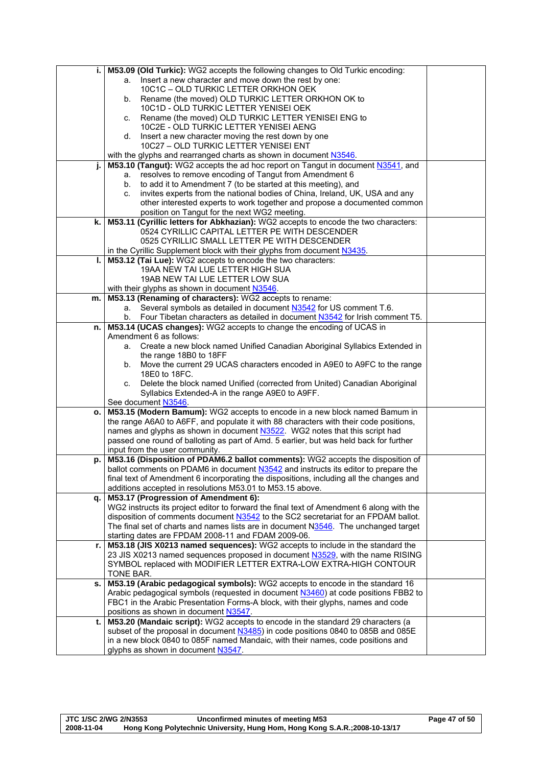|    | i.   M53.09 (Old Turkic): WG2 accepts the following changes to Old Turkic encoding:                  |  |
|----|------------------------------------------------------------------------------------------------------|--|
|    | a. Insert a new character and move down the rest by one:                                             |  |
|    | 10C1C - OLD TURKIC LETTER ORKHON OEK                                                                 |  |
|    | Rename (the moved) OLD TURKIC LETTER ORKHON OK to<br>b.                                              |  |
|    | 10C1D - OLD TURKIC LETTER YENISEI OEK                                                                |  |
|    | Rename (the moved) OLD TURKIC LETTER YENISEI ENG to<br>C.                                            |  |
|    | 10C2E - OLD TURKIC LETTER YENISEI AENG                                                               |  |
|    | Insert a new character moving the rest down by one<br>d.                                             |  |
|    | 10C27 - OLD TURKIC LETTER YENISEI ENT                                                                |  |
|    | with the glyphs and rearranged charts as shown in document N3546.                                    |  |
| j. | M53.10 (Tangut): WG2 accepts the ad hoc report on Tangut in document N3541, and                      |  |
|    | resolves to remove encoding of Tangut from Amendment 6<br>a.                                         |  |
|    | to add it to Amendment 7 (to be started at this meeting), and<br>b.                                  |  |
|    | invites experts from the national bodies of China, Ireland, UK, USA and any<br>C.                    |  |
|    | other interested experts to work together and propose a documented common                            |  |
|    | position on Tangut for the next WG2 meeting.                                                         |  |
| k. | M53.11 (Cyrillic letters for Abkhazian): WG2 accepts to encode the two characters:                   |  |
|    | 0524 CYRILLIC CAPITAL LETTER PE WITH DESCENDER                                                       |  |
|    | 0525 CYRILLIC SMALL LETTER PE WITH DESCENDER                                                         |  |
|    | in the Cyrillic Supplement block with their glyphs from document N3435.                              |  |
| L. | M53.12 (Tai Lue): WG2 accepts to encode the two characters:                                          |  |
|    | 19AA NEW TAI LUE LETTER HIGH SUA                                                                     |  |
|    | 19AB NEW TAI LUE LETTER LOW SUA                                                                      |  |
|    | with their glyphs as shown in document N3546.                                                        |  |
| m. | M53.13 (Renaming of characters): WG2 accepts to rename:                                              |  |
|    | Several symbols as detailed in document N3542 for US comment T.6.<br>a.                              |  |
|    | Four Tibetan characters as detailed in document N3542 for Irish comment T5.<br>b.                    |  |
| n. | M53.14 (UCAS changes): WG2 accepts to change the encoding of UCAS in                                 |  |
|    | Amendment 6 as follows:                                                                              |  |
|    | Create a new block named Unified Canadian Aboriginal Syllabics Extended in<br>a.                     |  |
|    | the range 18B0 to 18FF                                                                               |  |
|    | Move the current 29 UCAS characters encoded in A9E0 to A9FC to the range<br>b.                       |  |
|    | 18E0 to 18FC.                                                                                        |  |
|    | Delete the block named Unified (corrected from United) Canadian Aboriginal<br>C.                     |  |
|    | Syllabics Extended-A in the range A9E0 to A9FF.                                                      |  |
|    | See document N3546.<br>o. M53.15 (Modern Bamum): WG2 accepts to encode in a new block named Bamum in |  |
|    | the range A6A0 to A6FF, and populate it with 88 characters with their code positions,                |  |
|    | names and glyphs as shown in document N3522. WG2 notes that this script had                          |  |
|    | passed one round of balloting as part of Amd. 5 earlier, but was held back for further               |  |
|    | input from the user community.                                                                       |  |
| p. | M53.16 (Disposition of PDAM6.2 ballot comments): WG2 accepts the disposition of                      |  |
|    | ballot comments on PDAM6 in document N3542 and instructs its editor to prepare the                   |  |
|    | final text of Amendment 6 incorporating the dispositions, including all the changes and              |  |
|    | additions accepted in resolutions M53.01 to M53.15 above.                                            |  |
| q. | M53.17 (Progression of Amendment 6):                                                                 |  |
|    | WG2 instructs its project editor to forward the final text of Amendment 6 along with the             |  |
|    | disposition of comments document N3542 to the SC2 secretariat for an FPDAM ballot.                   |  |
|    | The final set of charts and names lists are in document N3546. The unchanged target                  |  |
|    | starting dates are FPDAM 2008-11 and FDAM 2009-06.                                                   |  |
| r. | M53.18 (JIS X0213 named sequences): WG2 accepts to include in the standard the                       |  |
|    | 23 JIS X0213 named sequences proposed in document N3529, with the name RISING                        |  |
|    | SYMBOL replaced with MODIFIER LETTER EXTRA-LOW EXTRA-HIGH CONTOUR                                    |  |
|    | TONE BAR.                                                                                            |  |
| s. | M53.19 (Arabic pedagogical symbols): WG2 accepts to encode in the standard 16                        |  |
|    | Arabic pedagogical symbols (requested in document N3460) at code positions FBB2 to                   |  |
|    | FBC1 in the Arabic Presentation Forms-A block, with their glyphs, names and code                     |  |
|    | positions as shown in document N3547.                                                                |  |
| t. | M53.20 (Mandaic script): WG2 accepts to encode in the standard 29 characters (a                      |  |
|    | subset of the proposal in document N3485) in code positions 0840 to 085B and 085E                    |  |
|    | in a new block 0840 to 085F named Mandaic, with their names, code positions and                      |  |
|    | glyphs as shown in document N3547.                                                                   |  |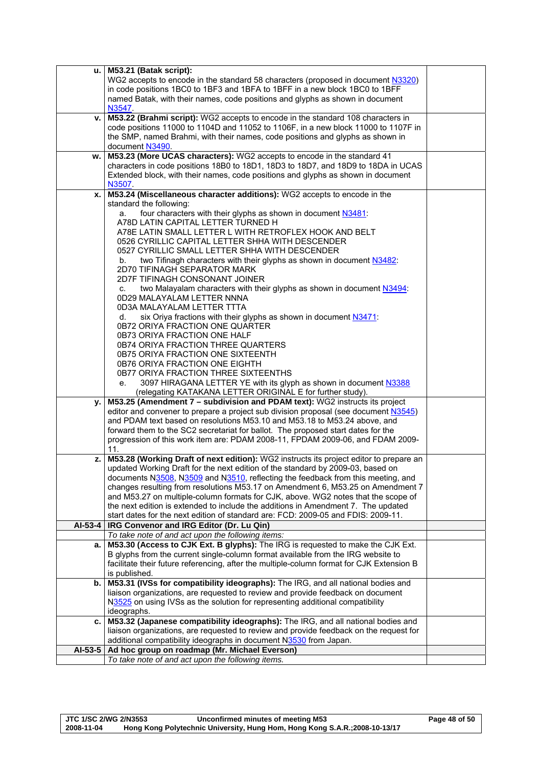|         | u. M53.21 (Batak script):                                                                 |  |
|---------|-------------------------------------------------------------------------------------------|--|
|         | WG2 accepts to encode in the standard 58 characters (proposed in document N3320)          |  |
|         | in code positions 1BC0 to 1BF3 and 1BFA to 1BFF in a new block 1BC0 to 1BFF               |  |
|         | named Batak, with their names, code positions and glyphs as shown in document             |  |
|         | N3547.                                                                                    |  |
| v.      | M53.22 (Brahmi script): WG2 accepts to encode in the standard 108 characters in           |  |
|         | code positions 11000 to 1104D and 11052 to 1106F, in a new block 11000 to 1107F in        |  |
|         | the SMP, named Brahmi, with their names, code positions and glyphs as shown in            |  |
|         | document N3490.                                                                           |  |
| w.      | M53.23 (More UCAS characters): WG2 accepts to encode in the standard 41                   |  |
|         | characters in code positions 18B0 to 18D1, 18D3 to 18D7, and 18D9 to 18DA in UCAS         |  |
|         | Extended block, with their names, code positions and glyphs as shown in document          |  |
|         | N3507.                                                                                    |  |
| x.      | M53.24 (Miscellaneous character additions): WG2 accepts to encode in the                  |  |
|         | standard the following:                                                                   |  |
|         | four characters with their glyphs as shown in document N3481:<br>a.                       |  |
|         | A78D LATIN CAPITAL LETTER TURNED H                                                        |  |
|         | A78E LATIN SMALL LETTER L WITH RETROFLEX HOOK AND BELT                                    |  |
|         | 0526 CYRILLIC CAPITAL LETTER SHHA WITH DESCENDER                                          |  |
|         | 0527 CYRILLIC SMALL LETTER SHHA WITH DESCENDER                                            |  |
|         | two Tifinagh characters with their glyphs as shown in document N3482:<br>b.               |  |
|         | 2D70 TIFINAGH SEPARATOR MARK                                                              |  |
|         | 2D7F TIFINAGH CONSONANT JOINER                                                            |  |
|         | two Malayalam characters with their glyphs as shown in document N3494:<br>C.              |  |
|         | 0D29 MALAYALAM LETTER NNNA                                                                |  |
|         | 0D3A MALAYALAM LETTER TTTA                                                                |  |
|         | six Oriya fractions with their glyphs as shown in document N3471:<br>d.                   |  |
|         | 0B72 ORIYA FRACTION ONE QUARTER                                                           |  |
|         | 0B73 ORIYA FRACTION ONE HALF                                                              |  |
|         | 0B74 ORIYA FRACTION THREE QUARTERS                                                        |  |
|         | 0B75 ORIYA FRACTION ONE SIXTEENTH                                                         |  |
|         | 0B76 ORIYA FRACTION ONE EIGHTH<br>0B77 ORIYA FRACTION THREE SIXTEENTHS                    |  |
|         | 3097 HIRAGANA LETTER YE with its glyph as shown in document N3388                         |  |
|         | е.<br>(relegating KATAKANA LETTER ORIGINAL E for further study).                          |  |
| ۷.      | M53.25 (Amendment 7 - subdivision and PDAM text): WG2 instructs its project               |  |
|         | editor and convener to prepare a project sub division proposal (see document N3545)       |  |
|         | and PDAM text based on resolutions M53.10 and M53.18 to M53.24 above, and                 |  |
|         | forward them to the SC2 secretariat for ballot. The proposed start dates for the          |  |
|         | progression of this work item are: PDAM 2008-11, FPDAM 2009-06, and FDAM 2009-            |  |
|         | 11.                                                                                       |  |
| z.      | M53.28 (Working Draft of next edition): WG2 instructs its project editor to prepare an    |  |
|         | updated Working Draft for the next edition of the standard by 2009-03, based on           |  |
|         | documents N3508, N3509 and N3510, reflecting the feedback from this meeting, and          |  |
|         | changes resulting from resolutions M53.17 on Amendment 6, M53.25 on Amendment 7           |  |
|         | and M53.27 on multiple-column formats for CJK, above. WG2 notes that the scope of         |  |
|         | the next edition is extended to include the additions in Amendment 7. The updated         |  |
|         | start dates for the next edition of standard are: FCD: 2009-05 and FDIS: 2009-11.         |  |
| AI-53-4 | IRG Convenor and IRG Editor (Dr. Lu Qin)                                                  |  |
|         | To take note of and act upon the following items:                                         |  |
| а. І    | M53.30 (Access to CJK Ext. B glyphs): The IRG is requested to make the CJK Ext.           |  |
|         | B glyphs from the current single-column format available from the IRG website to          |  |
|         | facilitate their future referencing, after the multiple-column format for CJK Extension B |  |
|         | is published.                                                                             |  |
| b.      | M53.31 (IVSs for compatibility ideographs): The IRG, and all national bodies and          |  |
|         | liaison organizations, are requested to review and provide feedback on document           |  |
|         | N3525 on using IVSs as the solution for representing additional compatibility             |  |
|         | ideographs.                                                                               |  |
| c.      | M53.32 (Japanese compatibility ideographs): The IRG, and all national bodies and          |  |
|         | liaison organizations, are requested to review and provide feedback on the request for    |  |
|         | additional compatibility ideographs in document N3530 from Japan.                         |  |
| AI-53-5 | Ad hoc group on roadmap (Mr. Michael Everson)                                             |  |
|         | To take note of and act upon the following items.                                         |  |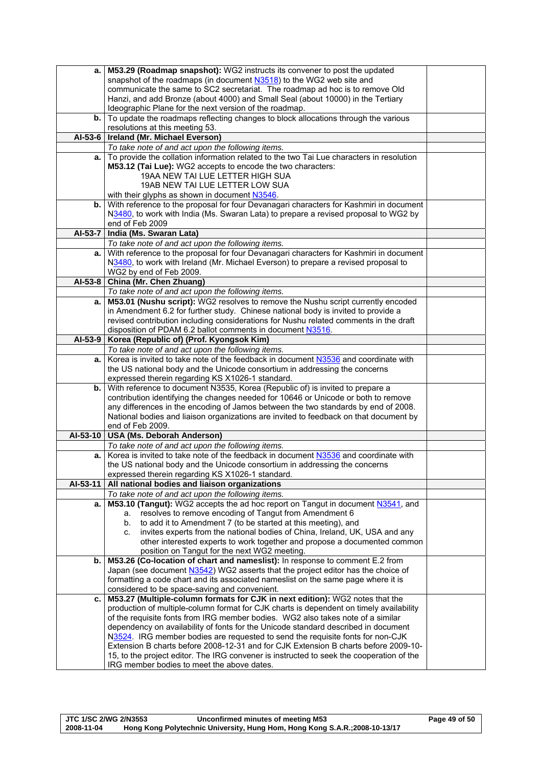|          | a.   M53.29 (Roadmap snapshot): WG2 instructs its convener to post the updated                                                                                                  |  |
|----------|---------------------------------------------------------------------------------------------------------------------------------------------------------------------------------|--|
|          | snapshot of the roadmaps (in document N3518) to the WG2 web site and                                                                                                            |  |
|          | communicate the same to SC2 secretariat. The roadmap ad hoc is to remove Old                                                                                                    |  |
|          | Hanzi, and add Bronze (about 4000) and Small Seal (about 10000) in the Tertiary                                                                                                 |  |
|          | Ideographic Plane for the next version of the roadmap.                                                                                                                          |  |
|          | b. To update the roadmaps reflecting changes to block allocations through the various                                                                                           |  |
|          | resolutions at this meeting 53.                                                                                                                                                 |  |
| AI-53-6  | <b>Ireland (Mr. Michael Everson)</b>                                                                                                                                            |  |
|          | To take note of and act upon the following items.                                                                                                                               |  |
| a.       | To provide the collation information related to the two Tai Lue characters in resolution                                                                                        |  |
|          | M53.12 (Tai Lue): WG2 accepts to encode the two characters:                                                                                                                     |  |
|          | 19AA NEW TAI LUE LETTER HIGH SUA                                                                                                                                                |  |
|          | 19AB NEW TAI LUE LETTER LOW SUA                                                                                                                                                 |  |
|          | with their glyphs as shown in document N3546.                                                                                                                                   |  |
|          | b. With reference to the proposal for four Devanagari characters for Kashmiri in document                                                                                       |  |
|          | N3480, to work with India (Ms. Swaran Lata) to prepare a revised proposal to WG2 by                                                                                             |  |
|          | end of Feb 2009                                                                                                                                                                 |  |
| AI-53-7  | India (Ms. Swaran Lata)                                                                                                                                                         |  |
|          | To take note of and act upon the following items.                                                                                                                               |  |
|          | a. With reference to the proposal for four Devanagari characters for Kashmiri in document<br>N3480, to work with Ireland (Mr. Michael Everson) to prepare a revised proposal to |  |
|          | WG2 by end of Feb 2009.                                                                                                                                                         |  |
|          | Al-53-8   China (Mr. Chen Zhuang)                                                                                                                                               |  |
|          | To take note of and act upon the following items.                                                                                                                               |  |
| a.       | M53.01 (Nushu script): WG2 resolves to remove the Nushu script currently encoded                                                                                                |  |
|          | in Amendment 6.2 for further study. Chinese national body is invited to provide a                                                                                               |  |
|          | revised contribution including considerations for Nushu related comments in the draft                                                                                           |  |
|          | disposition of PDAM 6.2 ballot comments in document N3516.                                                                                                                      |  |
|          | Al-53-9   Korea (Republic of) (Prof. Kyongsok Kim)                                                                                                                              |  |
|          | To take note of and act upon the following items.                                                                                                                               |  |
|          | a.   Korea is invited to take note of the feedback in document N3536 and coordinate with                                                                                        |  |
|          | the US national body and the Unicode consortium in addressing the concerns                                                                                                      |  |
|          | expressed therein regarding KS X1026-1 standard.                                                                                                                                |  |
| b.       | With reference to document N3535, Korea (Republic of) is invited to prepare a                                                                                                   |  |
|          | contribution identifying the changes needed for 10646 or Unicode or both to remove                                                                                              |  |
|          | any differences in the encoding of Jamos between the two standards by end of 2008.                                                                                              |  |
|          | National bodies and liaison organizations are invited to feedback on that document by                                                                                           |  |
|          | end of Feb 2009.                                                                                                                                                                |  |
|          | Al-53-10   USA (Ms. Deborah Anderson)                                                                                                                                           |  |
|          | To take note of and act upon the following items.                                                                                                                               |  |
| а.       | Korea is invited to take note of the feedback in document N3536 and coordinate with<br>the US national body and the Unicode consortium in addressing the concerns               |  |
|          | expressed therein regarding KS X1026-1 standard.                                                                                                                                |  |
| AI-53-11 | All national bodies and liaison organizations                                                                                                                                   |  |
|          | To take note of and act upon the following items.                                                                                                                               |  |
| a.       | M53.10 (Tangut): WG2 accepts the ad hoc report on Tangut in document N3541, and                                                                                                 |  |
|          | resolves to remove encoding of Tangut from Amendment 6<br>a.                                                                                                                    |  |
|          | to add it to Amendment 7 (to be started at this meeting), and<br>b.                                                                                                             |  |
|          | invites experts from the national bodies of China, Ireland, UK, USA and any<br>C.                                                                                               |  |
|          | other interested experts to work together and propose a documented common                                                                                                       |  |
|          | position on Tangut for the next WG2 meeting.                                                                                                                                    |  |
|          | b. M53.26 (Co-location of chart and nameslist): In response to comment E.2 from                                                                                                 |  |
|          | Japan (see document N3542) WG2 asserts that the project editor has the choice of                                                                                                |  |
|          | formatting a code chart and its associated nameslist on the same page where it is                                                                                               |  |
|          | considered to be space-saving and convenient.                                                                                                                                   |  |
| с.       | M53.27 (Multiple-column formats for CJK in next edition): WG2 notes that the                                                                                                    |  |
|          | production of multiple-column format for CJK charts is dependent on timely availability                                                                                         |  |
|          | of the requisite fonts from IRG member bodies. WG2 also takes note of a similar                                                                                                 |  |
|          | dependency on availability of fonts for the Unicode standard described in document                                                                                              |  |
|          | N3524. IRG member bodies are requested to send the requisite fonts for non-CJK<br>Extension B charts before 2008-12-31 and for CJK Extension B charts before 2009-10-           |  |
|          | 15, to the project editor. The IRG convener is instructed to seek the cooperation of the                                                                                        |  |
|          | IRG member bodies to meet the above dates.                                                                                                                                      |  |
|          |                                                                                                                                                                                 |  |